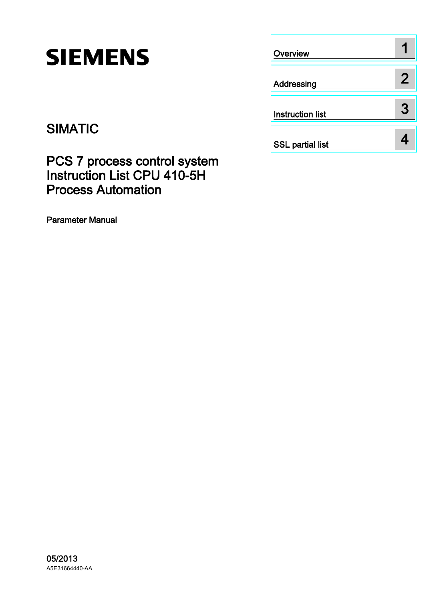## **SIEMENS**

| <b>SIEMENS</b> | Overview                | я              |
|----------------|-------------------------|----------------|
|                | Addressing              | 2              |
|                | <b>Instruction list</b> | $\overline{3}$ |
| <b>SIMATIC</b> | <b>SSL partial list</b> |                |

PCS 7 process control system Instruction List CPU 410-5H Process Automation

Parameter Manual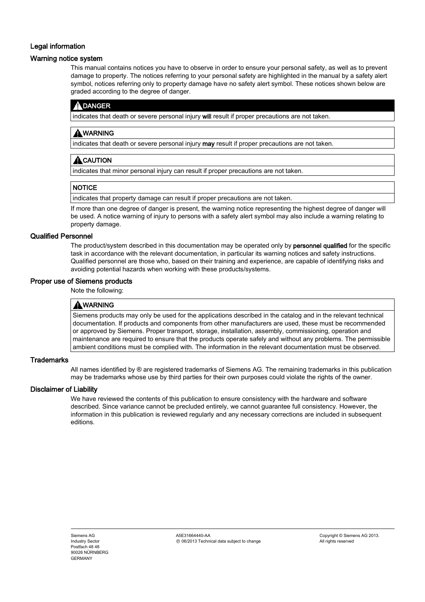#### Legal information

#### Warning notice system

This manual contains notices you have to observe in order to ensure your personal safety, as well as to prevent damage to property. The notices referring to your personal safety are highlighted in the manual by a safety alert symbol, notices referring only to property damage have no safety alert symbol. These notices shown below are graded according to the degree of danger.

#### **ADANGER**

indicates that death or severe personal injury will result if proper precautions are not taken.

#### WARNING

indicates that death or severe personal injury may result if proper precautions are not taken.

#### $\spadesuit$  CAUTION

indicates that minor personal injury can result if proper precautions are not taken.

#### **NOTICE**

indicates that property damage can result if proper precautions are not taken.

If more than one degree of danger is present, the warning notice representing the highest degree of danger will be used. A notice warning of injury to persons with a safety alert symbol may also include a warning relating to property damage.

#### Qualified Personnel

The product/system described in this documentation may be operated only by personnel qualified for the specific task in accordance with the relevant documentation, in particular its warning notices and safety instructions. Qualified personnel are those who, based on their training and experience, are capable of identifying risks and avoiding potential hazards when working with these products/systems.

#### Proper use of Siemens products

Note the following:

#### **AWARNING**

Siemens products may only be used for the applications described in the catalog and in the relevant technical documentation. If products and components from other manufacturers are used, these must be recommended or approved by Siemens. Proper transport, storage, installation, assembly, commissioning, operation and maintenance are required to ensure that the products operate safely and without any problems. The permissible ambient conditions must be complied with. The information in the relevant documentation must be observed.

#### **Trademarks**

All names identified by ® are registered trademarks of Siemens AG. The remaining trademarks in this publication may be trademarks whose use by third parties for their own purposes could violate the rights of the owner.

#### Disclaimer of Liability

We have reviewed the contents of this publication to ensure consistency with the hardware and software described. Since variance cannot be precluded entirely, we cannot guarantee full consistency. However, the information in this publication is reviewed regularly and any necessary corrections are included in subsequent editions.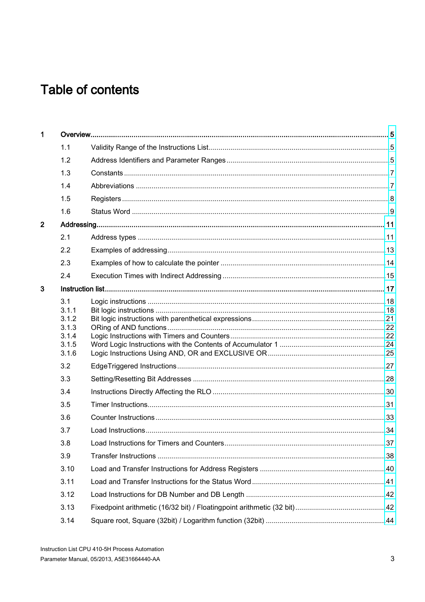## **Table of contents**

|                | 1.1                                                       |  |
|----------------|-----------------------------------------------------------|--|
|                | 1.2                                                       |  |
|                | 1.3                                                       |  |
|                | 1.4                                                       |  |
|                | 1.5                                                       |  |
|                | 1.6                                                       |  |
| $\overline{2}$ |                                                           |  |
|                | 2.1                                                       |  |
|                | 2.2                                                       |  |
|                | 2.3                                                       |  |
|                | 2.4                                                       |  |
| 3              |                                                           |  |
|                | 3.1<br>3.1.1<br>3.1.2<br>3.1.3<br>3.1.4<br>3.1.5<br>3.1.6 |  |
|                | 3.2                                                       |  |
|                | 3.3                                                       |  |
|                | 3.4                                                       |  |
|                | 3.5                                                       |  |
|                | 3.6                                                       |  |
|                | 3.7                                                       |  |
|                | 3.8                                                       |  |
|                | 3.9                                                       |  |
|                | 3.10                                                      |  |
|                | 3.11                                                      |  |
|                | 3.12                                                      |  |
|                | 3.13                                                      |  |
|                | 3.14                                                      |  |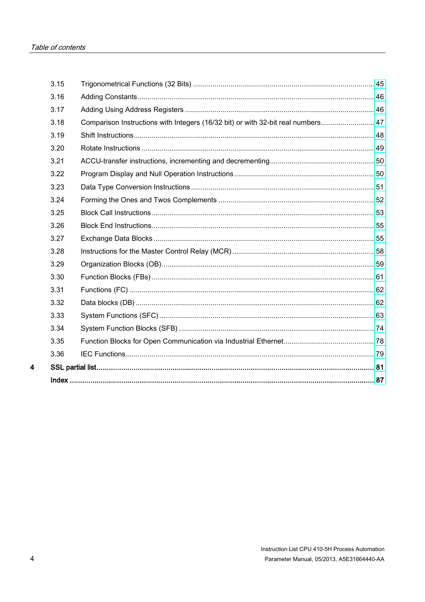| 3.15 |                                                                                  |  |
|------|----------------------------------------------------------------------------------|--|
| 3.16 |                                                                                  |  |
| 3.17 |                                                                                  |  |
| 3.18 | Comparison Instructions with Integers (16/32 bit) or with 32-bit real numbers 47 |  |
| 3.19 |                                                                                  |  |
| 3.20 |                                                                                  |  |
| 3.21 |                                                                                  |  |
| 3.22 |                                                                                  |  |
| 3.23 |                                                                                  |  |
| 3.24 |                                                                                  |  |
| 3.25 |                                                                                  |  |
| 3.26 |                                                                                  |  |
| 3.27 |                                                                                  |  |
| 3.28 |                                                                                  |  |
| 3.29 |                                                                                  |  |
| 3.30 |                                                                                  |  |
| 3.31 |                                                                                  |  |
| 3.32 |                                                                                  |  |
| 3.33 |                                                                                  |  |
| 3.34 |                                                                                  |  |
| 3.35 |                                                                                  |  |
| 3.36 |                                                                                  |  |
|      |                                                                                  |  |
|      |                                                                                  |  |

 $\overline{\mathbf{4}}$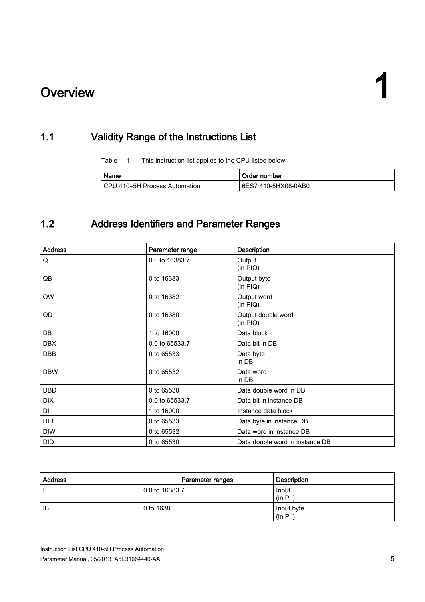## <span id="page-4-1"></span><span id="page-4-0"></span>1.1 Validity Range of the Instructions List

Table 1- 1 This instruction list applies to the CPU listed below:

| Name |                               | I Order number      |
|------|-------------------------------|---------------------|
|      | CPU 410-5H Process Automation | 6ES7 410-5HX08-0AB0 |

## <span id="page-4-2"></span>1.2 Address Identifiers and Parameter Ranges

| <b>Address</b> | Parameter range | <b>Description</b>                 |
|----------------|-----------------|------------------------------------|
| Q              | 0.0 to 16383.7  | Output<br>(in PIQ)                 |
| QB             | 0 to 16383      | Output byte<br>$(in$ $PIQ)$        |
| QW             | 0 to 16382      | Output word<br>(in PIQ)            |
| QD             | 0 to 16380      | Output double word<br>$(in$ $PIQ)$ |
| DB             | 1 to 16000      | Data block                         |
| <b>DBX</b>     | 0.0 to 65533.7  | Data bit in DB                     |
| <b>DBB</b>     | 0 to 65533      | Data byte<br>in DB                 |
| <b>DBW</b>     | 0 to 65532      | Data word<br>in DB                 |
| <b>DBD</b>     | 0 to 65530      | Data double word in DB             |
| <b>DIX</b>     | 0.0 to 65533.7  | Data bit in instance DB            |
| DI             | 1 to 16000      | Instance data block                |
| <b>DIB</b>     | 0 to 65533      | Data byte in instance DB           |
| <b>DIW</b>     | 0 to 65532      | Data word in instance DB           |
| <b>DID</b>     | 0 to 65530      | Data double word in instance DB    |

| <b>Address</b> | Parameter ranges | <b>Description</b>          |
|----------------|------------------|-----------------------------|
|                | 0.0 to 16383.7   | Input<br>$(in$ PII $)$      |
| <b>IB</b>      | 0 to 16383       | Input byte<br>$(in$ PII $)$ |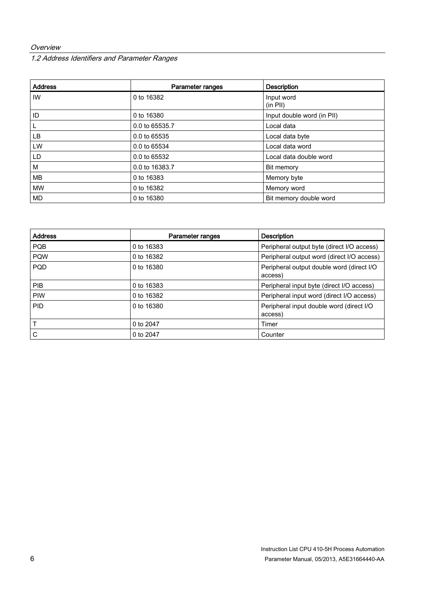#### **Overview**

1.2 Address Identifiers and Parameter Ranges

| <b>Address</b> | Parameter ranges | <b>Description</b>          |
|----------------|------------------|-----------------------------|
| IW             | 0 to 16382       | Input word<br>$(in$ PII $)$ |
| ID             | 0 to 16380       | Input double word (in PII)  |
|                | 0.0 to 65535.7   | Local data                  |
| LВ             | 0.0 to 65535     | Local data byte             |
| LW             | 0.0 to 65534     | Local data word             |
| LD             | 0.0 to 65532     | Local data double word      |
| M              | 0.0 to 16383.7   | Bit memory                  |
| <b>MB</b>      | 0 to 16383       | Memory byte                 |
| <b>MW</b>      | 0 to 16382       | Memory word                 |
| <b>MD</b>      | 0 to 16380       | Bit memory double word      |

| <b>Address</b> | Parameter ranges | <b>Description</b>                                   |
|----------------|------------------|------------------------------------------------------|
| <b>PQB</b>     | 0 to 16383       | Peripheral output byte (direct I/O access)           |
| <b>PQW</b>     | 0 to 16382       | Peripheral output word (direct I/O access)           |
| <b>PQD</b>     | 0 to 16380       | Peripheral output double word (direct I/O<br>access) |
| <b>PIB</b>     | 0 to 16383       | Peripheral input byte (direct I/O access)            |
| <b>PIW</b>     | 0 to 16382       | Peripheral input word (direct I/O access)            |
| <b>PID</b>     | 0 to 16380       | Peripheral input double word (direct I/O<br>access)  |
|                | 0 to 2047        | Timer                                                |
| С              | 0 to 2047        | Counter                                              |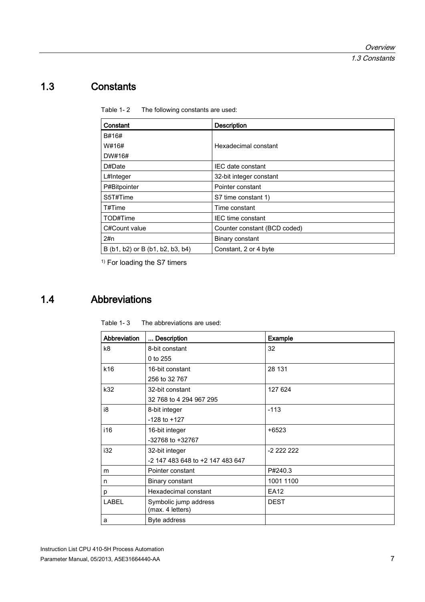## <span id="page-6-0"></span>1.3 Constants

| Constant                         | <b>Description</b>           |
|----------------------------------|------------------------------|
| B#16#                            |                              |
| W#16#                            | Hexadecimal constant         |
| DW#16#                           |                              |
| D#Date                           | IEC date constant            |
| L#Integer                        | 32-bit integer constant      |
| P#Bitpointer                     | Pointer constant             |
| S5T#Time                         | S7 time constant 1)          |
| T#Time                           | Time constant                |
| TOD#Time                         | IEC time constant            |
| C#Count value                    | Counter constant (BCD coded) |
| $2\#n$                           | Binary constant              |
| B (b1, b2) or B (b1, b2, b3, b4) | Constant, 2 or 4 byte        |

Table 1- 2 The following constants are used:

1) For loading the S7 timers

## <span id="page-6-1"></span>1.4 Abbreviations

| Abbreviation | Description                               | Example     |
|--------------|-------------------------------------------|-------------|
| k8           | 8-bit constant                            | 32          |
|              | 0 to 255                                  |             |
| k16          | 16-bit constant                           | 28 131      |
|              | 256 to 32 767                             |             |
| k32          | 32-bit constant                           | 127 624     |
|              | 32 768 to 4 294 967 295                   |             |
| i8           | 8-bit integer                             | $-113$      |
|              | $-128$ to $+127$                          |             |
| i16          | 16-bit integer                            | $+6523$     |
|              | -32768 to +32767                          |             |
| i32          | 32-bit integer                            | $-222222$   |
|              | -2 147 483 648 to +2 147 483 647          |             |
| m            | Pointer constant                          | P#240.3     |
| n            | Binary constant                           | 1001 1100   |
| р            | Hexadecimal constant                      | EA12        |
| LABEL        | Symbolic jump address<br>(max. 4 letters) | <b>DEST</b> |
| a            | Byte address                              |             |

Table 1- 3 The abbreviations are used: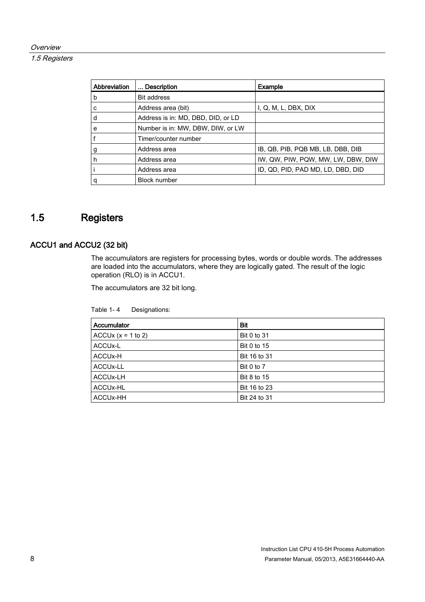#### **Overview**

1.5 Registers

| Abbreviation | Description                        | <b>Example</b>                     |
|--------------|------------------------------------|------------------------------------|
| b            | <b>Bit address</b>                 |                                    |
| с            | Address area (bit)                 | I, Q, M, L, DBX, DIX               |
| d            | Address is in: MD, DBD, DID, or LD |                                    |
| е            | Number is in: MW, DBW, DIW, or LW  |                                    |
|              | Timer/counter number               |                                    |
| g            | Address area                       | IB, QB, PIB, PQB MB, LB, DBB, DIB  |
| h            | Address area                       | IW, QW, PIW, PQW, MW, LW, DBW, DIW |
|              | Address area                       | ID, QD, PID, PAD MD, LD, DBD, DID  |
|              | <b>Block number</b>                |                                    |

## <span id="page-7-0"></span>1.5 Registers

#### ACCU1 and ACCU2 (32 bit)

The accumulators are registers for processing bytes, words or double words. The addresses are loaded into the accumulators, where they are logically gated. The result of the logic operation (RLO) is in ACCU1.

The accumulators are 32 bit long.

Table 1- 4 Designations:

| Accumulator           | <b>Bit</b>         |
|-----------------------|--------------------|
| $ACCUx (x = 1 to 2)$  | <b>Bit 0 to 31</b> |
| ACCU <sub>x</sub> -L  | <b>Bit 0 to 15</b> |
| ACCU <sub>x</sub> -H  | Bit 16 to 31       |
| ACCUx-LL              | Bit 0 to 7         |
| ACCUx-LH              | <b>Bit 8 to 15</b> |
| ACCU <sub>x</sub> -HL | Bit 16 to 23       |
| ACCU <sub>x</sub> -HH | Bit 24 to 31       |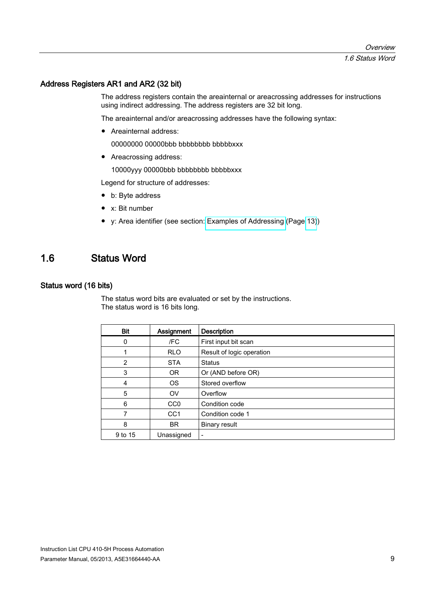#### Address Registers AR1 and AR2 (32 bit)

The address registers contain the areainternal or areacrossing addresses for instructions using indirect addressing. The address registers are 32 bit long.

The areainternal and/or areacrossing addresses have the following syntax:

● Areainternal address:

00000000 00000bbb bbbbbbbb bbbbbxxx

● Areacrossing address:

10000yyy 00000bbb bbbbbbbb bbbbbxxx

Legend for structure of addresses:

- b: Byte address
- x: Bit number
- y: Area identifier (see section: [Examples of Addressing](#page-12-0) (Page [13\)](#page-12-0))

#### <span id="page-8-0"></span>1.6 Status Word

#### Status word (16 bits)

The status word bits are evaluated or set by the instructions. The status word is 16 bits long.

| <b>Bit</b> | Assignment      | <b>Description</b>        |
|------------|-----------------|---------------------------|
| 0          | /FC             | First input bit scan      |
|            | <b>RLO</b>      | Result of logic operation |
| 2          | <b>STA</b>      | <b>Status</b>             |
| 3          | <b>OR</b>       | Or (AND before OR)        |
| 4          | <b>OS</b>       | Stored overflow           |
| 5          | OV              | Overflow                  |
| 6          | CC <sub>0</sub> | Condition code            |
| 7          | CC <sub>1</sub> | Condition code 1          |
| 8          | <b>BR</b>       | <b>Binary result</b>      |
| 9 to 15    | Unassigned      | -                         |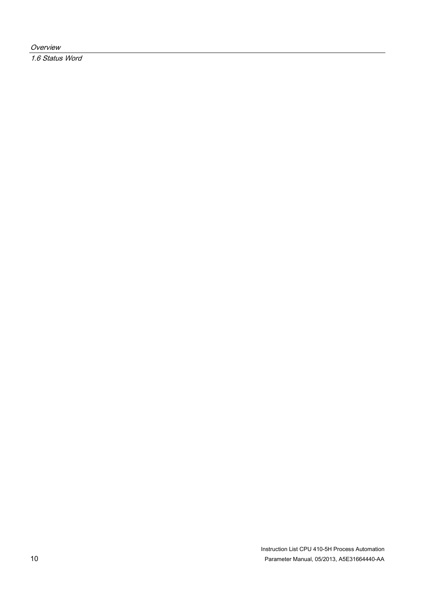**Overview** 

1.6 Status Word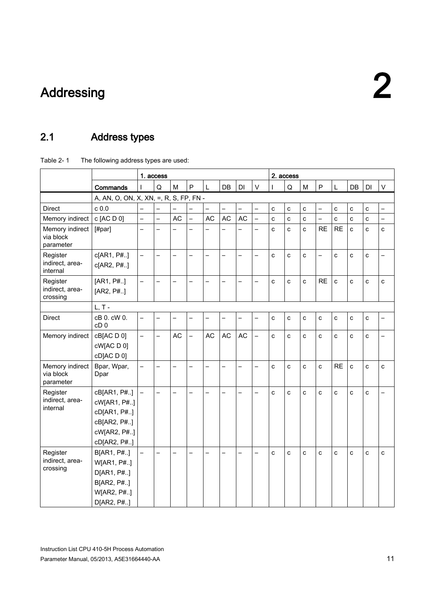# <span id="page-10-0"></span> $\mathsf A$ ddressing  $\mathsf Z$

## <span id="page-10-1"></span>2.1 Address types

|                                           |                                                                                        | 1. access                |                          |                          |                          |                          |                          |                          |                          | 2. access    |             |   |                          |              |              |             |                          |
|-------------------------------------------|----------------------------------------------------------------------------------------|--------------------------|--------------------------|--------------------------|--------------------------|--------------------------|--------------------------|--------------------------|--------------------------|--------------|-------------|---|--------------------------|--------------|--------------|-------------|--------------------------|
|                                           | Commands                                                                               |                          | Q                        | M                        | $\mathsf{P}$             | L                        | DB                       | <b>DI</b>                | $\vee$                   |              | Q           | M | $\mathsf{P}$             | L            | DB           | DI          | $\sf V$                  |
|                                           | A, AN, O, ON, X, XN, =, R, S, FP, FN -                                                 |                          |                          |                          |                          |                          |                          |                          |                          |              |             |   |                          |              |              |             |                          |
| <b>Direct</b>                             | c <sub>0.0</sub>                                                                       |                          |                          |                          |                          |                          |                          |                          |                          | $\mathbf{C}$ | C           | C | $\overline{\phantom{0}}$ | C            | c            | C           | -                        |
| Memory indirect                           | $c$ [AC D 0]                                                                           | $\overline{a}$           | $\overline{a}$           | <b>AC</b>                | $\overline{\phantom{0}}$ | <b>AC</b>                | <b>AC</b>                | <b>AC</b>                | $\overline{a}$           | C            | $\mathbf c$ | C | $\overline{a}$           | $\mathbf c$  | $\mathbf{c}$ | $\mathbf c$ | $\overline{a}$           |
| Memory indirect<br>via block<br>parameter | [#par]                                                                                 | $\equiv$                 | $\equiv$                 |                          | $\overline{\phantom{0}}$ | $\overline{\phantom{0}}$ | —                        | $\overline{\phantom{0}}$ | $\overline{\phantom{0}}$ | C            | $\mathbf c$ | c | <b>RE</b>                | <b>RE</b>    | $\mathbf c$  | c           | $\mathbf c$              |
| Register<br>indirect, area-<br>internal   | c[AR1, P#]<br>c[AR2, P#]                                                               | $\overline{\phantom{0}}$ | $\overline{\phantom{0}}$ |                          |                          |                          | —                        | —                        | $\overline{\phantom{0}}$ | C            | $\mathbf c$ | C | $\overline{\phantom{0}}$ | C            | C            | C           | $\overline{\phantom{0}}$ |
| Register<br>indirect, area-<br>crossing   | [AR1, P#,.]<br>[AR2, P#]                                                               | $\overline{a}$           |                          |                          |                          |                          |                          |                          |                          | C            | c           | C | <b>RE</b>                | C            | C            | C           | $\mathbf c$              |
|                                           | $L, T -$                                                                               |                          |                          |                          |                          |                          |                          |                          |                          |              |             |   |                          |              |              |             |                          |
| <b>Direct</b>                             | cB 0. cW 0.<br>cD <sub>0</sub>                                                         | $\overline{\phantom{0}}$ | —                        | -                        |                          |                          | -                        |                          |                          | C            | c           | c | C                        | $\mathbf{C}$ | $\mathbf{C}$ | $\mathbf c$ | —                        |
| Memory indirect                           | cB[AC D 0]<br>cW[AC D 0]<br>cD]AC D 0]                                                 | $\equiv$                 | $\overline{\phantom{0}}$ | <b>AC</b>                | $\overline{\phantom{0}}$ | <b>AC</b>                | <b>AC</b>                | <b>AC</b>                | $\overline{\phantom{0}}$ | $\mathbf{C}$ | c           | c | C                        | $\mathbf c$  | $\mathbf{C}$ | $\mathbf c$ |                          |
| Memory indirect<br>via block<br>parameter | Bpar, Wpar,<br>Dpar                                                                    | $\qquad \qquad -$        | $\overline{\phantom{0}}$ | -                        |                          | $\overline{\phantom{0}}$ | $\overline{\phantom{0}}$ | $\overline{\phantom{0}}$ | $\overline{\phantom{0}}$ | $\mathbf{C}$ | c           | C | C                        | <b>RE</b>    | $\mathbf{C}$ | C           | $\mathbf c$              |
| Register<br>indirect, area-<br>internal   | cB[AR1, P#]<br>cW[AR1, P#]<br>cD[AR1, P#]<br>cB[AR2, P#]<br>cW[AR2, P#]<br>cD[AR2, P#] | $\overline{\phantom{0}}$ | $\overline{\phantom{0}}$ | -                        |                          |                          | —                        | $\overline{\phantom{0}}$ |                          | C            | c           | C | C                        | C            | c            | C           | $\overline{\phantom{0}}$ |
| Register<br>indirect, area-<br>crossing   | B[AR1, P#]<br>W[AR1, P#]<br>D[AR1, P#]<br>B[AR2, P#]<br>W[AR2, P#]<br>D[AR2, P#]       | $\equiv$                 | $\overline{\phantom{0}}$ | $\overline{\phantom{0}}$ |                          | $\equiv$                 | —                        | $\overline{\phantom{0}}$ | $\overline{\phantom{0}}$ | $\mathbf c$  | c           | C | C                        | C            | C            | c           | $\mathbf c$              |

Table 2- 1 The following address types are used: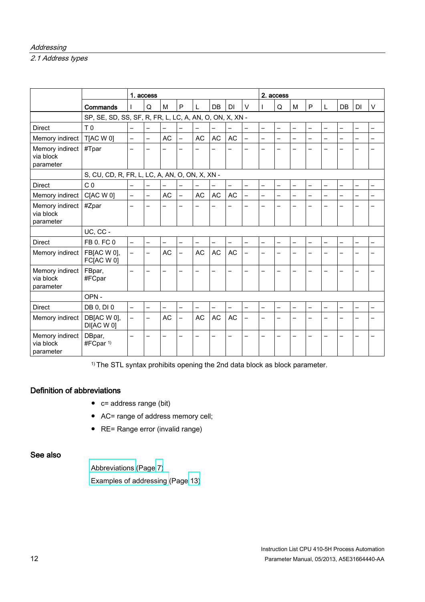#### **Addressing**

2.1 Address types

|                                           |                                                         | 1. access                |                          |                                                |                          | 2. access                |           |                          |                          |    |   |                          |                          |                          |           |                          |        |
|-------------------------------------------|---------------------------------------------------------|--------------------------|--------------------------|------------------------------------------------|--------------------------|--------------------------|-----------|--------------------------|--------------------------|----|---|--------------------------|--------------------------|--------------------------|-----------|--------------------------|--------|
|                                           | Commands                                                |                          | Q                        | M                                              | $\mathsf{P}$             |                          | DB        | DI                       | $\vee$                   |    | Q | M                        | P                        | L                        | <b>DB</b> | <b>DI</b>                | $\vee$ |
|                                           | SP, SE, SD, SS, SF, R, FR, L, LC, A, AN, O, ON, X, XN - |                          |                          |                                                |                          |                          |           |                          |                          |    |   |                          |                          |                          |           |                          |        |
| <b>Direct</b>                             | T <sub>0</sub>                                          | $\overline{\phantom{0}}$ | $\overline{\phantom{0}}$ |                                                | $\overline{\phantom{0}}$ |                          |           |                          | Ξ.                       | —  | - | $\equiv$                 | —                        | $\overline{a}$           | —         | $\overline{\phantom{0}}$ | —      |
| Memory indirect                           | T[AC W 0]                                               | $\rightarrow$            | $\overline{\phantom{0}}$ | <b>AC</b>                                      | $\overline{\phantom{0}}$ | <b>AC</b>                | AC        | <b>AC</b>                | Ξ.                       | —  | — | $\overline{\phantom{0}}$ | —                        | $\overline{\phantom{0}}$ | -         | $\overline{\phantom{0}}$ | —      |
| Memory indirect<br>via block<br>parameter | #Tpar                                                   | $\overline{\phantom{0}}$ | -                        | -                                              | -                        |                          |           | -                        | -                        |    | - |                          |                          |                          | -         |                          |        |
|                                           |                                                         |                          |                          | S, CU, CD, R, FR, L, LC, A, AN, O, ON, X, XN - |                          |                          |           |                          |                          |    |   |                          |                          |                          |           |                          |        |
| <b>Direct</b>                             | C <sub>0</sub>                                          | $\qquad \qquad -$        | -                        |                                                |                          |                          |           | $\overline{\phantom{0}}$ | —                        | -  | — | $\overline{\phantom{0}}$ | —                        | $\equiv$                 | ▃         |                          | -      |
| Memory indirect                           | C[AC W 0]                                               | $\overline{\phantom{0}}$ | $\overline{\phantom{0}}$ | <b>AC</b>                                      | $\equiv$                 | <b>AC</b>                | <b>AC</b> | <b>AC</b>                | —                        | -  | - | —                        | $\overline{\phantom{0}}$ | $\overline{\phantom{0}}$ | -         |                          | -      |
| Memory indirect<br>via block<br>parameter | #Zpar                                                   | $\overline{\phantom{0}}$ | $\overline{\phantom{0}}$ | $\overline{\phantom{0}}$                       | $\overline{\phantom{0}}$ |                          |           | -                        | ▃                        |    | — | -                        |                          |                          |           |                          | -      |
|                                           | UC, CC -                                                |                          |                          |                                                |                          |                          |           |                          |                          |    |   |                          |                          |                          |           |                          |        |
| <b>Direct</b>                             | FB 0. FC 0                                              | $\qquad \qquad -$        | —                        |                                                | $\overline{\phantom{0}}$ | $\overline{\phantom{0}}$ |           | —                        | -                        | ÷, | - | —                        | $\overline{\phantom{0}}$ | $\overline{\phantom{0}}$ | -         |                          | -      |
| Memory indirect                           | FB[AC W 0],<br>FC[AC W 0]                               | $\overline{\phantom{0}}$ | -                        | <b>AC</b>                                      | $\equiv$                 | <b>AC</b>                | <b>AC</b> | <b>AC</b>                | -                        |    | — | -                        |                          |                          | -         |                          |        |
| Memory indirect<br>via block<br>parameter | FBpar,<br>#FCpar                                        | —                        |                          | —                                              | $\overline{\phantom{0}}$ |                          |           |                          |                          |    | — |                          |                          |                          |           |                          |        |
|                                           | OPN-                                                    |                          |                          |                                                |                          |                          |           |                          |                          |    |   |                          |                          |                          |           |                          |        |
| <b>Direct</b>                             | DB 0, DI 0                                              | $\overline{\phantom{0}}$ | —                        | -                                              | $\qquad \qquad -$        | $\overline{\phantom{0}}$ | —         | $\overline{\phantom{0}}$ | —                        | -  | - | —                        | $\overline{\phantom{0}}$ | $\overline{\phantom{0}}$ | -         | ╾                        | -      |
| Memory indirect                           | DB[AC W 0],<br>DI[AC W 0]                               | $\overline{\phantom{0}}$ | —                        | <b>AC</b>                                      | $\equiv$                 | <b>AC</b>                | AC        | <b>AC</b>                | $\overline{\phantom{0}}$ |    | — | -                        |                          | $\equiv$                 | ╾         |                          | -      |
| Memory indirect<br>via block<br>parameter | DBpar,<br>#FCpar <sup>1)</sup>                          |                          |                          |                                                |                          |                          |           |                          |                          |    |   |                          |                          |                          |           |                          |        |

<sup>1)</sup> The STL syntax prohibits opening the 2nd data block as block parameter.

#### Definition of abbreviations

- $\bullet$  c= address range (bit)
- AC= range of address memory cell;
- RE= Range error (invalid range)

#### See also

[Abbreviations](#page-6-1) (Page [7\)](#page-6-1)

[Examples of addressing](#page-12-0) (Page [13\)](#page-12-0)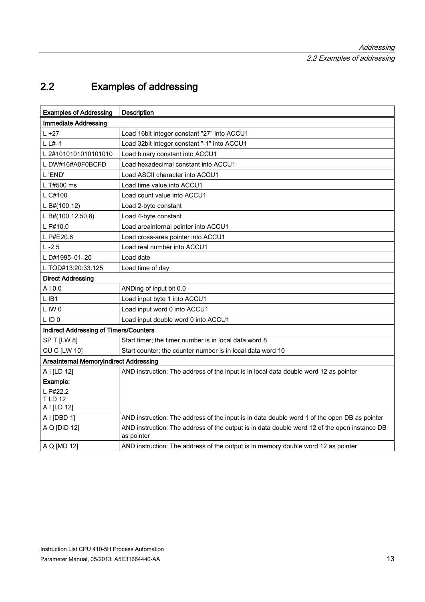## <span id="page-12-0"></span>2.2 Examples of addressing

| <b>Examples of Addressing</b>                 | <b>Description</b>                                                                                         |
|-----------------------------------------------|------------------------------------------------------------------------------------------------------------|
| <b>Immediate Addressing</b>                   |                                                                                                            |
| $L + 27$                                      | Load 16bit integer constant "27" into ACCU1                                                                |
| $L L#-1$                                      | Load 32bit integer constant "-1" into ACCU1                                                                |
| L 2#1010101010101010                          | Load binary constant into ACCU1                                                                            |
| LDW#16#A0F0BCFD                               | Load hexadecimal constant into ACCU1                                                                       |
| L'END'                                        | Load ASCII character into ACCU1                                                                            |
| L T#500 ms                                    | Load time value into ACCU1                                                                                 |
| L C#100                                       | Load count value into ACCU1                                                                                |
| L B#(100,12)                                  | Load 2-byte constant                                                                                       |
| L B#(100,12,50,8)                             | Load 4-byte constant                                                                                       |
| L P#10.0                                      | Load areainternal pointer into ACCU1                                                                       |
| L P#E20.6                                     | Load cross-area pointer into ACCU1                                                                         |
| $L - 2.5$                                     | Load real number into ACCU1                                                                                |
| L D#1995-01-20                                | Load date                                                                                                  |
| L TOD#13:20:33.125                            | Load time of day                                                                                           |
| <b>Direct Addressing</b>                      |                                                                                                            |
| A10.0                                         | ANDing of input bit 0.0                                                                                    |
| LIB1                                          | Load input byte 1 into ACCU1                                                                               |
| L IW 0                                        | Load input word 0 into ACCU1                                                                               |
| LID <sub>0</sub>                              | Load input double word 0 into ACCU1                                                                        |
| <b>Indirect Addressing of Timers/Counters</b> |                                                                                                            |
| SP T [LW 8]                                   | Start timer; the timer number is in local data word 8                                                      |
| CU C [LW 10]                                  | Start counter; the counter number is in local data word 10                                                 |
| <b>AreaInternal MemoryIndirect Addressing</b> |                                                                                                            |
| A I [LD 12]                                   | AND instruction: The address of the input is in local data double word 12 as pointer                       |
| Example:                                      |                                                                                                            |
| L P#22.2                                      |                                                                                                            |
| T LD 12                                       |                                                                                                            |
| A I [LD 12]                                   |                                                                                                            |
| A I [DBD 1]                                   | AND instruction: The address of the input is in data double word 1 of the open DB as pointer               |
| A Q [DID 12]                                  | AND instruction: The address of the output is in data double word 12 of the open instance DB<br>as pointer |
| A Q [MD 12]                                   | AND instruction: The address of the output is in memory double word 12 as pointer                          |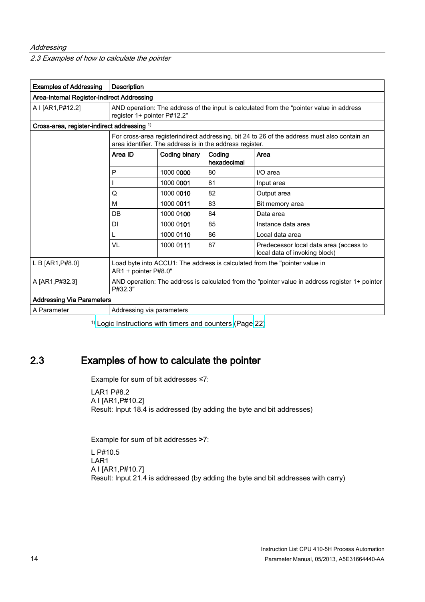2.3 Examples of how to calculate the pointer

| <b>Examples of Addressing</b>               | <b>Description</b>                                                                                                                                       |                      |                       |                                                                                                 |  |  |  |  |  |  |
|---------------------------------------------|----------------------------------------------------------------------------------------------------------------------------------------------------------|----------------------|-----------------------|-------------------------------------------------------------------------------------------------|--|--|--|--|--|--|
| Area-Internal Register-Indirect Addressing  |                                                                                                                                                          |                      |                       |                                                                                                 |  |  |  |  |  |  |
| A I [AR1, P#12.2]                           | AND operation: The address of the input is calculated from the "pointer value in address"<br>register 1+ pointer P#12.2"                                 |                      |                       |                                                                                                 |  |  |  |  |  |  |
| Cross-area, register-indirect addressing 1) |                                                                                                                                                          |                      |                       |                                                                                                 |  |  |  |  |  |  |
|                                             | For cross-area registerindirect addressing, bit 24 to 26 of the address must also contain an<br>area identifier. The address is in the address register. |                      |                       |                                                                                                 |  |  |  |  |  |  |
|                                             | Area ID                                                                                                                                                  | <b>Coding binary</b> | Coding<br>hexadecimal | Area                                                                                            |  |  |  |  |  |  |
|                                             | P                                                                                                                                                        | 1000 0000            | 80                    | I/O area                                                                                        |  |  |  |  |  |  |
|                                             |                                                                                                                                                          | 1000 0001            | 81                    | Input area                                                                                      |  |  |  |  |  |  |
|                                             | Q                                                                                                                                                        | 1000 0010            | 82                    | Output area                                                                                     |  |  |  |  |  |  |
|                                             | м                                                                                                                                                        | 1000 0011            | 83                    | Bit memory area                                                                                 |  |  |  |  |  |  |
|                                             | <b>DB</b>                                                                                                                                                | 1000 0100            | 84                    | Data area                                                                                       |  |  |  |  |  |  |
|                                             | <b>DI</b>                                                                                                                                                | 1000 0101            | 85                    | Instance data area                                                                              |  |  |  |  |  |  |
|                                             |                                                                                                                                                          | 1000 0110            | 86                    | Local data area                                                                                 |  |  |  |  |  |  |
|                                             | VL                                                                                                                                                       | 1000 0111            | 87                    | Predecessor local data area (access to<br>local data of invoking block)                         |  |  |  |  |  |  |
| L B [AR1, P#8.0]                            | AR1 + pointer P#8.0"                                                                                                                                     |                      |                       | Load byte into ACCU1: The address is calculated from the "pointer value in                      |  |  |  |  |  |  |
| A [AR1, P#32.3]                             | P#32.3"                                                                                                                                                  |                      |                       | AND operation: The address is calculated from the "pointer value in address register 1+ pointer |  |  |  |  |  |  |
| <b>Addressing Via Parameters</b>            |                                                                                                                                                          |                      |                       |                                                                                                 |  |  |  |  |  |  |
| A Parameter                                 | Addressing via parameters                                                                                                                                |                      |                       |                                                                                                 |  |  |  |  |  |  |

1) [Logic Instructions with timers and counters](#page-21-1) (Page [22\)](#page-21-1)

### <span id="page-13-0"></span>2.3 Examples of how to calculate the pointer

Example for sum of bit addresses ≤7:

LAR1 P#8.2 A I [AR1,P#10.2] Result: Input 18.4 is addressed (by adding the byte and bit addresses)

Example for sum of bit addresses >7: L P#10.5 LAR1 A I [AR1,P#10.7] Result: Input 21.4 is addressed (by adding the byte and bit addresses with carry)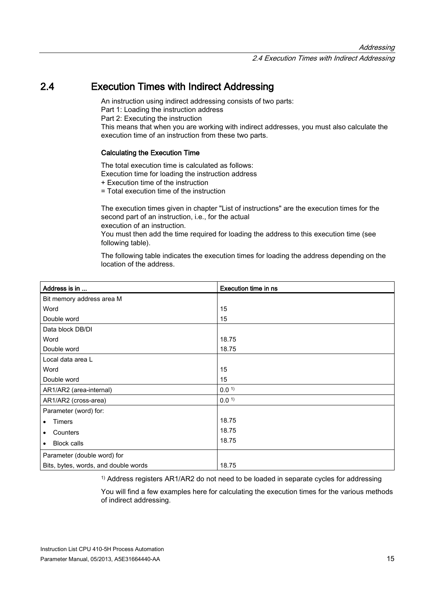2.4 Execution Times with Indirect Addressing

### <span id="page-14-0"></span>2.4 Execution Times with Indirect Addressing

An instruction using indirect addressing consists of two parts:

Part 1: Loading the instruction address

Part 2: Executing the instruction

This means that when you are working with indirect addresses, you must also calculate the execution time of an instruction from these two parts.

#### Calculating the Execution Time

The total execution time is calculated as follows:

Execution time for loading the instruction address

- + Execution time of the instruction
- = Total execution time of the instruction

The execution times given in chapter "List of instructions" are the execution times for the second part of an instruction, i.e., for the actual execution of an instruction.

You must then add the time required for loading the address to this execution time (see following table).

The following table indicates the execution times for loading the address depending on the location of the address.

| Address is in                        | <b>Execution time in ns</b> |
|--------------------------------------|-----------------------------|
| Bit memory address area M            |                             |
| Word                                 | 15                          |
| Double word                          | 15                          |
| Data block DB/DI                     |                             |
| Word                                 | 18.75                       |
| Double word                          | 18.75                       |
| Local data area L                    |                             |
| Word                                 | 15                          |
| Double word                          | 15                          |
| AR1/AR2 (area-internal)              | 0.0 <sup>1</sup>            |
| AR1/AR2 (cross-area)                 | 0.0 <sup>1</sup>            |
| Parameter (word) for:                |                             |
| Timers<br>$\bullet$                  | 18.75                       |
| Counters<br>$\bullet$                | 18.75                       |
| <b>Block calls</b><br>$\bullet$      | 18.75                       |
| Parameter (double word) for          |                             |
| Bits, bytes, words, and double words | 18.75                       |

1) Address registers AR1/AR2 do not need to be loaded in separate cycles for addressing

You will find a few examples here for calculating the execution times for the various methods of indirect addressing.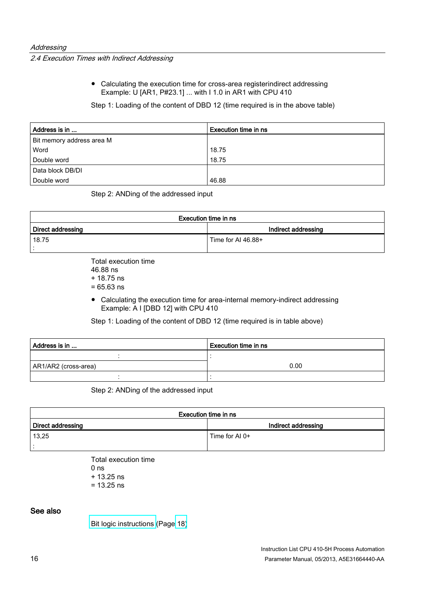#### **Addressing**

2.4 Execution Times with Indirect Addressing

● Calculating the execution time for cross-area registerindirect addressing Example: U [AR1, P#23.1] ... with I 1.0 in AR1 with CPU 410

Step 1: Loading of the content of DBD 12 (time required is in the above table)

| Address is in             | Execution time in ns |
|---------------------------|----------------------|
| Bit memory address area M |                      |
| Word                      | 18.75                |
| Double word               | 18.75                |
| Data block DB/DI          |                      |
| Double word               | 46.88                |

Step 2: ANDing of the addressed input

| Execution time in ns |                      |  |  |  |  |  |  |  |
|----------------------|----------------------|--|--|--|--|--|--|--|
| Direct addressing    | Indirect addressing  |  |  |  |  |  |  |  |
| 18.75                | Time for AI $46.88+$ |  |  |  |  |  |  |  |
|                      |                      |  |  |  |  |  |  |  |

Total execution time 46.88 ns + 18.75 ns  $= 65.63$  ns

● Calculating the execution time for area-internal memory-indirect addressing Example: A I [DBD 12] with CPU 410

Step 1: Loading of the content of DBD 12 (time required is in table above)

| Address is in        | <b>Execution time in ns</b> |  |  |  |  |  |
|----------------------|-----------------------------|--|--|--|--|--|
|                      |                             |  |  |  |  |  |
| AR1/AR2 (cross-area) | 0.00                        |  |  |  |  |  |
|                      |                             |  |  |  |  |  |

Step 2: ANDing of the addressed input

|                   | Execution time in ns |  |  |  |  |  |  |  |  |  |
|-------------------|----------------------|--|--|--|--|--|--|--|--|--|
| Direct addressing | Indirect addressing  |  |  |  |  |  |  |  |  |  |
| 13,25             | Time for AI $0+$     |  |  |  |  |  |  |  |  |  |
|                   |                      |  |  |  |  |  |  |  |  |  |

Total execution time  $0$  ns + 13.25 ns  $= 13.25$  ns

#### See also

[Bit logic instructions](#page-17-1) (Page [18\)](#page-17-1)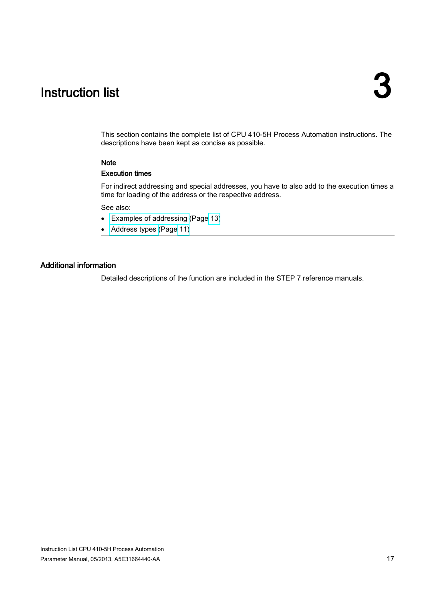# <span id="page-16-0"></span>Instruction list  $\mathbf 3$

This section contains the complete list of CPU 410-5H Process Automation instructions. The descriptions have been kept as concise as possible.

#### **Note**

#### Execution times

For indirect addressing and special addresses, you have to also add to the execution times a time for loading of the address or the respective address.

See also:

- [Examples of addressing](#page-12-0) (Page [13\)](#page-12-0)
- [Address types](#page-10-1) (Page [11\)](#page-10-1)

#### Additional information

Detailed descriptions of the function are included in the STEP 7 reference manuals.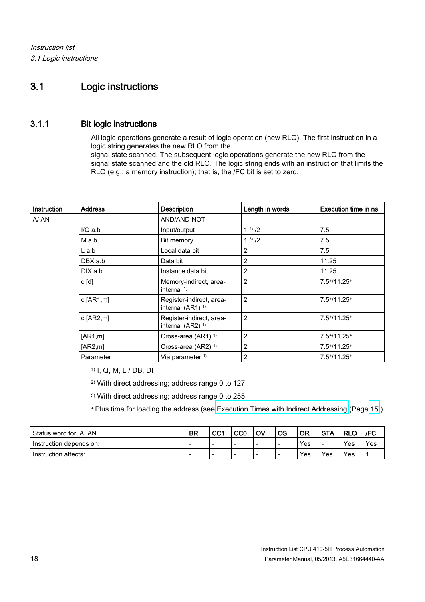3.1 Logic instructions

## <span id="page-17-1"></span><span id="page-17-0"></span>3.1 Logic instructions

#### 3.1.1 Bit logic instructions

All logic operations generate a result of logic operation (new RLO). The first instruction in a logic string generates the new RLO from the

signal state scanned. The subsequent logic operations generate the new RLO from the signal state scanned and the old RLO. The logic string ends with an instruction that limits the RLO (e.g., a memory instruction); that is, the /FC bit is set to zero.

| <b>Instruction</b> | <b>Address</b>                            | <b>Description</b>                                       | Length in words | <b>Execution time in ns</b> |
|--------------------|-------------------------------------------|----------------------------------------------------------|-----------------|-----------------------------|
| A/AN               |                                           | AND/AND-NOT                                              |                 |                             |
|                    | $I/Q$ a.b                                 | Input/output                                             | $1^{2}$ /2      | 7.5                         |
|                    | M a.b                                     | Bit memory                                               | $1^{3}$ /2      | 7.5                         |
|                    | L a.b                                     | Local data bit                                           | 2               | 7.5                         |
|                    | DBX a.b                                   | Data bit                                                 | 2               | 11.25                       |
|                    | DIX a.b                                   | Instance data bit                                        | $\overline{2}$  | 11.25                       |
|                    | c[d]                                      | Memory-indirect, area-<br>internal <sup>1)</sup>         | $\overline{2}$  | $7.5^{+}/11.25^{+}$         |
|                    | $c$ [AR1, $m$ ]<br>$c$ [AR2,m]<br>[AR1,m] | Register-indirect, area-<br>internal (AR1) <sup>1)</sup> | $\overline{2}$  | $7.5^{+}/11.25^{+}$         |
|                    |                                           | Register-indirect, area-<br>internal (AR2) <sup>1)</sup> | $\overline{2}$  | $7.5^{+}/11.25^{+}$         |
|                    |                                           | Cross-area (AR1) <sup>1)</sup>                           | 2               | $7.5^{+}/11.25^{+}$         |
|                    | [AR2,m]                                   | Cross-area (AR2) <sup>1)</sup>                           | 2               | $7.5^{+}/11.25^{+}$         |
|                    | Parameter                                 | Via parameter <sup>1)</sup>                              | $\overline{2}$  | $7.5^{+}/11.25^{+}$         |

1) I, Q, M, L / DB, DI

2) With direct addressing; address range 0 to 127

3) With direct addressing; address range 0 to 255

+ Plus time for loading the address (see [Execution Times with Indirect Addressing](#page-14-0) (Page [15\)](#page-14-0))

| Status word for: A, AN  | BR | CC <sub>1</sub>          | CC <sub>0</sub> | OV                       | OS                       | <b>OR</b> | <b>STA</b>               | <b>RLO</b> | /FC |
|-------------------------|----|--------------------------|-----------------|--------------------------|--------------------------|-----------|--------------------------|------------|-----|
| Instruction depends on: | -  | $\overline{\phantom{0}}$ | -               | $\overline{\phantom{a}}$ | $\overline{\phantom{a}}$ | Yes       | $\overline{\phantom{0}}$ | Yes        | Yes |
| Instruction affects:    | -  | $\overline{\phantom{0}}$ | -               | $\overline{\phantom{a}}$ | $\overline{\phantom{a}}$ | Yes       | Yes                      | Yes        |     |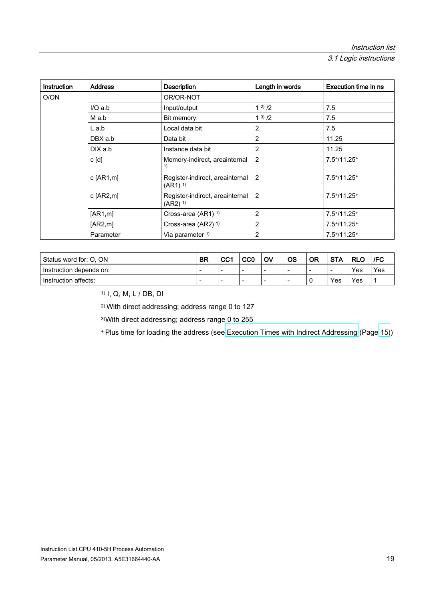Instruction list

3.1 Logic instructions

| <b>Instruction</b> | <b>Address</b>  | <b>Description</b>                                       | Length in words | Execution time in ns. |  |
|--------------------|-----------------|----------------------------------------------------------|-----------------|-----------------------|--|
| O/ON               |                 | OR/OR-NOT                                                |                 |                       |  |
|                    | $I/Q$ a.b       | Input/output                                             | $1^{2}$ /2      | 7.5                   |  |
|                    | M a.b           | Bit memory                                               | $1^{3}$ /2      | 7.5                   |  |
|                    | L a.b           | Local data bit                                           | 2               | 7.5                   |  |
|                    | DBX a.b         | Data bit                                                 | 2               | 11.25                 |  |
|                    | $DIX$ a.b       | Instance data bit                                        | 2               | 11.25                 |  |
|                    | c[d]            | Memory-indirect, areainternal<br>1)                      | $\overline{2}$  | $7.5^{+}/11.25^{+}$   |  |
|                    | $c$ [AR1, $m$ ] | Register-indirect, areainternal<br>$(AR1)$ <sup>1)</sup> | $\overline{2}$  | $7.5^{+}/11.25^{+}$   |  |
|                    | $c$ [AR2, $m$ ] | Register-indirect, areainternal<br>$(AR2)$ <sup>1)</sup> | $\overline{2}$  | $7.5^{+}/11.25^{+}$   |  |
|                    | [AR1,m]         | Cross-area (AR1) <sup>1)</sup>                           | $\overline{2}$  | $7.5^{+}/11.25^{+}$   |  |
|                    | [AR2,m]         | Cross-area (AR2) <sup>1)</sup>                           | 2               | $7.5^{+}/11.25^{+}$   |  |
|                    | Parameter       | Via parameter <sup>1)</sup>                              | 2               | $7.5^{+}/11.25^{+}$   |  |

| Status word for: O, ON  | BR                       | $\sim$<br>ו שט           | CC <sub>0</sub>          | OV                       | OS                       | <b>OR</b> | <b>STA</b>               | <b>RLC</b> | /FC |
|-------------------------|--------------------------|--------------------------|--------------------------|--------------------------|--------------------------|-----------|--------------------------|------------|-----|
| Instruction depends on: | $\overline{\phantom{a}}$ | $\overline{\phantom{a}}$ | $\overline{\phantom{a}}$ | $\overline{\phantom{0}}$ | $\overline{\phantom{a}}$ |           | $\overline{\phantom{0}}$ | Yes        | Yes |
| Instruction affects:    | $\overline{\phantom{a}}$ | $\overline{\phantom{a}}$ | $\overline{\phantom{a}}$ | $\overline{\phantom{0}}$ | $\overline{\phantom{0}}$ |           | Yes                      | Yes        |     |

1) I, Q, M, L / DB, DI

2) With direct addressing; address range 0 to 127

3)With direct addressing; address range 0 to 255

+ Plus time for loading the address (see [Execution Times with Indirect Addressing](#page-14-0) (Page [15\)](#page-14-0))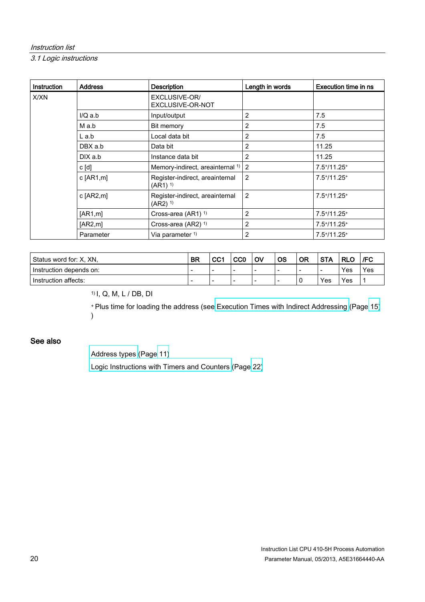#### Instruction list

3.1 Logic instructions

| <b>Instruction</b> | <b>Address</b>  | <b>Description</b>                                       | Length in words | <b>Execution time in ns</b> |
|--------------------|-----------------|----------------------------------------------------------|-----------------|-----------------------------|
| X/XN               |                 | EXCLUSIVE-OR/<br>EXCLUSIVE-OR-NOT                        |                 |                             |
|                    | $I/Q$ a.b       | Input/output                                             | $\overline{2}$  | 7.5                         |
|                    | M a.b           | Bit memory                                               | $\overline{2}$  | 7.5                         |
|                    | L a.b           | Local data bit                                           | 2               | 7.5                         |
|                    | DBX a.b         | Data bit                                                 | $\overline{2}$  | 11.25                       |
|                    | $DIX$ a.b       | Instance data bit                                        | $\overline{2}$  | 11.25                       |
|                    | c[d]            | Memory-indirect, areainternal <sup>1)</sup>   2          |                 | $7.5^{+}/11.25^{+}$         |
|                    | $c$ [AR1, $m$ ] | Register-indirect, areainternal<br>$(AR1)$ <sup>1)</sup> | 2               | $7.5^{+}/11.25^{+}$         |
|                    | $c$ [AR2, $m$ ] | Register-indirect, areainternal<br>(AR2) <sup>1)</sup>   | $\overline{2}$  | $7.5^{+}/11.25^{+}$         |
|                    | [AR1,m]         | Cross-area (AR1) <sup>1)</sup>                           | $\overline{2}$  | $7.5^{+}/11.25^{+}$         |
|                    | [AR2,m]         | Cross-area (AR2) <sup>1)</sup>                           | 2               | $7.5^{+}/11.25^{+}$         |
|                    | Parameter       | Via parameter <sup>1)</sup>                              | $\overline{2}$  | $7.5^{+}/11.25^{+}$         |

| Status word for: X, XN, | <b>BR</b> | CC <sub>1</sub>          | CC <sub>0</sub>          | <b>OV</b>                | OS | <b>OR</b>                | <b>STA</b>               | <b>RLC</b> | /FC |
|-------------------------|-----------|--------------------------|--------------------------|--------------------------|----|--------------------------|--------------------------|------------|-----|
| Instruction depends on: |           | $\overline{\phantom{a}}$ | $\overline{\phantom{0}}$ | $\overline{\phantom{0}}$ | -  | $\overline{\phantom{0}}$ | $\overline{\phantom{a}}$ | Yes        | Yes |
| Instruction affects:    |           | $\overline{\phantom{a}}$ | $\overline{\phantom{0}}$ | -                        |    |                          | Yes                      | Yes        |     |

1) I, Q, M, L / DB, DI

+ Plus time for loading the address (see [Execution Times with Indirect Addressing](#page-14-0) (Page [15\)](#page-14-0) )

#### See also

[Address types](#page-10-1) (Page [11\)](#page-10-1)

[Logic Instructions with Timers and Counters](#page-21-1) (Page [22\)](#page-21-1)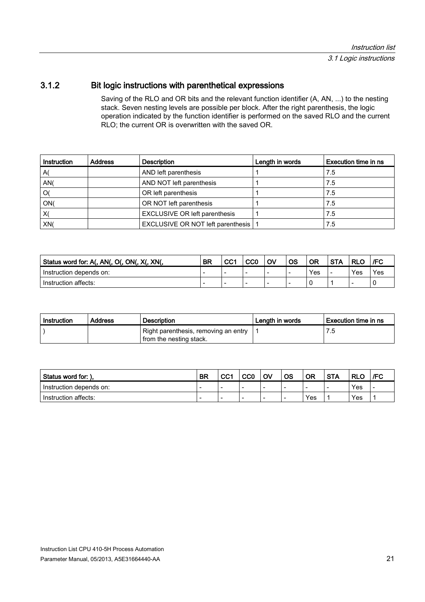#### <span id="page-20-0"></span>3.1.2 Bit logic instructions with parenthetical expressions

Saving of the RLO and OR bits and the relevant function identifier (A, AN, ...) to the nesting stack. Seven nesting levels are possible per block. After the right parenthesis, the logic operation indicated by the function identifier is performed on the saved RLO and the current RLO; the current OR is overwritten with the saved OR.

| Instruction     | <b>Address</b> | <b>Description</b>                   | Length in words | Execution time in ns |
|-----------------|----------------|--------------------------------------|-----------------|----------------------|
| A١              |                | AND left parenthesis                 |                 | 7.5                  |
| AN(             |                | AND NOT left parenthesis             |                 | 7.5                  |
| O(              |                | OR left parenthesis                  |                 | 7.5                  |
| ON <sub>(</sub> |                | OR NOT left parenthesis              |                 | 7.5                  |
|                 |                | <b>EXCLUSIVE OR left parenthesis</b> |                 | 7.5                  |
| XN <sub>(</sub> |                | EXCLUSIVE OR NOT left parenthesis    |                 | 7.5                  |

| Status word for: A(, AN(, O(, ON(, X(, XN(, | <b>BR</b>                | CC <sub>1</sub>          | CC <sub>0</sub>          | OV | OS | <b>OR</b> | <b>STA</b>               | <b>RLC</b> | /FC |
|---------------------------------------------|--------------------------|--------------------------|--------------------------|----|----|-----------|--------------------------|------------|-----|
| Instruction depends on:                     | $\overline{\phantom{a}}$ | $\overline{\phantom{0}}$ | $\overline{\phantom{a}}$ |    |    | Yes       | $\overline{\phantom{0}}$ | Yes        | Yes |
| Instruction affects:                        | $\overline{\phantom{a}}$ | $\overline{\phantom{0}}$ | $\overline{\phantom{a}}$ |    | -  |           |                          |            |     |

| Instruction | <b>Address</b> | <b>Description</b>                   | Length in words | Execution time in ns |
|-------------|----------------|--------------------------------------|-----------------|----------------------|
|             |                | Right parenthesis, removing an entry |                 | ن. ا                 |
|             |                | from the nesting stack.              |                 |                      |

| Status word for: ),     | <b>BR</b>                | $\sim$<br>וטט | CC <sub>0</sub> | ov | <b>OS</b> | <b>OR</b> | ' STA | <b>RLC</b> | /FC |
|-------------------------|--------------------------|---------------|-----------------|----|-----------|-----------|-------|------------|-----|
| Instruction depends on: |                          | -             | -               |    |           | -         | . .   | Yes        |     |
| Instruction affects:    | $\overline{\phantom{0}}$ | -             | -               |    |           | Yes       |       | Yes        |     |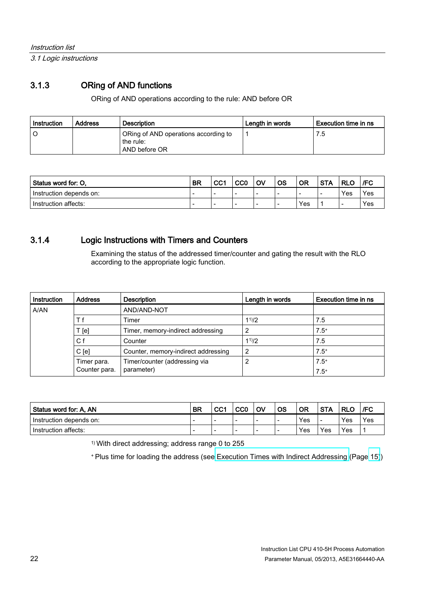3.1 Logic instructions

#### <span id="page-21-0"></span>3.1.3 ORing of AND functions

ORing of AND operations according to the rule: AND before OR

| Instruction | <b>Address</b> | <b>Description</b>                                                 | Length in words | Execution time in ns |
|-------------|----------------|--------------------------------------------------------------------|-----------------|----------------------|
|             |                | ORing of AND operations according to<br>the rule:<br>AND before OR |                 | 7.5                  |

| <b>BR</b><br>Status word for: O, |  | CC <sub>1</sub>          | CC <sub>0</sub>          | <b>OV</b> | <b>OS</b> | <b>OR</b> | <b>STA</b> | <b>RLC</b> | /FC |
|----------------------------------|--|--------------------------|--------------------------|-----------|-----------|-----------|------------|------------|-----|
| Instruction depends on:<br>-     |  | $\overline{\phantom{0}}$ | $\overline{\phantom{a}}$ |           | -         |           | -          | Yes        | Yes |
| Instruction affects:             |  |                          |                          |           | -         | Yes       |            | -          | Yes |

#### <span id="page-21-1"></span>3.1.4 Logic Instructions with Timers and Counters

Examining the status of the addressed timer/counter and gating the result with the RLO according to the appropriate logic function.

| Instruction | <b>Address</b> | <b>Description</b>                  | Length in words | Execution time in ns. |
|-------------|----------------|-------------------------------------|-----------------|-----------------------|
| A/AN        |                | AND/AND-NOT                         |                 |                       |
|             |                | Timer                               | $1^{11}/2$      | 7.5                   |
|             | T[e]           | Timer, memory-indirect addressing   | 2               | $7.5^{+}$             |
|             | C f            | Counter                             | $1^{11}/2$      | 7.5                   |
|             | C[e]           | Counter, memory-indirect addressing | 2               | $7.5^{+}$             |
|             | Timer para.    | Timer/counter (addressing via       | 2               | $7.5^{+}$             |
|             | Counter para.  | parameter)                          |                 | $7.5+$                |

| Status word for: A. AN    | BR | CC <sub>1</sub> | CC <sub>0</sub>          | <b>OV</b>                | OS                       | <b>OR</b> | <b>STA</b> | <b>RLO</b> | /FC |
|---------------------------|----|-----------------|--------------------------|--------------------------|--------------------------|-----------|------------|------------|-----|
| l Instruction depends on: |    |                 | $\overline{\phantom{0}}$ | $\overline{\phantom{0}}$ | $\overline{\phantom{a}}$ | Yes       | -          | Yes        | Yes |
| Instruction affects:      |    |                 | $\overline{\phantom{0}}$ | -                        | $\overline{\phantom{a}}$ | Yes       | Yes        | Yes        |     |

1) With direct addressing; address range 0 to 255

+ Plus time for loading the address (see [Execution Times with Indirect Addressing](#page-14-0) (Page [15\)](#page-14-0))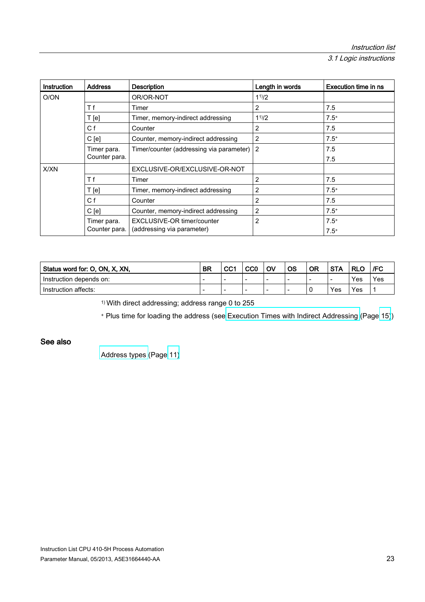Instruction list

3.1 Logic instructions

| <b>Instruction</b> | <b>Address</b> | <b>Description</b>                           | Length in words | Execution time in ns |
|--------------------|----------------|----------------------------------------------|-----------------|----------------------|
| O/ON               |                | OR/OR-NOT                                    | $1^{11}/2$      |                      |
|                    | Τf             | Timer                                        | 2               | 7.5                  |
|                    | T[e]           | Timer, memory-indirect addressing            | $1^{11}/2$      | $7.5^{+}$            |
|                    | C f            | Counter                                      | 2               | 7.5                  |
|                    | C[e]           | Counter, memory-indirect addressing          | 2               | $7.5+$               |
|                    | Timer para.    | Timer/counter (addressing via parameter)   2 |                 | 7.5                  |
|                    | Counter para.  |                                              |                 | 7.5                  |
| X/XN               |                | EXCLUSIVE-OR/EXCLUSIVE-OR-NOT                |                 |                      |
|                    | Τf             | Timer                                        | 2               | 7.5                  |
|                    | T[e]           | Timer, memory-indirect addressing            | 2               | $7.5^{+}$            |
|                    | C f            | Counter                                      | 2               | 7.5                  |
|                    | $C$ [e]        | Counter, memory-indirect addressing          | 2               | $7.5^{+}$            |
|                    | Timer para.    | EXCLUSIVE-OR timer/counter                   | 2               | $7.5^{+}$            |
|                    | Counter para.  | (addressing via parameter)                   |                 | $7.5^{+}$            |

| <b>BR</b><br>Status word for: O, ON, X, XN, |                          | CC <sub>1</sub> | CC <sub>0</sub>          | OV                       | OS                       | <b>OR</b>                | <b>STA</b>               | <b>RLC</b> | /FC |
|---------------------------------------------|--------------------------|-----------------|--------------------------|--------------------------|--------------------------|--------------------------|--------------------------|------------|-----|
| Instruction depends on:                     | $\overline{\phantom{0}}$ | -               | $\overline{\phantom{0}}$ | $\overline{\phantom{a}}$ | $\overline{\phantom{a}}$ | $\overline{\phantom{0}}$ | $\overline{\phantom{0}}$ | Yes        | Yes |
| Instruction affects:                        | -                        | -               | -                        | $\overline{\phantom{a}}$ | $\overline{\phantom{a}}$ |                          | Yes                      | Yes        |     |

1) With direct addressing; address range 0 to 255

<sup>+</sup> Plus time for loading the address (see [Execution Times with Indirect Addressing](#page-14-0) (Page [15\)](#page-14-0))

#### See also

[Address types](#page-10-1) (Page [11\)](#page-10-1)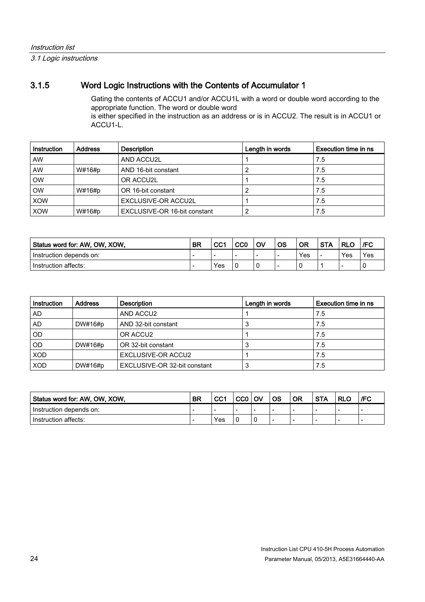3.1 Logic instructions

#### <span id="page-23-0"></span>3.1.5 Word Logic Instructions with the Contents of Accumulator 1

Gating the contents of ACCU1 and/or ACCU1L with a word or double word according to the appropriate function. The word or double word

is either specified in the instruction as an address or is in ACCU2. The result is in ACCU1 or ACCU1-L.

| Instruction | <b>Address</b> | <b>Description</b>           | Length in words | Execution time in ns |
|-------------|----------------|------------------------------|-----------------|----------------------|
| <b>AW</b>   |                | AND ACCU2L                   |                 | 7.5                  |
| AW          | W#16#p         | AND 16-bit constant          |                 | 7.5                  |
| <b>OW</b>   |                | OR ACCU2L                    |                 | 7.5                  |
| <b>OW</b>   | W#16#p         | OR 16-bit constant           |                 | 7.5                  |
| <b>XOW</b>  |                | EXCLUSIVE-OR ACCU2L          |                 | 7.5                  |
| <b>XOW</b>  | W#16#p         | EXCLUSIVE-OR 16-bit constant |                 | 7.5                  |

| Status word for: AW, OW, XOW,<br><b>BR</b> |   | CC <sub>1</sub>          | CC <sub>0</sub>          | OV                       | OS | <b>OR</b> | <b>STA</b> | <b>RLO</b> | /FC |
|--------------------------------------------|---|--------------------------|--------------------------|--------------------------|----|-----------|------------|------------|-----|
| l Instruction depends on:                  | - | $\overline{\phantom{0}}$ | $\overline{\phantom{a}}$ | $\overline{\phantom{0}}$ | -  | Yes       |            | Yes        | Yes |
| I Instruction affects:                     | - | Yes                      |                          |                          |    |           |            |            |     |

| Instruction | <b>Address</b> | <b>Description</b>           | Length in words | <b>Execution time in ns</b> |
|-------------|----------------|------------------------------|-----------------|-----------------------------|
| <b>AD</b>   |                | AND ACCU2                    |                 | 7.5                         |
| <b>AD</b>   | DW#16#p        | AND 32-bit constant          |                 | 7.5                         |
| OD          |                | OR ACCU2                     |                 | 7.5                         |
| OD          | DW#16#p        | OR 32-bit constant           |                 | 7.5                         |
| <b>XOD</b>  |                | EXCLUSIVE-OR ACCU2           |                 | 7.5                         |
| <b>XOD</b>  | DW#16#p        | EXCLUSIVE-OR 32-bit constant |                 | 7.5                         |

| Status word for: AW, OW, XOW, | BR | CC <sub>1</sub> | CC <sub>0</sub>          | . OV | OS | . OR | <b>STA</b> | <b>RLC</b>               |  |
|-------------------------------|----|-----------------|--------------------------|------|----|------|------------|--------------------------|--|
| I Instruction depends on:     | -  |                 | $\overline{\phantom{0}}$ | -    |    |      | -          | $\overline{\phantom{0}}$ |  |
| I Instruction affects:        | -  | Yes             |                          |      |    | . .  | -          | -                        |  |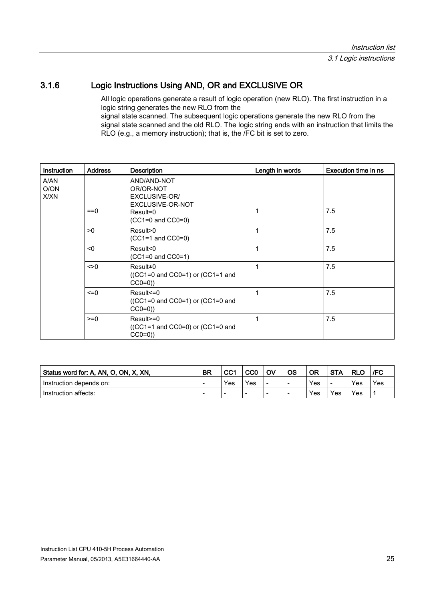#### <span id="page-24-0"></span>3.1.6 Logic Instructions Using AND, OR and EXCLUSIVE OR

All logic operations generate a result of logic operation (new RLO). The first instruction in a logic string generates the new RLO from the signal state scanned. The subsequent logic operations generate the new RLO from the signal state scanned and the old RLO. The logic string ends with an instruction that limits the RLO (e.g., a memory instruction); that is, the /FC bit is set to zero.

| Instruction          | <b>Address</b> | <b>Description</b>                                                                                 | Length in words | Execution time in ns. |
|----------------------|----------------|----------------------------------------------------------------------------------------------------|-----------------|-----------------------|
| A/AN<br>O/ON<br>X/XN | $==0$          | AND/AND-NOT<br>OR/OR-NOT<br>EXCLUSIVE-OR/<br>EXCLUSIVE-OR-NOT<br>Result=0<br>$(CC1=0$ and $CC0=0)$ |                 | 7.5                   |
|                      | >0             | Result>0<br>$(CC1=1$ and $CC0=0)$                                                                  |                 | 7.5                   |
|                      | < 0            | Result<0<br>$(CC1=0$ and $CC0=1)$                                                                  |                 | 7.5                   |
|                      | $\leq$ >0      | Result#0<br>$((CC1=0$ and $CC0=1)$ or $(CC1=1$ and<br>$CC0=0)$                                     |                 | 7.5                   |
|                      | $\leq$ =0      | $Result < = 0$<br>$((CC1=0$ and $CC0=1)$ or $(CC1=0$ and<br>$CC0=0)$                               |                 | 7.5                   |
|                      | $>=0$          | $Result>=0$<br>$((CC1=1$ and $CC0=0)$ or $(CC1=0$ and<br>$CC0=0)$                                  |                 | 7.5                   |

| Status word for: A, AN, O, ON, X, XN, | BR                       | CC <sub>1</sub>          | CC <sub>0</sub> | <b>OV</b>                | OS                       | <b>OR</b> | <b>STA</b> | <b>RLC</b> | /FC |
|---------------------------------------|--------------------------|--------------------------|-----------------|--------------------------|--------------------------|-----------|------------|------------|-----|
| Instruction depends on:               | $\overline{\phantom{0}}$ | Yes                      | Yes             | $\overline{\phantom{a}}$ | $\overline{\phantom{a}}$ | Yes       |            | Yes        | Yes |
| Instruction affects:                  | $\overline{\phantom{0}}$ | $\overline{\phantom{0}}$ | -               | $\overline{\phantom{0}}$ | $\overline{\phantom{0}}$ | Yes       | Yes        | Yes        |     |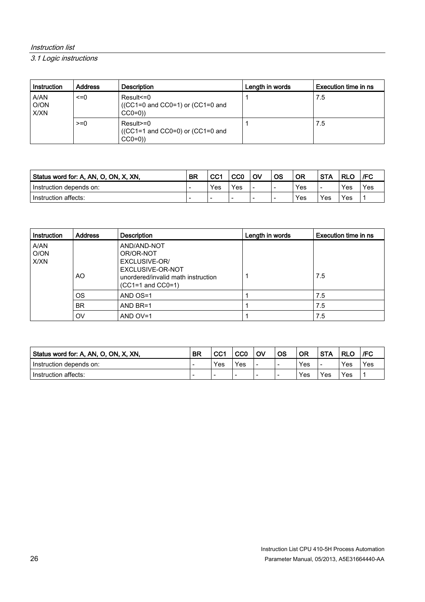#### Instruction list

3.1 Logic instructions

| Instruction          | <b>Address</b> | <b>Description</b>                                              | Length in words | Execution time in ns |
|----------------------|----------------|-----------------------------------------------------------------|-----------------|----------------------|
| A/AN<br>O/ON<br>X/XN | $\leq 0$       | Result<=0<br>$((CC1=0$ and $CC0=1)$ or $(CC1=0$ and<br>$CC0=0)$ |                 | 7.5                  |
|                      | $>=0$          | Result>=0<br>$((CC1=1$ and $CC0=0)$ or $(CC1=0$ and<br>$CC0=0)$ |                 | 7.5                  |

| Status word for: A, AN, O, ON, X, XN, | BR | CC <sub>1</sub>          | CC <sub>0</sub>          | <b>OV</b> | OS                       | OR  | <b>STA</b> | <b>RLO</b> | /FC |
|---------------------------------------|----|--------------------------|--------------------------|-----------|--------------------------|-----|------------|------------|-----|
| Instruction depends on:               |    | Yes                      | Yes                      |           | $\overline{\phantom{a}}$ | Yes |            | Yes        | Yes |
| Instruction affects:                  |    | $\overline{\phantom{0}}$ | $\overline{\phantom{0}}$ | -         | $\overline{\phantom{a}}$ | Yes | Yes        | Yes        |     |

| <b>Instruction</b>   | <b>Address</b> | <b>Description</b>                                                                                                            | Length in words | Execution time in ns. |
|----------------------|----------------|-------------------------------------------------------------------------------------------------------------------------------|-----------------|-----------------------|
| A/AN<br>O/ON<br>X/XN | AO             | AND/AND-NOT<br>OR/OR-NOT<br>EXCLUSIVE-OR/<br>EXCLUSIVE-OR-NOT<br>unordered/invalid math instruction<br>$(CC1=1$ and $CC0=1$ ) |                 | 7.5                   |
|                      | <b>OS</b>      | AND OS=1                                                                                                                      |                 | 7.5                   |
|                      | <b>BR</b>      | AND BR=1                                                                                                                      |                 | 7.5                   |
|                      | OV             | AND OV=1                                                                                                                      |                 | 7.5                   |

| Status word for: A, AN, O, ON, X, XN, | BR | CC <sub>1</sub> | CC <sub>0</sub> | <b>OV</b> | OS                       | <b>OR</b> | <b>STA</b> | <b>RLO</b>        | /FC               |
|---------------------------------------|----|-----------------|-----------------|-----------|--------------------------|-----------|------------|-------------------|-------------------|
| Instruction depends on:               |    | Yes             | Yes             |           | $\overline{\phantom{a}}$ | Yes       |            | Yes               | $V_{\mathsf{e}s}$ |
| Instruction affects:                  |    |                 |                 |           | -                        | Yes       | Yes        | $V_{\mathsf{e}s}$ |                   |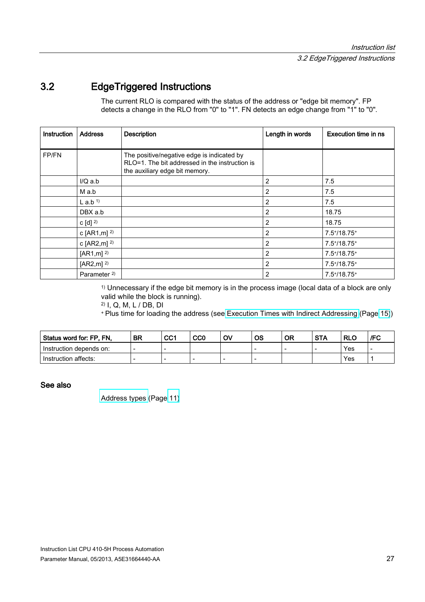## <span id="page-26-0"></span>3.2 EdgeTriggered Instructions

The current RLO is compared with the status of the address or "edge bit memory". FP detects a change in the RLO from "0" to "1". FN detects an edge change from "1" to "0".

| Instruction | <b>Address</b>            | <b>Description</b>                                                                                                             | Length in words | Execution time in ns. |
|-------------|---------------------------|--------------------------------------------------------------------------------------------------------------------------------|-----------------|-----------------------|
|             |                           |                                                                                                                                |                 |                       |
| FP/FN       |                           | The positive/negative edge is indicated by<br>RLO=1. The bit addressed in the instruction is<br>the auxiliary edge bit memory. |                 |                       |
|             | $I/Q$ a.b                 |                                                                                                                                | 2               | 7.5                   |
|             | M a.b                     |                                                                                                                                | 2               | 7.5                   |
|             | L a.b $1$                 |                                                                                                                                | 2               | 7.5                   |
|             | DBX a.b                   |                                                                                                                                | 2               | 18.75                 |
|             | $C$ [d] $^{2)}$           |                                                                                                                                | 2               | 18.75                 |
|             | c $[AR1,m]$ <sup>2)</sup> |                                                                                                                                | 2               | $7.5^{+}/18.75^{+}$   |
|             | c [AR2, m] $^{2)}$        |                                                                                                                                | $\overline{2}$  | $7.5^{+}/18.75^{+}$   |
|             | $[AR1,m]$ <sup>2)</sup>   |                                                                                                                                | 2               | $7.5^{+}/18.75^{+}$   |
|             | $[AR2,m]$ <sup>2)</sup>   |                                                                                                                                | $\overline{2}$  | $7.5^{+}/18.75^{+}$   |
|             | Parameter <sup>2)</sup>   |                                                                                                                                | 2               | $7.5^{+}/18.75^{+}$   |

<sup>1)</sup> Unnecessary if the edge bit memory is in the process image (local data of a block are only valid while the block is running).

+ Plus time for loading the address (see [Execution Times with Indirect Addressing](#page-14-0) (Page [15\)](#page-14-0))

| Status word for: FP, FN, | BR                       | CC <sub>1</sub> | CC <sub>0</sub> | OV | ΟS | <b>OR</b> | <b>STA</b> | <b>RLC</b> | /FC |
|--------------------------|--------------------------|-----------------|-----------------|----|----|-----------|------------|------------|-----|
| Instruction depends on:  | -                        |                 |                 |    |    | -         |            | Yes        |     |
| Instruction affects:     | $\overline{\phantom{0}}$ |                 | -               | -  |    |           |            | Yes        |     |

#### See also

[Address types](#page-10-1) (Page [11\)](#page-10-1)

<sup>2)</sup> I, Q, M, L / DB, DI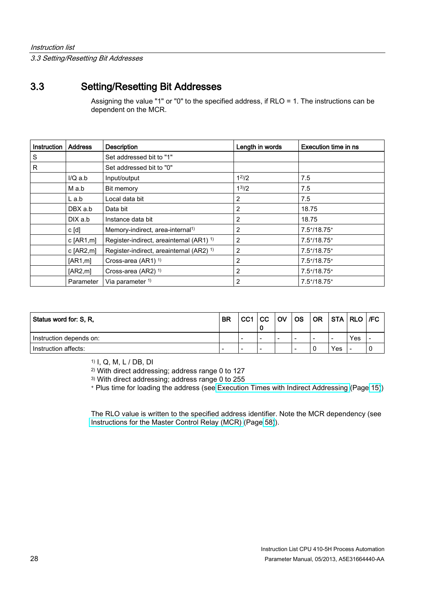3.3 Setting/Resetting Bit Addresses

### <span id="page-27-0"></span>3.3 Setting/Resetting Bit Addresses

Assigning the value "1" or "0" to the specified address, if RLO = 1. The instructions can be dependent on the MCR.

| <b>Instruction</b> | <b>Address</b>  | <b>Description</b>                                  | Length in words | Execution time in ns. |
|--------------------|-----------------|-----------------------------------------------------|-----------------|-----------------------|
| S                  |                 | Set addressed bit to "1"                            |                 |                       |
| R                  |                 | Set addressed bit to "0"                            |                 |                       |
|                    | $I/Q$ a.b       | Input/output                                        | $12$ /2         | 7.5                   |
|                    | M a.b           | Bit memory                                          | $1^{3}/2$       | 7.5                   |
|                    | L a.b           | Local data bit                                      | 2               | 7.5                   |
|                    | DBX a.b         | Data bit                                            | 2               | 18.75                 |
|                    | $DIX$ a.b       | Instance data bit                                   | 2               | 18.75                 |
|                    | c[d]            | Memory-indirect, area-internal <sup>1)</sup>        | $\overline{2}$  | $7.5^{+}/18.75^{+}$   |
|                    | $c$ [AR1, $m$ ] | Register-indirect, areainternal (AR1) <sup>1)</sup> | 2               | $7.5^{+}/18.75^{+}$   |
|                    | $c$ [AR2, $m$ ] | Register-indirect, areainternal (AR2) <sup>1)</sup> | 2               | $7.5^{+}/18.75^{+}$   |
|                    | [AR1,m]         | Cross-area (AR1) <sup>1)</sup>                      | $\overline{2}$  | $7.5^{+}/18.75^{+}$   |
|                    | [AR2,m]         | Cross-area (AR2) 1)                                 | 2               | $7.5^{+}/18.75^{+}$   |
|                    | Parameter       | Via parameter 1)                                    | $\overline{c}$  | $7.5+118.75+$         |

| Status word for: S, R,  | <b>BR</b>                | CC <sub>1</sub>          | CC                       | <b>I</b> OV | <b>OS</b>                | <b>OR</b> |                          | STA RLO /FC |     |
|-------------------------|--------------------------|--------------------------|--------------------------|-------------|--------------------------|-----------|--------------------------|-------------|-----|
| Instruction depends on: |                          | $\overline{\phantom{a}}$ | $\overline{\phantom{a}}$ | -           | $\overline{\phantom{0}}$ |           | $\overline{\phantom{0}}$ | Yes         |     |
| Instruction affects:    | $\overline{\phantom{0}}$ | $\overline{\phantom{a}}$ | $\overline{\phantom{a}}$ |             | -                        |           | Yes                      |             | - 0 |

1) I, Q, M, L / DB, DI

2) With direct addressing; address range 0 to 127

3) With direct addressing; address range 0 to 255

<sup>+</sup> Plus time for loading the address (see [Execution Times with Indirect Addressing](#page-14-0) (Page [15\)](#page-14-0))

The RLO value is written to the specified address identifier. Note the MCR dependency (see [Instructions for the Master Control Relay \(MCR\)](#page-57-0) (Page [58\)](#page-57-0)).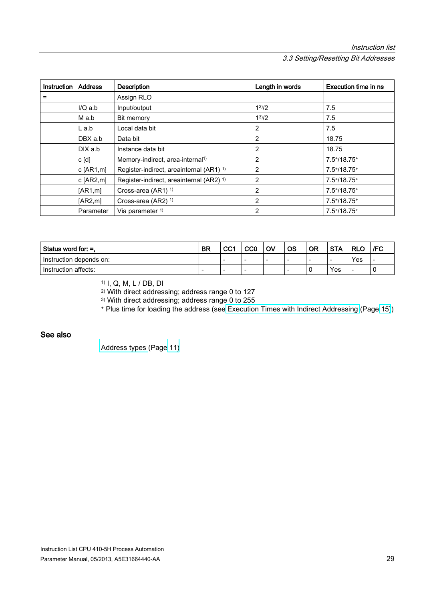Instruction list

3.3 Setting/Resetting Bit Addresses

| <b>Instruction</b> | <b>Address</b>  | <b>Description</b>                                  | Length in words | <b>Execution time in ns</b> |
|--------------------|-----------------|-----------------------------------------------------|-----------------|-----------------------------|
| =                  |                 | Assign RLO                                          |                 |                             |
|                    | $I/Q$ a.b       | Input/output                                        | $12$ /2         | 7.5                         |
|                    | M a.b           | Bit memory                                          | $1^{3}/2$       | 7.5                         |
|                    | $L$ a.b         | Local data bit                                      | $\overline{2}$  | 7.5                         |
|                    | DBX a.b         | Data bit                                            | 2               | 18.75                       |
|                    | $DIX$ a.b       | Instance data bit                                   | 2               | 18.75                       |
|                    | c[d]            | Memory-indirect, area-internal <sup>1)</sup>        | 2               | $7.5^{+}/18.75^{+}$         |
|                    | $c$ [AR1, $m$ ] | Register-indirect, areainternal (AR1) <sup>1)</sup> | 2               | $7.5^{+}/18.75^{+}$         |
|                    | $c$ [AR2,m]     | Register-indirect, areainternal (AR2) <sup>1)</sup> | 2               | $7.5^{+}/18.75^{+}$         |
|                    | [AR1,m]         | Cross-area (AR1) <sup>1)</sup>                      | 2               | $7.5^{+}/18.75^{+}$         |
|                    | [AR2,m]         | Cross-area (AR2) 1)                                 | $\overline{2}$  | $7.5^{+}/18.75^{+}$         |
|                    | Parameter       | Via parameter 1)                                    | 2               | $7.5^{+}/18.75^{+}$         |

| Status word for: $=$ .  | <b>BR</b>                | CC <sub>1</sub>          | CC <sub>0</sub>          | OV                       | OS                       | OR                       | <b>STA</b>               | <b>RLC</b> | /FC |
|-------------------------|--------------------------|--------------------------|--------------------------|--------------------------|--------------------------|--------------------------|--------------------------|------------|-----|
| Instruction depends on: |                          | -                        | $\overline{\phantom{a}}$ | $\overline{\phantom{0}}$ | $\overline{\phantom{a}}$ | $\overline{\phantom{0}}$ | $\overline{\phantom{a}}$ | Yes        | -   |
| Instruction affects:    | $\overline{\phantom{a}}$ | $\overline{\phantom{a}}$ | -                        |                          | -                        |                          | Yes                      |            |     |

1) I, Q, M, L / DB, DI

2) With direct addressing; address range 0 to 127

3) With direct addressing; address range 0 to 255

<sup>+</sup> Plus time for loading the address (see [Execution Times with Indirect Addressing](#page-14-0) (Page [15\)](#page-14-0))

#### See also

[Address types](#page-10-1) (Page [11\)](#page-10-1)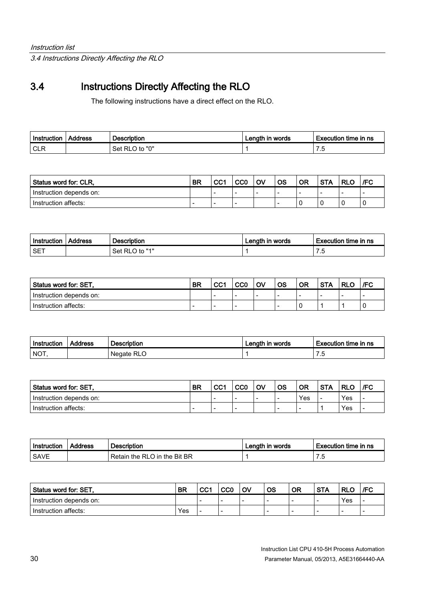3.4 Instructions Directly Affecting the RLO

## <span id="page-29-0"></span>3.4 Instructions Directly Affecting the RLO

The following instructions have a direct effect on the RLO.

| Instruction | Address | <b>Description</b> | Length in words | Execution time in ns |
|-------------|---------|--------------------|-----------------|----------------------|
| <b>CLR</b>  |         | Set RLO to "0"     |                 |                      |

| Status word for: CLR.   | <b>BR</b> | CC <sub>1</sub> | CC <sub>0</sub> | <b>OV</b> | OS | <b>OR</b>                | <b>STA</b> | <b>RLO</b> | l /FC |
|-------------------------|-----------|-----------------|-----------------|-----------|----|--------------------------|------------|------------|-------|
| Instruction depends on: |           |                 | -               | -         |    | $\overline{\phantom{0}}$ | -          | -          |       |
| Instruction affects:    | -         | -               | -               |           |    |                          |            |            | -U    |

| Instruction | <b>Address</b> | Description    | Length in words | <b>Execution time in ns</b> |
|-------------|----------------|----------------|-----------------|-----------------------------|
| . SET       |                | Set RLO to "1" |                 | ٠                           |

| Status word for: SET,   | <b>BR</b> | $\sim$<br>vv. | CC <sub>0</sub> | <b>OV</b> | <b>OS</b> | <b>OR</b> | <b>STA</b> | <b>RLC</b> | /FC                      |
|-------------------------|-----------|---------------|-----------------|-----------|-----------|-----------|------------|------------|--------------------------|
| Instruction depends on: |           |               | -               | -         | -         |           | -          | -          | $\overline{\phantom{0}}$ |
| Instruction affects:    |           |               | -               |           |           |           |            |            |                          |

| I Instruction | Address | <b>Description</b> | Lenath in words | Execution time in ns |
|---------------|---------|--------------------|-----------------|----------------------|
| I NOT         |         | Negate RLO         |                 | ن.                   |

| Status word for: SET,   | <b>BR</b> | CC <sub>1</sub> | CC <sub>0</sub>          | <b>OV</b> | <b>OS</b>                | <b>OR</b> | <b>STA</b> | <b>RLO</b> | /FC |
|-------------------------|-----------|-----------------|--------------------------|-----------|--------------------------|-----------|------------|------------|-----|
| Instruction depends on: |           |                 | $\overline{\phantom{0}}$ |           | $\overline{\phantom{a}}$ | Yes       |            | Yes        | -   |
| Instruction affects:    |           |                 | -                        |           | -                        | -         |            | Yes        | -   |

| Instruction | <b>Address</b> | <b>Description</b>           | Length in words | Execution time in ns |
|-------------|----------------|------------------------------|-----------------|----------------------|
| <b>SAVE</b> |                | Retain the RLO in the Bit BR |                 | ٠                    |

| Status word for: SET.   | BR  | CC <sub>1</sub>          | CC <sub>0</sub>          | <b>OV</b> | . OS | <b>OR</b>                | ' STA | DI. | /FC |
|-------------------------|-----|--------------------------|--------------------------|-----------|------|--------------------------|-------|-----|-----|
| Instruction depends on: |     |                          | $\overline{\phantom{0}}$ |           | -    | $\overline{\phantom{0}}$ |       | Yes |     |
| Instruction affects:    | Yes | $\overline{\phantom{a}}$ | -                        |           |      | -                        |       |     | -   |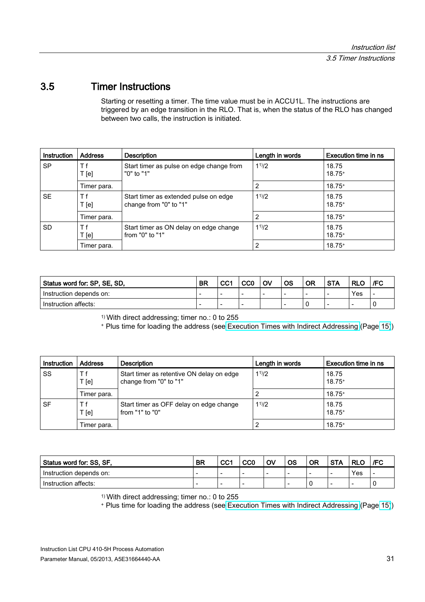## <span id="page-30-0"></span>3.5 Timer Instructions

Starting or resetting a timer. The time value must be in ACCU1L. The instructions are triggered by an edge transition in the RLO. That is, when the status of the RLO has changed between two calls, the instruction is initiated.

| Instruction | <b>Address</b> | <b>Description</b>                                              | Length in words | Execution time in ns |
|-------------|----------------|-----------------------------------------------------------------|-----------------|----------------------|
| <b>SP</b>   | T f<br>T[e]    | Start timer as pulse on edge change from<br>"0" to "1"          | $1^{11}/2$      | 18.75<br>$18.75+$    |
|             | Timer para.    |                                                                 | 2               | $18.75+$             |
| <b>SE</b>   | Τf<br>T[e]     | Start timer as extended pulse on edge<br>change from "0" to "1" | $1^{11}/2$      | 18.75<br>$18.75+$    |
|             | Timer para.    |                                                                 | 2               | $18.75+$             |
| <b>SD</b>   | T f<br>T[e]    | Start timer as ON delay on edge change<br>from "0" to "1"       | $1^{11}/2$      | 18.75<br>$18.75+$    |
|             | Timer para.    |                                                                 | 2               | $18.75+$             |

| Status word for: SP, SE, SD, | BR | $\sim$                   | CC <sub>0</sub>          | OV                       | <b>OS</b>                | OR.                      | <b>STA</b> | <b>RLO</b> | /FC |
|------------------------------|----|--------------------------|--------------------------|--------------------------|--------------------------|--------------------------|------------|------------|-----|
| Instruction depends on:      |    | $\overline{\phantom{0}}$ | $\overline{\phantom{a}}$ | $\overline{\phantom{a}}$ | $\overline{\phantom{a}}$ | $\overline{\phantom{0}}$ |            | Yes        |     |
| Instruction affects:         |    | $\overline{\phantom{a}}$ | -                        |                          |                          | υ                        | -          |            |     |

1) With direct addressing; timer no.: 0 to 255

<sup>+</sup> Plus time for loading the address (see [Execution Times with Indirect Addressing](#page-14-0) (Page [15\)](#page-14-0))

| Instruction | <b>Address</b> | <b>Description</b>                                                  | Length in words | Execution time in ns. |
|-------------|----------------|---------------------------------------------------------------------|-----------------|-----------------------|
| SS          | Τf<br>T [e]    | Start timer as retentive ON delay on edge<br>change from "0" to "1" | $1^{11}/2$      | 18.75<br>$18.75+$     |
|             | Timer para.    |                                                                     |                 | $18.75+$              |
| <b>SF</b>   | Τf<br>T [e]    | Start timer as OFF delay on edge change<br>from "1" to "0"          | $1^{11}/2$      | 18.75<br>$18.75+$     |
|             | Timer para.    |                                                                     | 2               | $18.75+$              |

| Status word for: SS, SF, | BR | CC <sub>1</sub>          | CC <sub>0</sub> | O٧ | OS | OR | <b>STA</b> | <b>RLC</b>               | /FC                      |
|--------------------------|----|--------------------------|-----------------|----|----|----|------------|--------------------------|--------------------------|
| Instruction depends on:  |    |                          | -               |    |    |    |            | Yes                      | $\overline{\phantom{a}}$ |
| Instruction affects:     |    | $\overline{\phantom{0}}$ | -               |    |    |    |            | $\overline{\phantom{0}}$ |                          |

1) With direct addressing; timer no.: 0 to 255

<sup>+</sup> Plus time for loading the address (see [Execution Times with Indirect Addressing](#page-14-0) (Page [15\)](#page-14-0))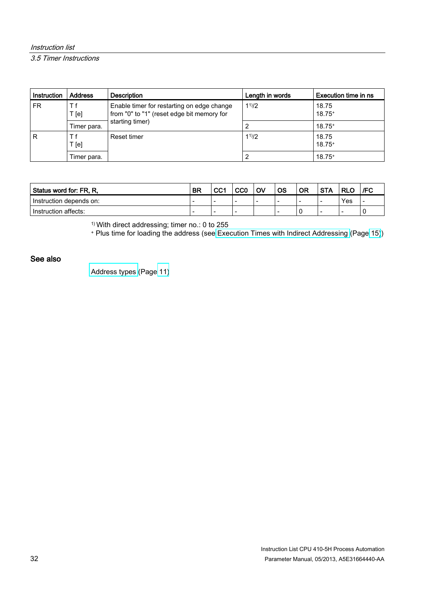#### Instruction list

3.5 Timer Instructions

| Instruction | <b>Address</b> | <b>Description</b>                                                                                          | Length in words | Execution time in ns. |
|-------------|----------------|-------------------------------------------------------------------------------------------------------------|-----------------|-----------------------|
| FR.         | Τf<br>T[e]     | Enable timer for restarting on edge change<br>from "0" to "1" (reset edge bit memory for<br>starting timer) | $1^{11}/2$      | 18.75<br>$18.75+$     |
|             | Timer para.    |                                                                                                             |                 | $18.75+$              |
| R           | Τf<br>T[e]     | Reset timer                                                                                                 | $1^{11}/2$      | 18.75<br>$18.75+$     |
|             | Timer para.    |                                                                                                             |                 | $18.75+$              |

| Status word for: FR, R, | <b>BR</b> | CC <sub>1</sub>          | CC <sub>0</sub>          | OV                       | <b>OS</b>                | <b>OR</b> | <b>STA</b> | <b>RLO</b> | /FC |
|-------------------------|-----------|--------------------------|--------------------------|--------------------------|--------------------------|-----------|------------|------------|-----|
| Instruction depends on: | -         |                          | $\overline{\phantom{0}}$ | $\overline{\phantom{0}}$ | $\overline{\phantom{a}}$ |           | -          | Yes        |     |
| Instruction affects:    |           | $\overline{\phantom{0}}$ | $\overline{\phantom{0}}$ |                          |                          |           | -          |            |     |

1) With direct addressing; timer no.: 0 to 255

<sup>+</sup> Plus time for loading the address (see [Execution Times with Indirect Addressing](#page-14-0) (Page [15\)](#page-14-0))

#### See also

[Address types](#page-10-1) (Page [11\)](#page-10-1)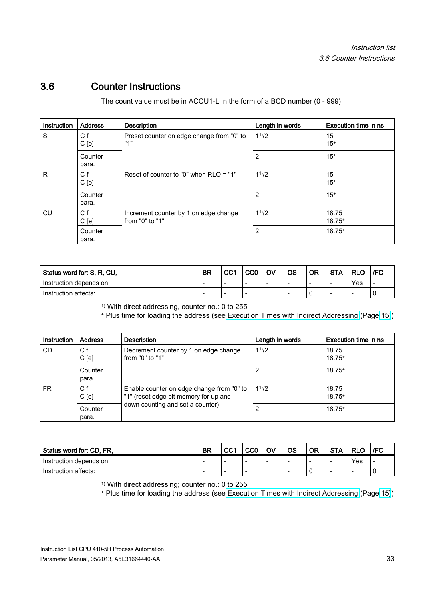## <span id="page-32-0"></span>3.6 Counter Instructions

The count value must be in ACCU1-L in the form of a BCD number (0 - 999).

| <b>Instruction</b> | <b>Address</b>                                                          | <b>Description</b>                               | Length in words | <b>Execution time in ns</b> |
|--------------------|-------------------------------------------------------------------------|--------------------------------------------------|-----------------|-----------------------------|
| S                  | C f<br>C[e]                                                             | Preset counter on edge change from "0" to<br>"1" | $1^{11}/2$      | 15<br>$15+$                 |
|                    | Counter<br>para.                                                        |                                                  | 2               | $15+$                       |
| R                  | C f<br>Reset of counter to "0" when $RLO = "1"$<br>C[e]                 |                                                  | $1^{11}/2$      | 15<br>$15+$                 |
|                    | Counter<br>para.                                                        |                                                  | $\overline{2}$  | $15+$                       |
| CU                 | C f<br>Increment counter by 1 on edge change<br>from "0" to "1"<br>C[e] |                                                  | $1^{11}/2$      | 18.75<br>$18.75+$           |
|                    | Counter<br>para.                                                        |                                                  | $\overline{2}$  | $18.75+$                    |

| Status word for: S, R, CU, | <b>BR</b> | CC <sub>1</sub> | CC <sub>0</sub> | OV | OS                       | OR | <b>STA</b>               | <b>RLC</b> | /FC                      |
|----------------------------|-----------|-----------------|-----------------|----|--------------------------|----|--------------------------|------------|--------------------------|
| Instruction depends on:    |           |                 |                 |    | $\overline{\phantom{a}}$ |    | $\overline{\phantom{0}}$ | Yes        | $\overline{\phantom{0}}$ |
| Instruction affects:       | -         |                 |                 |    | -                        |    | -                        | -          |                          |

1) With direct addressing, counter no.: 0 to 255

+ Plus time for loading the address (see [Execution Times with Indirect Addressing](#page-14-0) (Page [15\)](#page-14-0))

| <b>Instruction</b> | <b>Address</b>                                                                                       | Description                      | Length in words | Execution time in ns |
|--------------------|------------------------------------------------------------------------------------------------------|----------------------------------|-----------------|----------------------|
| CD                 | C f<br>Decrement counter by 1 on edge change<br>from "0" to "1"<br>$C$ [e]                           |                                  | $1^{11}/2$      | 18.75<br>$18.75+$    |
|                    | Counter<br>para.                                                                                     |                                  |                 | $18.75+$             |
| FR.                | C f<br>Enable counter on edge change from "0" to<br>"1" (reset edge bit memory for up and<br>$C$ [e] |                                  | $1^{11}/2$      | 18.75<br>$18.75+$    |
|                    | Counter<br>para.                                                                                     | down counting and set a counter) | 2               | $18.75+$             |

| Status word for: CD, FR, | <b>BR</b> | CC <sub>1</sub> | CC <sub>0</sub> | OV        | OS                       | ΟR | <b>STA</b>               | <b>RLC</b>               | /FC                      |
|--------------------------|-----------|-----------------|-----------------|-----------|--------------------------|----|--------------------------|--------------------------|--------------------------|
| Instruction depends on:  | -         |                 | -               | <b>__</b> | $\overline{\phantom{a}}$ |    | $\overline{\phantom{0}}$ | Yes                      | $\overline{\phantom{0}}$ |
| Instruction affects:     | -         |                 | -               |           |                          |    | $\overline{\phantom{0}}$ | $\overline{\phantom{a}}$ |                          |

1) With direct addressing; counter no.: 0 to 255

<sup>+</sup> Plus time for loading the address (see [Execution Times with Indirect Addressing](#page-14-0) (Page [15\)](#page-14-0))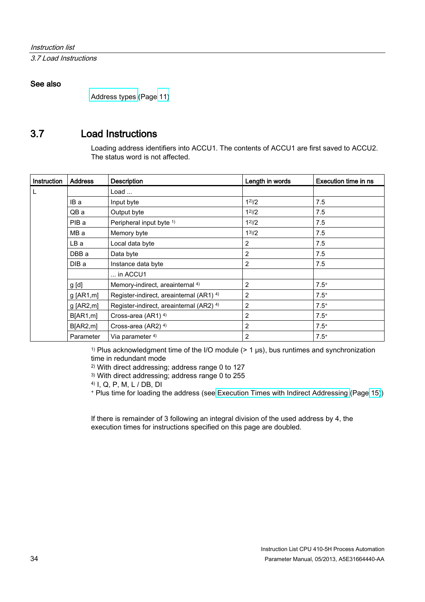3.7 Load Instructions

#### <span id="page-33-0"></span>See also

[Address types](#page-10-1) (Page [11\)](#page-10-1)

#### 3.7 Load Instructions

Loading address identifiers into ACCU1. The contents of ACCU1 are first saved to ACCU2. The status word is not affected.

| <b>Instruction</b> | <b>Address</b> | <b>Description</b>                       | Length in words | Execution time in ns. |
|--------------------|----------------|------------------------------------------|-----------------|-----------------------|
|                    |                | Load                                     |                 |                       |
|                    | IB a           | Input byte                               | $1^{2}/2$       | 7.5                   |
|                    | QB a           | Output byte                              | $1^{2}/2$       | 7.5                   |
|                    | PIB a          | Peripheral input byte 1)                 | $1^{2}/2$       | 7.5                   |
|                    | MB a           | Memory byte                              | $1^{3}/2$       | 7.5                   |
|                    | LB a           | Local data byte                          | $\overline{c}$  | 7.5                   |
|                    | DBB a          | Data byte                                | 2               | 7.5                   |
|                    | DIB a          | Instance data byte                       | $\overline{2}$  | 7.5                   |
|                    |                | $\ldots$ in ACCU1                        |                 |                       |
|                    | g [d]          | Memory-indirect, areainternal 4)         | $\overline{2}$  | $7.5+$                |
|                    | $g$ [AR1,m]    | Register-indirect, areainternal (AR1) 4) | $\overline{2}$  | $7.5^{+}$             |
|                    | g [AR2,m]      | Register-indirect, areainternal (AR2) 4) | 2               | $7.5^{+}$             |
|                    | B[AR1,m]       | Cross-area (AR1) 4)                      | $\overline{c}$  | $7.5+$                |
|                    | B[AR2,m]       | Cross-area (AR2) <sup>4)</sup>           | 2               | $7.5^{+}$             |
|                    | Parameter      | Via parameter 4)                         | 2               | $7.5+$                |

<sup>1)</sup> Plus acknowledgment time of the I/O module ( $>$  1 μs), bus runtimes and synchronization time in redundant mode

2) With direct addressing; address range 0 to 127

3) With direct addressing; address range 0 to 255

4) I, Q, P, M, L / DB, DI

<sup>+</sup> Plus time for loading the address (see [Execution Times with Indirect Addressing](#page-14-0) (Page [15\)](#page-14-0))

If there is remainder of 3 following an integral division of the used address by 4, the execution times for instructions specified on this page are doubled.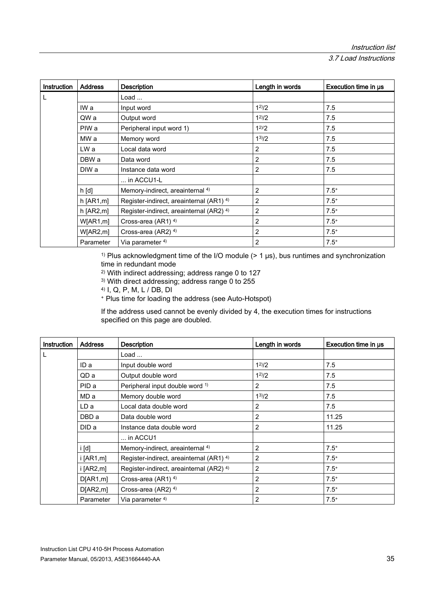Instruction list

3.7 Load Instructions

| <b>Instruction</b> | <b>Address</b> | <b>Description</b>                       | Length in words | Execution time in us |
|--------------------|----------------|------------------------------------------|-----------------|----------------------|
|                    |                | Load                                     |                 |                      |
|                    | IW a           | Input word                               | $12$ /2         | 7.5                  |
|                    | QW a           | Output word                              | $1^{2}/2$       | 7.5                  |
|                    | PIW a          | Peripheral input word 1)                 | $12$ /2         | 7.5                  |
|                    | MW a           | Memory word                              | $1^{3}/2$       | 7.5                  |
|                    | LW a           | Local data word                          | 2               | 7.5                  |
|                    | DBW a          | Data word                                | 2               | 7.5                  |
|                    | DIW a          | Instance data word                       | 2               | 7.5                  |
|                    |                | $\ldots$ in ACCU1-L                      |                 |                      |
|                    | h[d]           | Memory-indirect, areainternal 4)         | $\overline{c}$  | $7.5+$               |
|                    | $h$ [AR1,m]    | Register-indirect, areainternal (AR1) 4) | $\overline{2}$  | $7.5^{+}$            |
|                    | $h$ [AR2,m]    | Register-indirect, areainternal (AR2) 4) | 2               | $7.5^{+}$            |
|                    | W[AR1,m]       | Cross-area (AR1) 4)                      | 2               | $7.5^{+}$            |
|                    | W[AR2,m]       | Cross-area (AR2) <sup>4)</sup>           | 2               | $7.5^{+}$            |
|                    | Parameter      | Via parameter 4)                         | 2               | $7.5+$               |

<sup>1)</sup> Plus acknowledgment time of the I/O module  $($  > 1  $\mu$ s), bus runtimes and synchronization time in redundant mode

2) With indirect addressing; address range 0 to 127

3) With direct addressing; address range 0 to 255

4) I, Q, P, M, L / DB, DI

<sup>+</sup> Plus time for loading the address (see Auto-Hotspot)

If the address used cannot be evenly divided by 4, the execution times for instructions specified on this page are doubled.

| Instruction | <b>Address</b> | <b>Description</b>                       | Length in words | Execution time in us |
|-------------|----------------|------------------------------------------|-----------------|----------------------|
|             |                | Load                                     |                 |                      |
|             | ID a           | Input double word                        | $1^{2}/2$       | 7.5                  |
|             | QD a           | Output double word                       | $1^{2}/2$       | 7.5                  |
|             | PID a          | Peripheral input double word 1)          | $\overline{2}$  | 7.5                  |
|             | MD a           | Memory double word                       | $1^{3}/2$       | 7.5                  |
|             | LD a           | Local data double word                   | 2               | 7.5                  |
|             | DBD a          | Data double word                         | $\overline{c}$  | 11.25                |
|             | DID a          | Instance data double word                | 2               | 11.25                |
|             |                | in ACCU1                                 |                 |                      |
|             | i [d]          | Memory-indirect, areainternal 4)         | 2               | $7.5^{+}$            |
|             | [AR1,m]        | Register-indirect, areainternal (AR1) 4) | $\overline{2}$  | $7.5+$               |
|             | [AR2,m]        | Register-indirect, areainternal (AR2) 4) | $\overline{2}$  | $7.5^{+}$            |
|             | D[AR1,m]       | Cross-area (AR1) 4)                      | 2               | $7.5^{+}$            |
|             | D[AR2,m]       | Cross-area (AR2) 4)                      | $\overline{2}$  | $7.5+$               |
|             | Parameter      | Via parameter 4)                         | 2               | $7.5^{+}$            |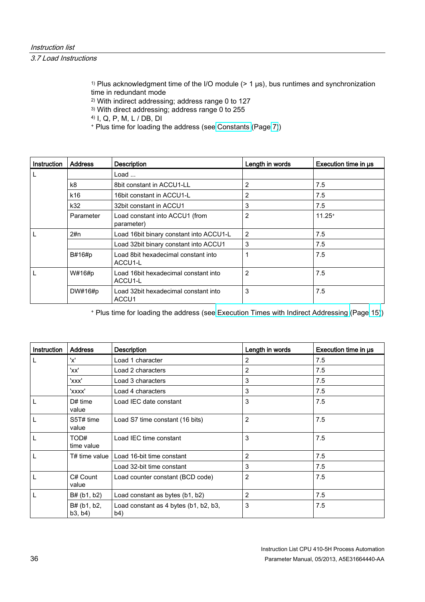3.7 Load Instructions

1) Plus acknowledgment time of the I/O module (> 1 μs), bus runtimes and synchronization time in redundant mode

2) With indirect addressing; address range 0 to 127

3) With direct addressing; address range 0 to 255

4) I, Q, P, M, L / DB, DI

<sup>+</sup> Plus time for loading the address (see [Constants](#page-6-0) (Page [7\)](#page-6-0))

| <b>Instruction</b> | <b>Address</b> | <b>Description</b>                                        | Length in words | Execution time in us |
|--------------------|----------------|-----------------------------------------------------------|-----------------|----------------------|
|                    |                | Load                                                      |                 |                      |
|                    | k8             | 8bit constant in ACCU1-LL                                 | 2               | 7.5                  |
|                    | k16            | 16 bit constant in ACCU1-L                                | 2               | 7.5                  |
|                    | k32            | 32bit constant in ACCU1                                   | 3               | 7.5                  |
|                    | Parameter      | Load constant into ACCU1 (from<br>parameter)              | $\overline{2}$  | $11.25+$             |
|                    | $2\#n$         | Load 16bit binary constant into ACCU1-L                   | 2               | 7.5                  |
|                    |                | Load 32bit binary constant into ACCU1                     | 3               | 7.5                  |
|                    | B#16#p         | Load 8bit hexadecimal constant into<br>ACCU1-L            | 1               | 7.5                  |
|                    | W#16#p         | Load 16bit hexadecimal constant into<br>ACCU1-L           | 2               | 7.5                  |
|                    | DW#16#p        | Load 32bit hexadecimal constant into<br>ACCU <sub>1</sub> | 3               | 7.5                  |

<sup>+</sup> Plus time for loading the address (see [Execution Times with Indirect Addressing](#page-14-0) (Page [15\)](#page-14-0))

| <b>Instruction</b> | <b>Address</b>         | <b>Description</b>                           | Length in words | Execution time in us |
|--------------------|------------------------|----------------------------------------------|-----------------|----------------------|
|                    | 'x'                    | Load 1 character                             | 2               | 7.5                  |
|                    | 'xx'                   | Load 2 characters                            | 2               | 7.5                  |
|                    | 'xxx'                  | Load 3 characters                            | 3               | 7.5                  |
|                    | 'xxxx'                 | Load 4 characters                            | 3               | 7.5                  |
|                    | $D#$ time<br>value     | Load IEC date constant                       | 3               | 7.5                  |
|                    | S5T# time<br>value     | Load S7 time constant (16 bits)              | $\overline{2}$  | 7.5                  |
|                    | TOD#<br>time value     | Load IEC time constant                       | 3               | 7.5                  |
|                    | T# time value          | Load 16-bit time constant                    | 2               | 7.5                  |
|                    |                        | Load 32-bit time constant                    | 3               | 7.5                  |
|                    | C# Count<br>value      | Load counter constant (BCD code)             | 2               | 7.5                  |
|                    | B# (b1, b2)            | Load constant as bytes (b1, b2)              | 2               | 7.5                  |
|                    | B# (b1, b2,<br>b3, b4) | Load constant as 4 bytes (b1, b2, b3,<br>b4) | 3               | 7.5                  |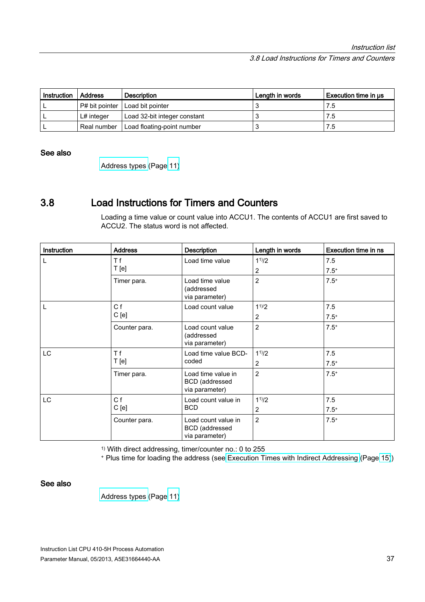3.8 Load Instructions for Timers and Counters

| Instruction | <b>Address</b> | <b>Description</b>                | Length in words | Execution time in us |
|-------------|----------------|-----------------------------------|-----------------|----------------------|
|             |                | P# bit pointer   Load bit pointer |                 | ⁄.5                  |
|             | $L#$ integer   | Load 32-bit integer constant      |                 |                      |
|             | Real number    | Load floating-point number        |                 | ′.5                  |

#### See also

[Address types](#page-10-0) (Page [11\)](#page-10-0)

### 3.8 Load Instructions for Timers and Counters

Loading a time value or count value into ACCU1. The contents of ACCU1 are first saved to ACCU2. The status word is not affected.

| <b>Instruction</b> | <b>Address</b> | <b>Description</b>                                             | Length in words | Execution time in ns |
|--------------------|----------------|----------------------------------------------------------------|-----------------|----------------------|
| L                  | T f            | Load time value                                                | $1^{11}/2$      | 7.5                  |
|                    | T[e]           |                                                                | 2               | $7.5+$               |
|                    | Timer para.    | Load time value<br>(addressed<br>via parameter)                | $\overline{2}$  | $7.5^{+}$            |
| L                  | C f            | Load count value                                               | $1^{11/2}$      | 7.5                  |
|                    | C[e]           |                                                                | $\overline{c}$  | $7.5^{+}$            |
|                    | Counter para.  | Load count value<br>(addressed<br>via parameter)               | $\overline{2}$  | $7.5^{+}$            |
| <b>LC</b>          | T f            | Load time value BCD-                                           | $1^{11}/2$      | 7.5                  |
|                    | T[e]           | coded                                                          | 2               | $7.5^{+}$            |
|                    | Timer para.    | Load time value in<br><b>BCD</b> (addressed<br>via parameter)  | $\overline{2}$  | $7.5^{+}$            |
| LC.                | C f            | Load count value in                                            | $1^{11}/2$      | 7.5                  |
|                    | C[e]           | BCD                                                            | 2               | $7.5^{+}$            |
|                    | Counter para.  | Load count value in<br><b>BCD</b> (addressed<br>via parameter) | 2               | $7.5+$               |

1) With direct addressing, timer/counter no.: 0 to 255

<sup>+</sup> Plus time for loading the address (see [Execution Times with Indirect Addressing](#page-14-0) (Page [15\)](#page-14-0))

#### See also

[Address types](#page-10-0) (Page [11\)](#page-10-0)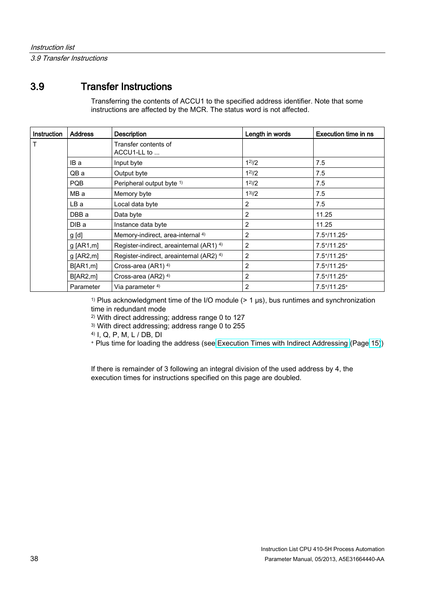### 3.9 Transfer Instructions

Transferring the contents of ACCU1 to the specified address identifier. Note that some instructions are affected by the MCR. The status word is not affected.

| Instruction | <b>Address</b> | <b>Description</b>                       | Length in words   | <b>Execution time in ns</b> |
|-------------|----------------|------------------------------------------|-------------------|-----------------------------|
|             |                | Transfer contents of<br>ACCU1-LL to      |                   |                             |
|             | IB a           | Input byte                               | 1 <sup>2</sup> /2 | 7.5                         |
|             | QB a           | Output byte                              | $12$ /2           | 7.5                         |
|             | PQB            | Peripheral output byte <sup>1)</sup>     | $1^{2}/2$         | 7.5                         |
|             | MB a           | Memory byte                              | $1^{3}/2$         | 7.5                         |
|             | LB a           | Local data byte                          | 2                 | 7.5                         |
|             | DBB a          | Data byte                                | $\overline{2}$    | 11.25                       |
|             | DIB a          | Instance data byte                       | 2                 | 11.25                       |
|             | g [d]          | Memory-indirect, area-internal 4)        | $\overline{2}$    | $7.5^{+}/11.25^{+}$         |
|             | $g$ [AR1,m]    | Register-indirect, areainternal (AR1) 4) | 2                 | $7.5^{+}/11.25^{+}$         |
|             | g [AR2,m]      | Register-indirect, areainternal (AR2) 4) | $\overline{2}$    | $7.5^{+}/11.25^{+}$         |
|             | B[AR1,m]       | Cross-area (AR1) 4)                      | $\overline{2}$    | $7.5^{+}/11.25^{+}$         |
|             | B[AR2,m]       | Cross-area (AR2) <sup>4)</sup>           | $\overline{2}$    | $7.5+11.25+$                |
|             | Parameter      | Via parameter 4)                         | 2                 | $7.5^{+}/11.25^{+}$         |

<sup>1)</sup> Plus acknowledgment time of the I/O module  $($  > 1  $\mu$ s), bus runtimes and synchronization time in redundant mode

2) With direct addressing; address range 0 to 127

3) With direct addressing; address range 0 to 255

4) I, Q, P, M, L / DB, DI

<sup>+</sup> Plus time for loading the address (see [Execution Times with Indirect Addressing](#page-14-0) (Page [15\)](#page-14-0))

If there is remainder of 3 following an integral division of the used address by 4, the execution times for instructions specified on this page are doubled.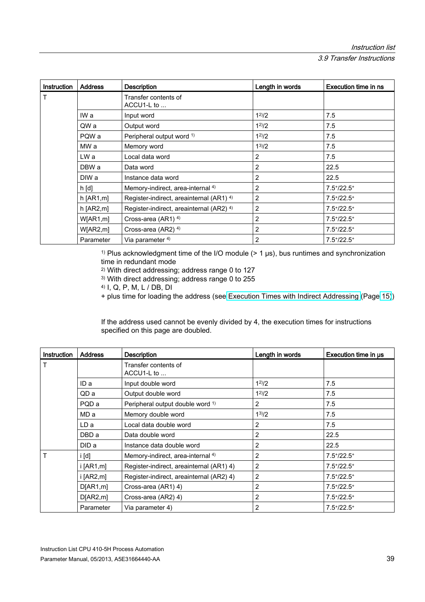3.9 Transfer Instructions

| Instruction | <b>Address</b>  | <b>Description</b>                                  | Length in words | <b>Execution time in ns</b> |
|-------------|-----------------|-----------------------------------------------------|-----------------|-----------------------------|
|             |                 | Transfer contents of<br>ACCU1-L to                  |                 |                             |
|             | IW a            | Input word                                          | $12$ /2         | 7.5                         |
|             | QW a            | Output word                                         | $12$ /2         | 7.5                         |
|             | PQW a           | Peripheral output word 1)                           | $12$ /2         | 7.5                         |
|             | MW a            | Memory word                                         | $1^{3}/2$       | 7.5                         |
|             | LW a            | Local data word                                     | 2               | 7.5                         |
|             | DBW a           | Data word                                           | 2               | 22.5                        |
|             | DIW a           | Instance data word                                  | 2               | 22.5                        |
|             | $h$ [d]         | Memory-indirect, area-internal 4)                   | 2               | $7.5^{+}/22.5^{+}$          |
|             | $h$ [AR1, $m$ ] | Register-indirect, areainternal (AR1) 4)            | $\overline{2}$  | $7.5^{+}/22.5^{+}$          |
|             | $h$ [AR2,m]     | Register-indirect, areainternal (AR2) <sup>4)</sup> | 2               | $7.5^{+}/22.5^{+}$          |
|             | W[AR1,m]        | Cross-area (AR1) $4$ )                              | 2               | $7.5^{+}/22.5^{+}$          |
|             | W[AR2,m]        | Cross-area (AR2) <sup>4)</sup>                      | 2               | $7.5^{+}/22.5^{+}$          |
|             | Parameter       | Via parameter <sup>4)</sup>                         | $\overline{c}$  | $7.5^{+}/22.5^{+}$          |

<sup>1)</sup> Plus acknowledgment time of the I/O module ( $>$  1 μs), bus runtimes and synchronization time in redundant mode

2) With direct addressing; address range 0 to 127

3) With direct addressing; address range 0 to 255

4) I, Q, P, M, L / DB, DI

+ plus time for loading the address (see [Execution Times with Indirect Addressing](#page-14-0) (Page [15\)](#page-14-0))

If the address used cannot be evenly divided by 4, the execution times for instructions specified on this page are doubled.

| Instruction | <b>Address</b> | <b>Description</b>                          | Length in words | Execution time in us |
|-------------|----------------|---------------------------------------------|-----------------|----------------------|
| T           |                | Transfer contents of<br>ACCU1-L to          |                 |                      |
|             | ID a           | Input double word                           | $12$ /2         | 7.5                  |
|             | QD a           | Output double word                          | $1^{2}/2$       | 7.5                  |
|             | PQD a          | Peripheral output double word <sup>1)</sup> | $\overline{2}$  | 7.5                  |
|             | MD a           | Memory double word                          | $1^{3}/2$       | 7.5                  |
|             | LD a           | Local data double word                      | 2               | 7.5                  |
|             | DBD a          | Data double word                            | 2               | 22.5                 |
|             | DID a          | Instance data double word                   | $\overline{2}$  | 22.5                 |
|             | [d]            | Memory-indirect, area-internal 4)           | 2               | $7.5^{+}/22.5^{+}$   |
|             | [AR1,m]        | Register-indirect, areainternal (AR1) 4)    | $\overline{2}$  | $7.5^{+}/22.5^{+}$   |
|             | [AR2,m]        | Register-indirect, areainternal (AR2) 4)    | 2               | $7.5^{+}/22.5^{+}$   |
|             | D[AR1,m]       | Cross-area (AR1) 4)                         | 2               | $7.5^{+}/22.5^{+}$   |
|             | D[AR2,m]       | Cross-area (AR2) 4)                         | $\overline{2}$  | $7.5^{+}/22.5^{+}$   |
|             | Parameter      | Via parameter 4)                            | 2               | $7.5^{+}/22.5^{+}$   |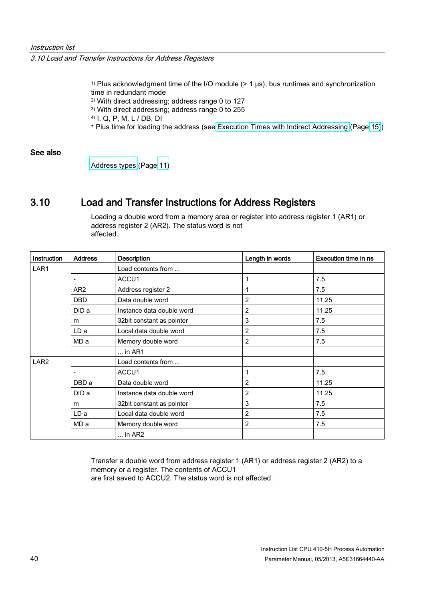3.10 Load and Transfer Instructions for Address Registers

<sup>1)</sup> Plus acknowledgment time of the I/O module  $(> 1 \,\mu s)$ , bus runtimes and synchronization time in redundant mode

2) With direct addressing; address range 0 to 127

3) With direct addressing; address range 0 to 255

4) I, Q, P, M, L / DB, DI

<sup>+</sup> Plus time for loading the address (see [Execution Times with Indirect Addressing](#page-14-0) (Page [15\)](#page-14-0))

#### See also

[Address types](#page-10-0) (Page [11\)](#page-10-0)

### 3.10 Load and Transfer Instructions for Address Registers

Loading a double word from a memory area or register into address register 1 (AR1) or address register 2 (AR2). The status word is not affected.

| <b>Instruction</b> | <b>Address</b>  | <b>Description</b>        | Length in words | Execution time in ns |
|--------------------|-----------------|---------------------------|-----------------|----------------------|
| LAR1               |                 | Load contents from        |                 |                      |
|                    | ۰               | ACCU1                     | 1               | 7.5                  |
|                    | AR <sub>2</sub> | Address register 2        | 1               | 7.5                  |
|                    | DBD             | Data double word          | $\overline{2}$  | 11.25                |
|                    | DID a           | Instance data double word | $\overline{2}$  | 11.25                |
|                    | m               | 32bit constant as pointer | $\sqrt{3}$      | 7.5                  |
|                    | LD a            | Local data double word    | $\overline{2}$  | 7.5                  |
|                    | MD a            | Memory double word        | $\overline{2}$  | 7.5                  |
|                    |                 | $\ldots$ in AR1           |                 |                      |
| LAR <sub>2</sub>   |                 | Load contents from        |                 |                      |
|                    | ۰               | ACCU1                     | $\mathbf{1}$    | 7.5                  |
|                    | DBD a           | Data double word          | $\overline{2}$  | 11.25                |
|                    | DID a           | Instance data double word | $\overline{2}$  | 11.25                |
|                    | m               | 32bit constant as pointer | 3               | 7.5                  |
|                    | LD a            | Local data double word    | $\overline{2}$  | 7.5                  |
|                    | MD a            | Memory double word        | $\overline{2}$  | 7.5                  |
|                    |                 | $\ldots$ in AR2           |                 |                      |

Transfer a double word from address register 1 (AR1) or address register 2 (AR2) to a memory or a register. The contents of ACCU1 are first saved to ACCU2. The status word is not affected.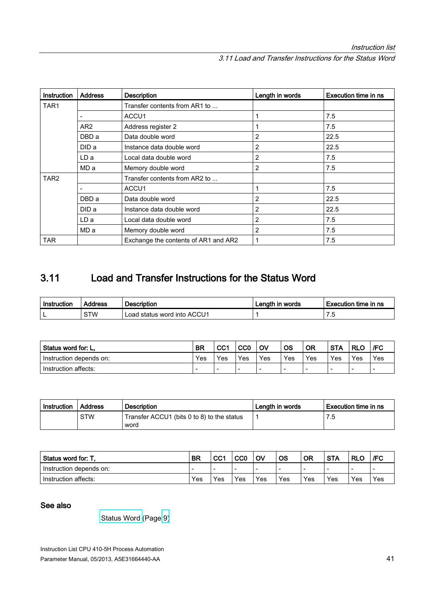3.11 Load and Transfer Instructions for the Status Word

| Instruction      | <b>Address</b>  | <b>Description</b>                   | Length in words | Execution time in ns |
|------------------|-----------------|--------------------------------------|-----------------|----------------------|
| TAR1             |                 | Transfer contents from AR1 to        |                 |                      |
|                  |                 | ACCU1                                | 1               | 7.5                  |
|                  | AR <sub>2</sub> | Address register 2                   | 1               | 7.5                  |
|                  | DBD a           | Data double word                     | 2               | 22.5                 |
|                  | DID a           | Instance data double word            | 2               | 22.5                 |
|                  | LD a            | Local data double word               | 2               | 7.5                  |
|                  | MD a            | Memory double word                   | $\overline{2}$  | 7.5                  |
| TAR <sub>2</sub> |                 | Transfer contents from AR2 to        |                 |                      |
|                  | ۰               | ACCU1                                | $\mathbf{1}$    | 7.5                  |
|                  | DBD a           | Data double word                     | 2               | 22.5                 |
|                  | DID a           | Instance data double word            | 2               | 22.5                 |
|                  | LD a            | Local data double word               | 2               | 7.5                  |
|                  | MD a            | Memory double word                   | 2               | 7.5                  |
| TAR              |                 | Exchange the contents of AR1 and AR2 | 1               | 7.5                  |

### 3.11 Load and Transfer Instructions for the Status Word

| Instruction | Address | <b>Description</b>          | Lenath in words | l Execution time in ns |
|-------------|---------|-----------------------------|-----------------|------------------------|
|             | STW     | Load status word into ACCU1 |                 |                        |

| Status word for: L.     | BR  | CC <sub>1</sub>          | CC <sub>0</sub> | ov  | <b>OS</b>                | OR  | <b>STA</b> | <b>RLC</b>               | /FC                      |
|-------------------------|-----|--------------------------|-----------------|-----|--------------------------|-----|------------|--------------------------|--------------------------|
| Instruction depends on: | Yes | Yes                      | Yes             | Yes | Yes                      | Yes | Yes        | Yes                      | Yes                      |
| Instruction affects:    |     | $\overline{\phantom{a}}$ | $\,$            | -   | $\overline{\phantom{a}}$ | -   | -          | $\overline{\phantom{0}}$ | $\overline{\phantom{0}}$ |

| Instruction | Address    | <b>Description</b>                                 | Length in words | Execution time in ns |
|-------------|------------|----------------------------------------------------|-----------------|----------------------|
|             | <b>STW</b> | Transfer ACCU1 (bits 0 to 8) to the status<br>word |                 | 7.5                  |

| Status word for: T.     | BR  | CC <sub>1</sub> | CC <sub>0</sub> | OV  | <b>OS</b>                | <b>OR</b> | <b>STA</b> | l RLC | /FC |
|-------------------------|-----|-----------------|-----------------|-----|--------------------------|-----------|------------|-------|-----|
| Instruction depends on: |     | -               | -               | -   | $\overline{\phantom{0}}$ | -         |            | . .   | -   |
| Instruction affects:    | Yes | Yes             | Yes             | Yes | Yes                      | Yes       | Yes        | Yes   | Yes |

### See also

[Status Word](#page-8-0) (Page [9\)](#page-8-0)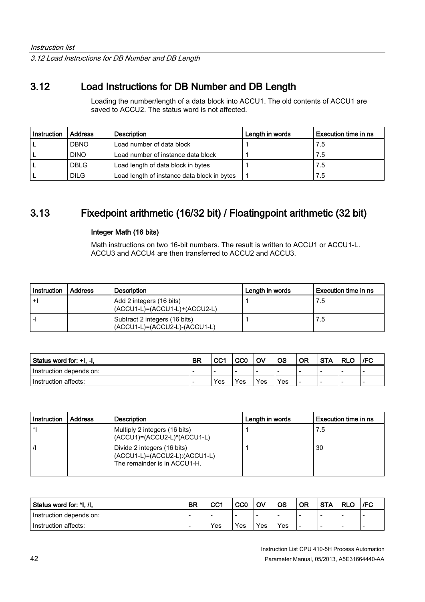# 3.12 Load Instructions for DB Number and DB Length

Loading the number/length of a data block into ACCU1. The old contents of ACCU1 are saved to ACCU2. The status word is not affected.

| Instruction | Address     | <b>Description</b>                          | Length in words | Execution time in ns |
|-------------|-------------|---------------------------------------------|-----------------|----------------------|
|             | <b>DBNO</b> | Load number of data block                   |                 | $^{\prime}$ .5       |
|             | <b>DINO</b> | Load number of instance data block          |                 | $\sqrt{.5}$          |
|             | <b>DBLG</b> | Load length of data block in bytes          |                 | 7.5                  |
|             | <b>DILG</b> | Load length of instance data block in bytes |                 | 7.5                  |

## 3.13 Fixedpoint arithmetic (16/32 bit) / Floatingpoint arithmetic (32 bit)

### Integer Math (16 bits)

Math instructions on two 16-bit numbers. The result is written to ACCU1 or ACCU1-L. ACCU3 and ACCU4 are then transferred to ACCU2 and ACCU3.

| Instruction | <b>Address</b> | <b>Description</b>                                             | Length in words | Execution time in ns |
|-------------|----------------|----------------------------------------------------------------|-----------------|----------------------|
| $+$         |                | Add 2 integers (16 bits)<br>$(ACCU1-L)=(ACCU1-L)+(ACCU2-L)$    |                 | 7.5                  |
|             |                | Subtract 2 integers (16 bits)<br>(ACCU1-L)=(ACCU2-L)-(ACCU1-L) |                 | 7.5                  |

| Status word for: +I, -I,  | <b>BR</b>                | CC <sub>1</sub>          | CC <sub>0</sub> | OV  | OS  | <b>OR</b> | <b>STA</b>               | <b>RLO</b>               | /FC |
|---------------------------|--------------------------|--------------------------|-----------------|-----|-----|-----------|--------------------------|--------------------------|-----|
| I Instruction depends on: | -                        | $\overline{\phantom{0}}$ | -               | -   | -   | -         | $\overline{\phantom{0}}$ | $\overline{\phantom{0}}$ | -   |
| Instruction affects:      | $\overline{\phantom{a}}$ | Yes                      | Yes             | Yes | Yes | -         | $\overline{\phantom{0}}$ | -                        | -   |

| Instruction | Address | <b>Description</b>                                                                             | Length in words | Execution time in ns |
|-------------|---------|------------------------------------------------------------------------------------------------|-----------------|----------------------|
| $*1$        |         | Multiply 2 integers (16 bits)<br>$(ACCU1)=(ACCU2-L)*(ACCU1-L)$                                 |                 | 7.5                  |
| $\sqrt{ }$  |         | Divide 2 integers (16 bits)<br>$(ACCU1-L)=(ACCU2-L):(ACCU1-L)$<br>The remainder is in ACCU1-H. |                 | 30                   |

| Status word for: *I, /I, | <b>BR</b> | $\sim$<br>ו טט           | CC <sub>0</sub>          | <b>OV</b>                | <b>OS</b>                | <b>OR</b>                | <b>STA</b>               | <b>RLO</b>               | /FC |
|--------------------------|-----------|--------------------------|--------------------------|--------------------------|--------------------------|--------------------------|--------------------------|--------------------------|-----|
| Instruction depends on:  |           | $\overline{\phantom{0}}$ | $\overline{\phantom{a}}$ | $\overline{\phantom{a}}$ | $\overline{\phantom{a}}$ | $\overline{\phantom{a}}$ | $\overline{\phantom{0}}$ | $\overline{\phantom{0}}$ |     |
| Instruction affects:     |           | Yes                      | Yes                      | Yes                      | Yes                      | $\overline{\phantom{a}}$ | $\overline{\phantom{0}}$ | -                        | -   |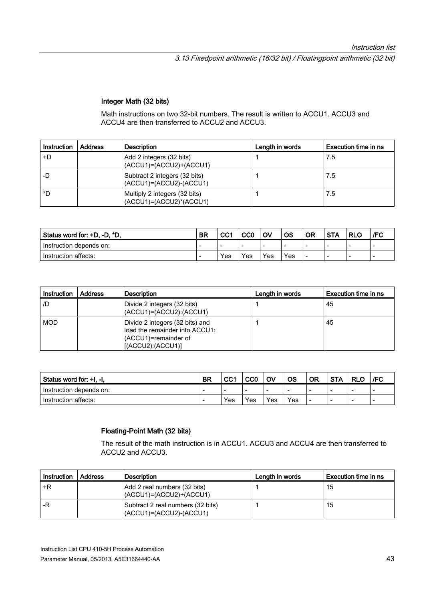### 3.13 Fixedpoint arithmetic (16/32 bit) / Floatingpoint arithmetic (32 bit)

#### Integer Math (32 bits)

Math instructions on two 32-bit numbers. The result is written to ACCU1. ACCU3 and ACCU4 are then transferred to ACCU2 and ACCU3.

| Instruction | <b>Address</b> | <b>Description</b>                                          | Length in words | Execution time in ns |
|-------------|----------------|-------------------------------------------------------------|-----------------|----------------------|
| +D          |                | Add 2 integers (32 bits)<br>$(ACCU1)=(ACCU2)+(ACCU1)$       |                 | 7.5                  |
| -D          |                | Subtract 2 integers (32 bits)<br>$(ACCU1)= (ACCU2)-(ACCU1)$ |                 | 7.5                  |
| *D          |                | Multiply 2 integers (32 bits)<br>(ACCU1)=(ACCU2)*(ACCU1)    |                 | 7.5                  |

| l Status word for: +D. -D. *D. | BR | CC <sub>1</sub>          | CC <sub>0</sub>          | <b>OV</b>                | OS  | OR | <b>STA</b>               | <b>RLC</b>               | /FC |
|--------------------------------|----|--------------------------|--------------------------|--------------------------|-----|----|--------------------------|--------------------------|-----|
| Instruction depends on:        |    | $\overline{\phantom{a}}$ | $\overline{\phantom{a}}$ | $\overline{\phantom{0}}$ | -   | -  | $\overline{\phantom{a}}$ | $\overline{\phantom{0}}$ |     |
| Instruction affects:           |    | Yes                      | Yes                      | Yes                      | Yes |    | $\overline{\phantom{0}}$ | $\overline{\phantom{0}}$ |     |

| Instruction | <b>Address</b> | <b>Description</b>                                                                                             | Length in words | Execution time in ns |
|-------------|----------------|----------------------------------------------------------------------------------------------------------------|-----------------|----------------------|
| /D          |                | Divide 2 integers (32 bits)<br>$(ACCU1)=(ACCU2):(ACCU1)$                                                       |                 | 45                   |
| <b>MOD</b>  |                | Divide 2 integers (32 bits) and<br>load the remainder into ACCU1:<br>(ACCU1)=remainder of<br>[(ACCU2):(ACCU1)] |                 | 45                   |

| Status word for: +I, -I, | BR                       | CC <sub>1</sub>          | CC <sub>0</sub>          | OV                       | OS                       | <b>OR</b>                | <b>STA</b> | <b>RLC</b>               | /FC                      |
|--------------------------|--------------------------|--------------------------|--------------------------|--------------------------|--------------------------|--------------------------|------------|--------------------------|--------------------------|
| Instruction depends on:  | $\overline{\phantom{0}}$ | $\overline{\phantom{a}}$ | $\overline{\phantom{0}}$ | $\overline{\phantom{a}}$ | $\overline{\phantom{a}}$ | $\overline{\phantom{0}}$ | -          | $\overline{\phantom{a}}$ | $\overline{\phantom{a}}$ |
| Instruction affects:     | $\overline{\phantom{0}}$ | Yes                      | Yes                      | Yes                      | Yes                      |                          | -          | $\overline{\phantom{0}}$ | $\overline{\phantom{0}}$ |

#### Floating-Point Math (32 bits)

The result of the math instruction is in ACCU1. ACCU3 and ACCU4 are then transferred to ACCU2 and ACCU3.

| Instruction | <b>Address</b> | <b>Description</b>                                           | Length in words | Execution time in ns |
|-------------|----------------|--------------------------------------------------------------|-----------------|----------------------|
| +R          |                | Add 2 real numbers (32 bits)<br>$(ACCU1)= (ACCU2)+ (ACCU1)$  |                 | 15                   |
| -R          |                | Subtract 2 real numbers (32 bits)<br>(ACCU1)=(ACCU2)-(ACCU1) |                 | 15                   |

Instruction List CPU 410-5H Process Automation Parameter Manual, 05/2013, A5E31664440-AA 43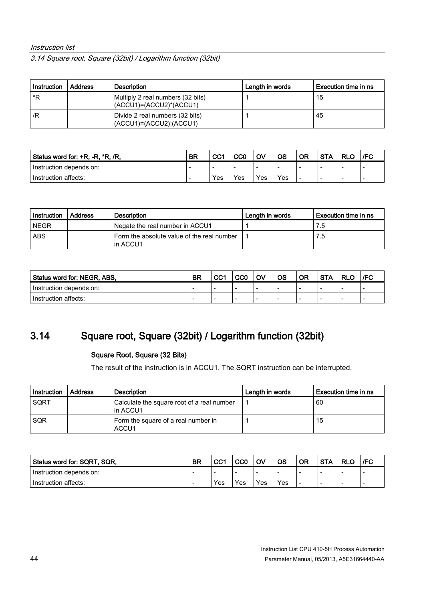3.14 Square root, Square (32bit) / Logarithm function (32bit)

| Instruction | I Address | Description                                                      | Length in words | Execution time in ns |
|-------------|-----------|------------------------------------------------------------------|-----------------|----------------------|
| *R          |           | Multiply 2 real numbers (32 bits)<br>$(ACCU1)= (ACCU2)^*(ACCU1)$ |                 | 15                   |
| /R          |           | Divide 2 real numbers (32 bits)<br>$(ACCU1)= (ACCU2):(ACCU1)$    |                 | 45                   |

| Status word for: +R, -R, *R, /R, | <b>BR</b> | CC <sub>1</sub> | CC <sub>0</sub> | O٧                       | OS                       | <b>OR</b> | <b>STA</b>               | <b>RLC</b>               | /FC                      |
|----------------------------------|-----------|-----------------|-----------------|--------------------------|--------------------------|-----------|--------------------------|--------------------------|--------------------------|
| I Instruction depends on:        |           | -               |                 | $\overline{\phantom{0}}$ | $\overline{\phantom{0}}$ |           | $\overline{\phantom{0}}$ | $\overline{\phantom{0}}$ | $\overline{\phantom{0}}$ |
| Instruction affects:             |           | Yes             | Yes             | Yes                      | Yes                      |           | $\overline{\phantom{0}}$ |                          | $\overline{\phantom{a}}$ |

| Instruction | Address | Description                                            | Length in words | Execution time in ns |
|-------------|---------|--------------------------------------------------------|-----------------|----------------------|
| <b>NEGR</b> |         | Negate the real number in ACCU1                        |                 |                      |
| <b>ABS</b>  |         | Form the absolute value of the real number<br>in ACCU1 |                 | 7.5                  |

| Status word for: NEGR, ABS, | <b>BR</b> | CC <sub>1</sub> | CC <sub>0</sub> | <b>OV</b> | OS | <b>OR</b> | <b>STA</b> | - RLL | /FC                      |
|-----------------------------|-----------|-----------------|-----------------|-----------|----|-----------|------------|-------|--------------------------|
| Instruction depends on:     |           | -               | -               |           | -  |           | -          | -     | $\overline{\phantom{0}}$ |
| Instruction affects:        |           | -               | -               |           | -  |           |            |       |                          |

# 3.14 Square root, Square (32bit) / Logarithm function (32bit)

### Square Root, Square (32 Bits)

The result of the instruction is in ACCU1. The SQRT instruction can be interrupted.

| l Instruction | <b>Address</b> | <b>Description</b>                                       | Length in words | Execution time in ns |
|---------------|----------------|----------------------------------------------------------|-----------------|----------------------|
| l SORT        |                | Calculate the square root of a real number<br>in ACCU1   |                 | 60                   |
| l SQR         |                | Form the square of a real number in<br>ACCU <sub>1</sub> |                 | 15                   |

| Status word for: SQRT, SQR, | BR | CC <sub>1</sub> | CC <sub>0</sub>          | <b>OV</b> | <b>OS</b> | <b>OR</b> | <b>STA</b> | <b>RLO</b> | <b>/FC</b> |
|-----------------------------|----|-----------------|--------------------------|-----------|-----------|-----------|------------|------------|------------|
| l Instruction depends on:   |    |                 | $\overline{\phantom{0}}$ |           | -         |           |            | -          |            |
| I Instruction affects:      |    | Yes             | Yes                      | Yes       | Yes       |           |            | -          | -          |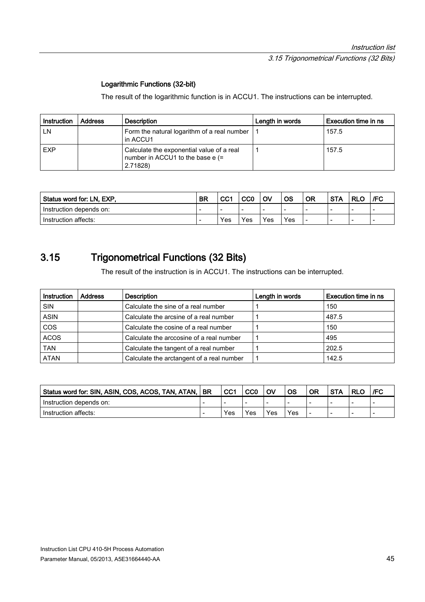3.15 Trigonometrical Functions (32 Bits)

### Logarithmic Functions (32-bit)

The result of the logarithmic function is in ACCU1. The instructions can be interrupted.

| Instruction | <b>Address</b> | Description                                                                                 | Length in words | Execution time in ns |
|-------------|----------------|---------------------------------------------------------------------------------------------|-----------------|----------------------|
| LN          |                | Form the natural logarithm of a real number<br>in ACCU1                                     |                 | 157.5                |
| EXP         |                | Calculate the exponential value of a real<br>number in ACCU1 to the base $e$ (=<br>2.71828) |                 | 157.5                |

| Status word for: LN, EXP, | <b>BR</b>                | CC <sub>1</sub> | CC <sub>0</sub> | . OV | <b>OS</b>                | <b>OR</b> | <b>STA</b> | <b>RLC</b> | /FC                      |
|---------------------------|--------------------------|-----------------|-----------------|------|--------------------------|-----------|------------|------------|--------------------------|
| Instruction depends on:   | $\overline{\phantom{0}}$ |                 | -               |      | $\overline{\phantom{0}}$ | -         |            |            | $\overline{\phantom{0}}$ |
| Instruction affects:      | $\overline{\phantom{a}}$ | Yes             | Yes             | Yes  | Yes                      | -         |            |            | $\overline{\phantom{0}}$ |

# 3.15 Trigonometrical Functions (32 Bits)

The result of the instruction is in ACCU1. The instructions can be interrupted.

| Instruction | <b>Address</b> | <b>Description</b>                        | Length in words | Execution time in ns. |
|-------------|----------------|-------------------------------------------|-----------------|-----------------------|
| <b>SIN</b>  |                | Calculate the sine of a real number       |                 | 150                   |
| <b>ASIN</b> |                | Calculate the arcsine of a real number    |                 | 487.5                 |
| COS         |                | Calculate the cosine of a real number     |                 | 150                   |
| <b>ACOS</b> |                | Calculate the arccosine of a real number  |                 | 495                   |
| TAN         |                | Calculate the tangent of a real number    |                 | 202.5                 |
| <b>ATAN</b> |                | Calculate the arctangent of a real number |                 | 142.5                 |

| Status word for: SIN, ASIN, COS, ACOS, TAN, ATAN, | I BR                     | CC <sub>1</sub> | CC <sub>0</sub> | <b>OV</b> | OS  | <b>OR</b> | <b>STA</b>               | <b>RLO</b> |  |
|---------------------------------------------------|--------------------------|-----------------|-----------------|-----------|-----|-----------|--------------------------|------------|--|
| Instruction depends on:                           | -                        |                 | -               |           |     |           | $\overline{\phantom{0}}$ |            |  |
| Instruction affects:                              | $\overline{\phantom{0}}$ | Yes             | Yes             | Yes       | Yes |           |                          |            |  |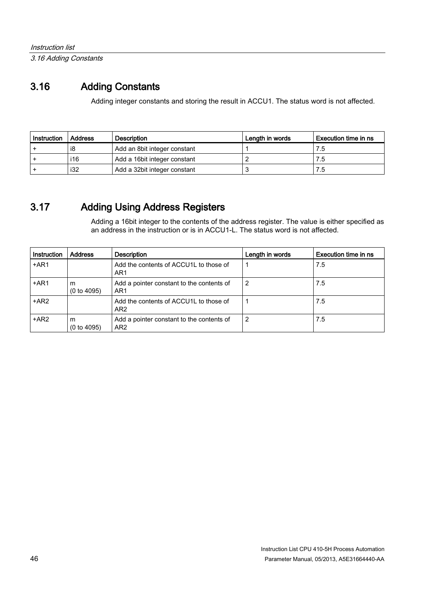# 3.16 Adding Constants

Adding integer constants and storing the result in ACCU1. The status word is not affected.

| Instruction | <b>Address</b> | <b>Description</b>           | Length in words | Execution time in ns |
|-------------|----------------|------------------------------|-----------------|----------------------|
|             | i8             | Add an 8bit integer constant |                 | .5                   |
|             | i16            | Add a 16bit integer constant |                 |                      |
|             | i32            | Add a 32bit integer constant |                 |                      |

# 3.17 Adding Using Address Registers

Adding a 16bit integer to the contents of the address register. The value is either specified as an address in the instruction or is in ACCU1-L. The status word is not affected.

| Instruction | <b>Address</b>   | <b>Description</b>                                           | Length in words | Execution time in ns. |
|-------------|------------------|--------------------------------------------------------------|-----------------|-----------------------|
| $+AR1$      |                  | Add the contents of ACCU1L to those of<br>AR <sub>1</sub>    |                 | 7.5                   |
| $+AR1$      | m<br>(0 to 4095) | Add a pointer constant to the contents of<br>AR <sub>1</sub> | 2               | 7.5                   |
| +AR2        |                  | Add the contents of ACCU1L to those of<br>AR <sub>2</sub>    |                 | 7.5                   |
| $+AR2$      | m<br>(0 to 4095) | Add a pointer constant to the contents of<br>AR <sub>2</sub> | 2               | 7.5                   |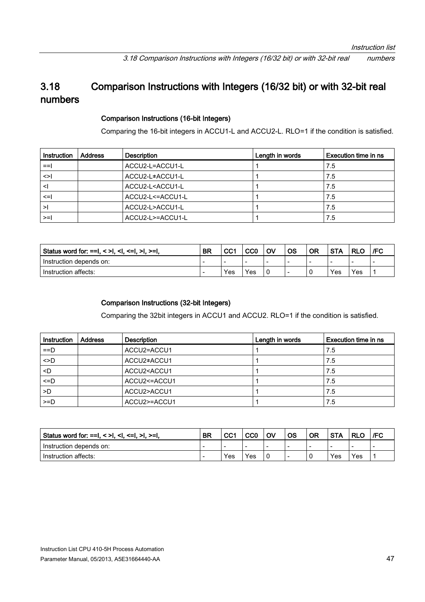3.18 Comparison Instructions with Integers (16/32 bit) or with 32-bit real numbers

### 3.18 Comparison Instructions with Integers (16/32 bit) or with 32-bit real numbers

### Comparison Instructions (16-bit Integers)

Comparing the 16-bit integers in ACCU1-L and ACCU2-L. RLO=1 if the condition is satisfied.

| Instruction | <b>Address</b> | <b>Description</b>                                       | Length in words | Execution time in ns |
|-------------|----------------|----------------------------------------------------------|-----------------|----------------------|
| $==$        |                | ACCU2-L=ACCU1-L                                          |                 | 7.5                  |
| $\le$       |                | ACCU2-L#ACCU1-L                                          |                 | 7.5                  |
| ⊲           |                | ACCU2-L <accu1-l< td=""><td></td><td>7.5</td></accu1-l<> |                 | 7.5                  |
| <=l         |                | ACCU2-L<=ACCU1-L                                         |                 | 7.5                  |
| ⋗∣          |                | ACCU2-L>ACCU1-L                                          |                 | 7.5                  |
| >≕l         |                | ACCU2-L>=ACCU1-L                                         |                 | 7.5                  |

| Status word for: $==1, < >1, <1, <=1, >1$ . | <b>BR</b>                | CC <sub>1</sub> | CC <sub>0</sub>          | OV                       | OS                       | OR                       | <b>STA</b> | <b>RLC</b> | /FC                      |
|---------------------------------------------|--------------------------|-----------------|--------------------------|--------------------------|--------------------------|--------------------------|------------|------------|--------------------------|
| Instruction depends on:                     | $\overline{\phantom{0}}$ |                 | $\overline{\phantom{a}}$ | $\overline{\phantom{a}}$ | $\overline{\phantom{a}}$ | $\overline{\phantom{0}}$ | -          | -          | $\overline{\phantom{a}}$ |
| Instruction affects:                        | $\overline{\phantom{0}}$ | Yes             | Yes                      |                          |                          |                          | Yes        | Yes        |                          |

### Comparison Instructions (32-bit Integers)

Comparing the 32bit integers in ACCU1 and ACCU2. RLO=1 if the condition is satisfied.

| Instruction | <b>Address</b> | <b>Description</b>                                 | Length in words | <b>Execution time in ns</b> |
|-------------|----------------|----------------------------------------------------|-----------------|-----------------------------|
| $==D$       |                | ACCU2=ACCU1                                        |                 | 7.5                         |
| $\leq$ D    |                | ACCU2#ACCU1                                        |                 | 7.5                         |
| $-D$        |                | ACCU2 <accu1< td=""><td></td><td>7.5</td></accu1<> |                 | 7.5                         |
| $=$ D       |                | ACCU2 <= ACCU1                                     |                 | 7.5                         |
| >D          |                | ACCU2>ACCU1                                        |                 | 7.5                         |
| $>=D$       |                | ACCU2>=ACCU1                                       |                 | 7.5                         |

| Status word for: $==1, <>1, <1, <=1, >1$ , | BR                       | <b>CO4</b><br>UU.        | CC0                      | o۷                       | ΟS                       | OR                       | <b>STA</b> | <b>RLC</b>               |                          |
|--------------------------------------------|--------------------------|--------------------------|--------------------------|--------------------------|--------------------------|--------------------------|------------|--------------------------|--------------------------|
| Instruction depends on:                    | -                        | $\overline{\phantom{a}}$ | $\overline{\phantom{a}}$ | $\overline{\phantom{0}}$ | $\overline{\phantom{0}}$ | $\overline{\phantom{a}}$ | -          | $\overline{\phantom{a}}$ | $\overline{\phantom{a}}$ |
| Instruction affects:                       | $\overline{\phantom{a}}$ | Yes                      | Yes                      |                          |                          |                          | Yes        | Yes                      |                          |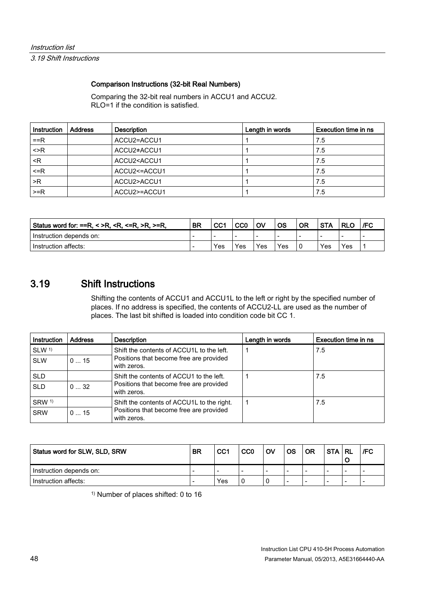### Comparison Instructions (32-bit Real Numbers)

Comparing the 32-bit real numbers in ACCU1 and ACCU2. RLO=1 if the condition is satisfied.

| Instruction  | <b>Address</b> | <b>Description</b>                                 | Length in words | Execution time in ns |
|--------------|----------------|----------------------------------------------------|-----------------|----------------------|
| $==R$        |                | ACCU2=ACCU1                                        |                 | 7.5                  |
| $\leq$ R     |                | ACCU2#ACCU1                                        |                 | 7.5                  |
| $<$ R        |                | ACCU2 <accu1< td=""><td></td><td>7.5</td></accu1<> |                 | 7.5                  |
| $= R$        |                | ACCU2 <= ACCU1                                     |                 | 7.5                  |
| $\mathsf{R}$ |                | ACCU2>ACCU1                                        |                 | 7.5                  |
| $>=R$        |                | ACCU2>=ACCU1                                       |                 | 7.5                  |

| Status word for: ==R, < >R, <r, <="R,">R, &gt;=R,</r,> | <b>BR</b>                | CC <sub>1</sub> | CC <sub>0</sub>          | ov                       | <b>OS</b>                | <b>OR</b> | <b>STA</b>               | <b>RLC</b> | /FC |
|--------------------------------------------------------|--------------------------|-----------------|--------------------------|--------------------------|--------------------------|-----------|--------------------------|------------|-----|
| l Instruction depends on:                              | -                        | -               | $\overline{\phantom{0}}$ | $\overline{\phantom{0}}$ | $\overline{\phantom{a}}$ |           | $\overline{\phantom{a}}$ | -          | -   |
| I Instruction affects:                                 | $\overline{\phantom{0}}$ | Yes             | Yes                      | Yes                      | Yes                      |           | Yes                      | Yes        |     |

### 3.19 Shift Instructions

Shifting the contents of ACCU1 and ACCU1L to the left or right by the specified number of places. If no address is specified, the contents of ACCU2-LL are used as the number of places. The last bit shifted is loaded into condition code bit CC 1.

| <b>Instruction</b> | <b>Address</b> | <b>Description</b>                                     | Length in words | Execution time in ns. |
|--------------------|----------------|--------------------------------------------------------|-----------------|-----------------------|
| SLW <sup>1)</sup>  |                | Shift the contents of ACCU1L to the left.              |                 | 7.5                   |
| <b>SLW</b>         | 015            | Positions that become free are provided<br>with zeros. |                 |                       |
| <b>SLD</b>         |                | Shift the contents of ACCU1 to the left.               |                 | 7.5                   |
| <b>SLD</b>         | 032            | Positions that become free are provided<br>with zeros. |                 |                       |
| SRW <sup>1)</sup>  |                | Shift the contents of ACCU1L to the right.             | -1              | 7.5                   |
| <b>SRW</b>         | 015            | Positions that become free are provided<br>with zeros. |                 |                       |

| Status word for SLW, SLD, SRW | BR | CC <sub>1</sub>          | CC <sub>0</sub>          | OV                       | <b>OS</b>                | <b>OR</b>                | STA RL |                          | /FC |
|-------------------------------|----|--------------------------|--------------------------|--------------------------|--------------------------|--------------------------|--------|--------------------------|-----|
| Instruction depends on:       | -  | $\overline{\phantom{a}}$ | $\overline{\phantom{0}}$ | $\overline{\phantom{0}}$ | $\overline{\phantom{a}}$ | $\overline{\phantom{a}}$ | -      | $\overline{\phantom{0}}$ |     |
| Instruction affects:          |    | Yes                      |                          |                          | $\overline{\phantom{0}}$ | $\overline{\phantom{a}}$ |        | $\overline{\phantom{0}}$ |     |

1) Number of places shifted: 0 to 16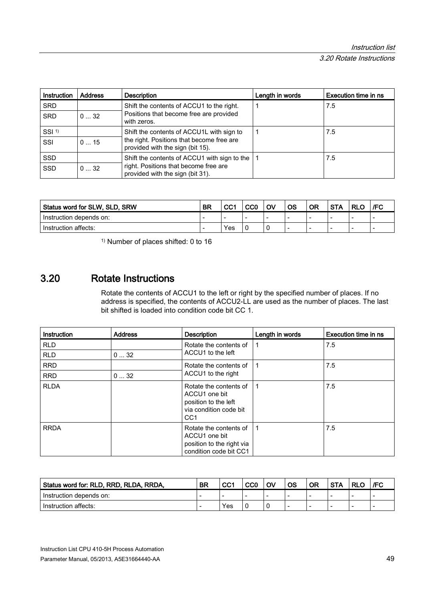3.20 Rotate Instructions

| <b>Instruction</b>  | <b>Address</b> | <b>Description</b>                                                            | Length in words | Execution time in ns |
|---------------------|----------------|-------------------------------------------------------------------------------|-----------------|----------------------|
| <b>SRD</b>          |                | Shift the contents of ACCU1 to the right.                                     |                 | 7.5                  |
| <b>SRD</b>          | 032            | Positions that become free are provided<br>with zeros.                        |                 |                      |
| $SSI$ <sup>1)</sup> |                | Shift the contents of ACCU1L with sign to                                     |                 | 7.5                  |
| SSI                 | 015            | the right. Positions that become free are<br>provided with the sign (bit 15). |                 |                      |
| <b>SSD</b>          |                | Shift the contents of ACCU1 with sign to the   1                              |                 | 7.5                  |
| <b>SSD</b>          | 032            | right. Positions that become free are<br>provided with the sign (bit 31).     |                 |                      |

| Status word for SLW, SLD, SRW | <b>BR</b>                | $\sim$<br>∍י | CC0 | ov | OS                       | OR | <b>STA</b>               | <b>RLC</b> | /FC |
|-------------------------------|--------------------------|--------------|-----|----|--------------------------|----|--------------------------|------------|-----|
| Instruction depends on:       | $\overline{\phantom{0}}$ |              |     | -  | $\overline{\phantom{0}}$ | -  | $\overline{\phantom{0}}$ |            | -   |
| Instruction affects:          | -                        | Yes          |     |    | -                        | -  | $\overline{\phantom{0}}$ |            |     |

1) Number of places shifted: 0 to 16

### 3.20 Rotate Instructions

Rotate the contents of ACCU1 to the left or right by the specified number of places. If no address is specified, the contents of ACCU2-LL are used as the number of places. The last bit shifted is loaded into condition code bit CC 1.

| <b>Instruction</b> | <b>Address</b> | <b>Description</b>                                                                                           | Length in words | Execution time in ns. |
|--------------------|----------------|--------------------------------------------------------------------------------------------------------------|-----------------|-----------------------|
| <b>RLD</b>         |                | Rotate the contents of                                                                                       | $\mathbf{1}$    | 7.5                   |
| <b>RLD</b>         | 032            | ACCU1 to the left                                                                                            |                 |                       |
| <b>RRD</b>         |                | Rotate the contents of                                                                                       | $\mathbf{1}$    | 7.5                   |
| <b>RRD</b>         | 032            | ACCU1 to the right                                                                                           |                 |                       |
| <b>RLDA</b>        |                | Rotate the contents of<br>ACCU1 one bit<br>position to the left<br>via condition code bit<br>CC <sub>1</sub> | -1              | 7.5                   |
| <b>RRDA</b>        |                | Rotate the contents of<br>ACCU1 one bit<br>position to the right via<br>condition code bit CC1               | $\overline{1}$  | 7.5                   |

| Status word for: RLD, RRD, RLDA, RRDA, | BR | CC <sub>1</sub> | CC <sub>0</sub> | . OV | <b>OS</b>                | <b>OR</b> | <b>STA</b>               | <b>RLO</b> | /FC                      |
|----------------------------------------|----|-----------------|-----------------|------|--------------------------|-----------|--------------------------|------------|--------------------------|
| Instruction depends on:                |    |                 | -               |      | $\overline{\phantom{0}}$ |           | $\overline{\phantom{0}}$ |            |                          |
| Instruction affects:                   |    | Yes             |                 |      | -                        |           | $\overline{\phantom{0}}$ |            | $\overline{\phantom{0}}$ |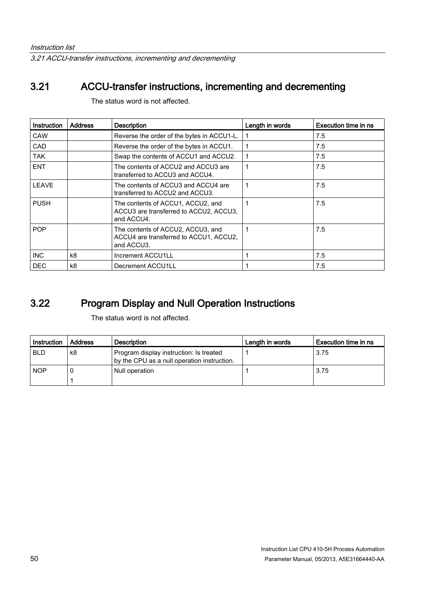# 3.21 ACCU-transfer instructions, incrementing and decrementing

| Instruction  | <b>Address</b> | <b>Description</b>                                                                        | Length in words | <b>Execution time in ns</b> |
|--------------|----------------|-------------------------------------------------------------------------------------------|-----------------|-----------------------------|
| <b>CAW</b>   |                | Reverse the order of the bytes in ACCU1-L.                                                | $\overline{1}$  | 7.5                         |
| CAD          |                | Reverse the order of the bytes in ACCU1.                                                  | $\mathbf{1}$    | 7.5                         |
| TAK          |                | Swap the contents of ACCU1 and ACCU2.                                                     | $\overline{1}$  | 7.5                         |
| <b>ENT</b>   |                | The contents of ACCU2 and ACCU3 are<br>transferred to ACCU3 and ACCU4.                    | $\mathbf 1$     | 7.5                         |
| <b>LEAVE</b> |                | The contents of ACCU3 and ACCU4 are<br>transferred to ACCU2 and ACCU3.                    | $\overline{1}$  | 7.5                         |
| <b>PUSH</b>  |                | The contents of ACCU1, ACCU2, and<br>ACCU3 are transferred to ACCU2, ACCU3,<br>and ACCU4. | $\overline{1}$  | 7.5                         |
| <b>POP</b>   |                | The contents of ACCU2, ACCU3, and<br>ACCU4 are transferred to ACCU1, ACCU2,<br>and ACCU3. | $\mathbf 1$     | 7.5                         |
| INC          | k8             | Increment ACCU1LL                                                                         | 1               | 7.5                         |
| <b>DEC</b>   | k8             | Decrement ACCU1LL                                                                         | $\mathbf 1$     | 7.5                         |

The status word is not affected.

## 3.22 Program Display and Null Operation Instructions

The status word is not affected.

| Instruction | <b>Address</b> | <b>Description</b>                                                                     | Length in words | Execution time in ns |
|-------------|----------------|----------------------------------------------------------------------------------------|-----------------|----------------------|
| <b>BLD</b>  | k8             | Program display instruction: Is treated<br>by the CPU as a null operation instruction. |                 | 3.75                 |
| <b>NOP</b>  |                | Null operation                                                                         |                 | 3.75                 |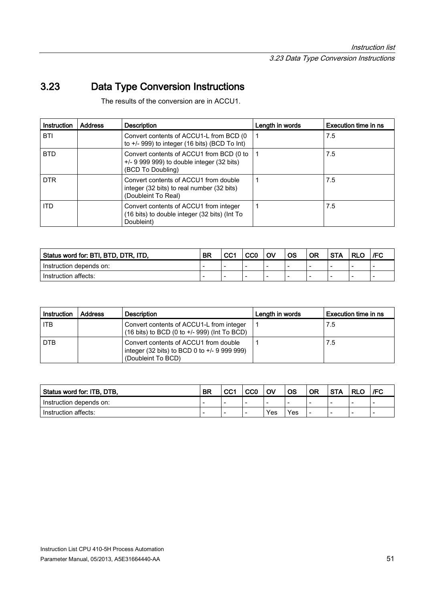3.23 Data Type Conversion Instructions

# 3.23 Data Type Conversion Instructions

The results of the conversion are in ACCU1.

| Instruction | <b>Address</b> | Description                                                                                                   | Length in words | Execution time in ns |
|-------------|----------------|---------------------------------------------------------------------------------------------------------------|-----------------|----------------------|
| <b>BTI</b>  |                | Convert contents of ACCU1-L from BCD (0)<br>to +/- 999) to integer (16 bits) (BCD To Int)                     |                 | 7.5                  |
| <b>BTD</b>  |                | Convert contents of ACCU1 from BCD (0 to<br>$+/-$ 9 999 999) to double integer (32 bits)<br>(BCD To Doubling) |                 | 7.5                  |
| <b>DTR</b>  |                | Convert contents of ACCU1 from double<br>integer (32 bits) to real number (32 bits)<br>(Doubleint To Real)    |                 | 7.5                  |
| <b>ITD</b>  |                | Convert contents of ACCU1 from integer<br>(16 bits) to double integer (32 bits) (Int To<br>Doubleint)         |                 | 7.5                  |

| Status word for: BTI, BTD, DTR, ITD, | BR | $\sim$<br>vv. | CC <sub>0</sub> | OV | <b>OS</b> | OR | <b>STA</b>               | DI                       | /FC |
|--------------------------------------|----|---------------|-----------------|----|-----------|----|--------------------------|--------------------------|-----|
| Instruction depends on:              |    |               | -               | -  | -         |    | $\overline{\phantom{0}}$ | $\overline{\phantom{a}}$ |     |
| Instruction affects:                 |    |               |                 |    |           |    | $\overline{\phantom{0}}$ |                          |     |

| Instruction | <b>Address</b> | <b>Description</b>                                                                                            | Length in words | Execution time in ns |
|-------------|----------------|---------------------------------------------------------------------------------------------------------------|-----------------|----------------------|
| <b>ITB</b>  |                | Convert contents of ACCU1-L from integer<br>$(16 \text{ bits})$ to BCD $(0 \text{ to } +/- 999)$ (Int To BCD) |                 | 7.5                  |
| <b>DTB</b>  |                | Convert contents of ACCU1 from double<br>integer (32 bits) to BCD 0 to +/- 9 999 999)<br>(Doubleint To BCD)   |                 | 7.5                  |

| <b>BR</b><br>Status word for: ITB, DTB, |  | CC <sub>1</sub> | CC <sub>0</sub> | OV                       | OS                       | <b>OR</b>                | <b>STA</b> | <b>RLO</b> | /FC                      |
|-----------------------------------------|--|-----------------|-----------------|--------------------------|--------------------------|--------------------------|------------|------------|--------------------------|
| Instruction depends on:                 |  |                 | -               | $\overline{\phantom{a}}$ | $\overline{\phantom{0}}$ | $\overline{\phantom{0}}$ | -          |            | $\overline{\phantom{a}}$ |
| Instruction affects:                    |  |                 | -               | Yes                      | Yes                      |                          | -          |            | -                        |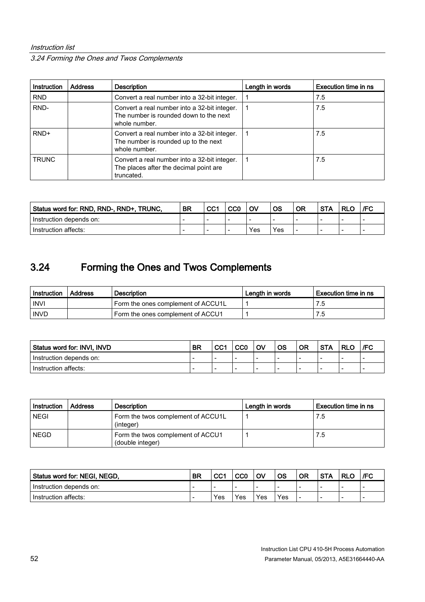3.24 Forming the Ones and Twos Complements

| Instruction  | <b>Address</b> | <b>Description</b>                                                                                      | Length in words | Execution time in ns |
|--------------|----------------|---------------------------------------------------------------------------------------------------------|-----------------|----------------------|
| <b>RND</b>   |                | Convert a real number into a 32-bit integer.                                                            |                 | 7.5                  |
| RND-         |                | Convert a real number into a 32-bit integer.<br>The number is rounded down to the next<br>whole number. |                 | 7.5                  |
| RND+         |                | Convert a real number into a 32-bit integer.<br>The number is rounded up to the next<br>whole number.   |                 | 7.5                  |
| <b>TRUNC</b> |                | Convert a real number into a 32-bit integer.<br>The places after the decimal point are<br>truncated.    |                 | 7.5                  |

| Status word for: RND, RND-, RND+, TRUNC, | <b>BR</b> | CC <sub>1</sub> | CC <sub>0</sub> | OV  | <b>OS</b> | <b>OR</b>                | <b>STA</b> | <b>RLO</b> | /FC |
|------------------------------------------|-----------|-----------------|-----------------|-----|-----------|--------------------------|------------|------------|-----|
| I Instruction depends on:                |           | -               |                 | -   |           | $\overline{\phantom{0}}$ |            | -          |     |
| Instruction affects:                     | -         | -               |                 | Yes | Yes       | $\overline{\phantom{0}}$ |            |            |     |

# 3.24 Forming the Ones and Twos Complements

| l Instruction | Address | Description                        | Length in words | l Execution time in ns |
|---------------|---------|------------------------------------|-----------------|------------------------|
| l INVI        |         | Form the ones complement of ACCU1L |                 |                        |
| l INVD        |         | Form the ones complement of ACCU1  |                 |                        |

| Status word for: INVI, INVD | BR | CC <sub>1</sub> | CC <sub>0</sub>          | OV                       | <b>OS</b> | OR | <b>STA</b>               | ים |                          |
|-----------------------------|----|-----------------|--------------------------|--------------------------|-----------|----|--------------------------|----|--------------------------|
| Instruction depends on:     | -  |                 | $\overline{\phantom{0}}$ | $\overline{\phantom{0}}$ | -         |    | -                        | -  | $\overline{\phantom{0}}$ |
| Instruction affects:        |    |                 | -                        | -                        |           |    | $\overline{\phantom{0}}$ | -  | $\overline{\phantom{0}}$ |

| Instruction | <b>Address</b> | <b>Description</b>                                    | Length in words | Execution time in ns. |
|-------------|----------------|-------------------------------------------------------|-----------------|-----------------------|
| <b>NEGI</b> |                | Form the twos complement of ACCU1L<br>(integer)       |                 | 6./                   |
| <b>NEGD</b> |                | Form the twos complement of ACCU1<br>(double integer) |                 | 6./                   |

| Status word for: NEGI, NEGD, | <b>BR</b> | CC <sub>1</sub> | CC <sub>0</sub> | <b>OV</b> | OS  | ΟR | <b>STA</b> | <b>RLO</b> | /FC                      |
|------------------------------|-----------|-----------------|-----------------|-----------|-----|----|------------|------------|--------------------------|
| Instruction depends on:      |           |                 | -               |           | -   |    |            |            | -                        |
| Instruction affects:         |           | Yes             | Yes             | Yes       | Yes |    |            |            | $\overline{\phantom{a}}$ |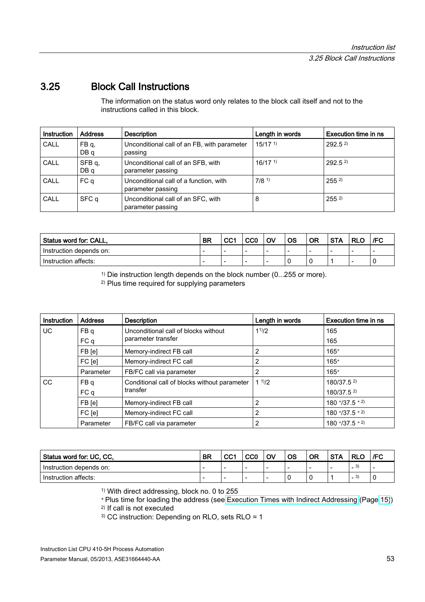Instruction list 3.25 Block Call Instructions

### 3.25 Block Call Instructions

The information on the status word only relates to the block call itself and not to the instructions called in this block.

| Instruction | <b>Address</b> | <b>Description</b>                                          | Length in words       | Execution time in ns |
|-------------|----------------|-------------------------------------------------------------|-----------------------|----------------------|
| CALL        | FB q,<br>DB q  | Unconditional call of an FB, with parameter<br>passing      | $15/17$ <sup>1)</sup> | $292.5^{2}$          |
| CALL        | SFB q,<br>DB q | Unconditional call of an SFB, with<br>parameter passing     | $16/17$ <sup>1)</sup> | $292.5^{2}$          |
| CALL        | FC q           | Unconditional call of a function, with<br>parameter passing | $7/8$ 1)              | 255 <sup>2</sup>     |
| CALL        | SFC q          | Unconditional call of an SFC, with<br>parameter passing     | 8                     | 255 <sup>2</sup>     |

| <b>BR</b><br>Status word for: CALL. |                          | CC <sub>1</sub>          | CC <sub>0</sub> | ov | OS | <b>OR</b>                | <b>STA</b>               | <b>RLO</b> | <b>/FC</b> |
|-------------------------------------|--------------------------|--------------------------|-----------------|----|----|--------------------------|--------------------------|------------|------------|
| Instruction depends on:             | -                        | $\overline{\phantom{0}}$ | -               | -  | -  | $\overline{\phantom{0}}$ | $\overline{\phantom{0}}$ |            |            |
| Instruction affects:                | $\overline{\phantom{a}}$ | $\overline{\phantom{0}}$ | -               | -  | υ  |                          |                          |            |            |

1) Die instruction length depends on the block number (0...255 or more).

2) Plus time required for supplying parameters

| Instruction | <b>Address</b> | Description                                  | Length in words | Execution time in ns. |
|-------------|----------------|----------------------------------------------|-----------------|-----------------------|
| UC          | FB q           | Unconditional call of blocks without         | $1^{11}/2$      | 165                   |
|             | FC q           | parameter transfer                           |                 | 165                   |
|             | FB [e]         | Memory-indirect FB call                      | 2               | $165+$                |
|             | FC [e]         | Memory-indirect FC call                      | 2               | $165+$                |
|             | Parameter      | FB/FC call via parameter                     | 2               | $165+$                |
| <b>CC</b>   | FB q           | Conditional call of blocks without parameter | $1^{11}/2$      | $180/37.5^{2}$        |
|             | FC q           | transfer                                     |                 | 180/37.52             |
|             | FB [e]         | Memory-indirect FB call                      | 2               | $180 + 37.5 + 2$      |
|             | FC [e]         | Memory-indirect FC call                      | 2               | $180 + 37.5 + 2$      |
|             | Parameter      | FB/FC call via parameter                     |                 | $180 + 37.5 + 2$      |

| Status word for: UC, CC, | ΒR | CC <sub>1</sub>          | CC <sub>0</sub> | OV                       | <b>OS</b>                | ΟR                       | <b>STA</b>               | <b>RLC</b> | /FC                      |
|--------------------------|----|--------------------------|-----------------|--------------------------|--------------------------|--------------------------|--------------------------|------------|--------------------------|
| Instruction depends on:  | -  | $\overline{\phantom{0}}$ |                 | $\overline{\phantom{a}}$ | $\overline{\phantom{0}}$ | $\overline{\phantom{a}}$ | $\overline{\phantom{a}}$ | $-3)$      | $\overline{\phantom{a}}$ |
| Instruction affects:     |    | $\overline{\phantom{0}}$ |                 | -                        | υ                        |                          |                          | $-3$       | -0                       |

1) With direct addressing, block no. 0 to 255

+ Plus time for loading the address (see [Execution Times with Indirect Addressing](#page-14-0) (Page [15\)](#page-14-0)) 2) If call is not executed

3) CC instruction: Depending on RLO, sets RLO = 1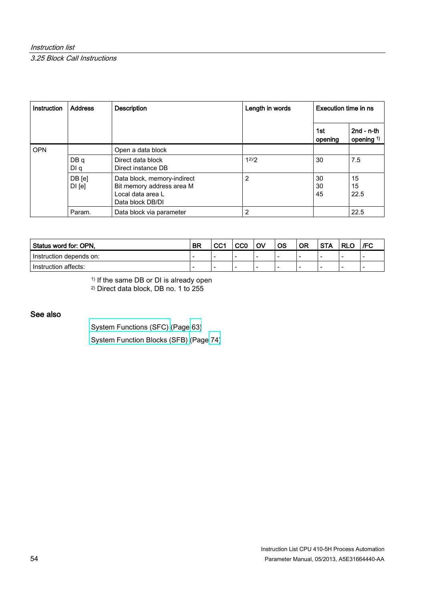3.25 Block Call Instructions

| <b>Instruction</b> | <b>Address</b>               | <b>Description</b>                                                                                | Length in words | Execution time in ns |                                       |  |
|--------------------|------------------------------|---------------------------------------------------------------------------------------------------|-----------------|----------------------|---------------------------------------|--|
|                    |                              |                                                                                                   |                 | 1st<br>opening       | $2nd - n-th$<br>opening <sup>1)</sup> |  |
| <b>OPN</b>         |                              | Open a data block                                                                                 |                 |                      |                                       |  |
|                    | DB <sub>q</sub><br>DI q      | Direct data block<br>Direct instance DB                                                           | $1^{2/2}$       | 30                   | 7.5                                   |  |
|                    | DB [e]<br>DI[ <sub>e</sub> ] | Data block, memory-indirect<br>Bit memory address area M<br>Local data area L<br>Data block DB/DI | 2               | 30<br>30<br>45       | 15<br>15<br>22.5                      |  |
|                    | Param.                       | Data block via parameter                                                                          | 2               |                      | 22.5                                  |  |

| Status word for: OPN.   | <b>BR</b> | CC <sub>1</sub> | C <sub>C</sub> <sub>0</sub> | OV | <b>OS</b> | <b>OR</b> | <b>STA</b>               | <b>RLO</b> | /FC |
|-------------------------|-----------|-----------------|-----------------------------|----|-----------|-----------|--------------------------|------------|-----|
| Instruction depends on: |           | -               | -                           |    | -         | -         | -                        |            |     |
| Instruction affects:    |           | -               | -                           |    | -         | -         | $\overline{\phantom{0}}$ | -          |     |

1) If the same DB or DI is already open

2) Direct data block, DB no. 1 to 255

### See also

[System Functions \(SFC\)](#page-62-0) (Page [63\)](#page-62-0)

[System Function Blocks \(SFB\)](#page-73-0) (Page [74\)](#page-73-0)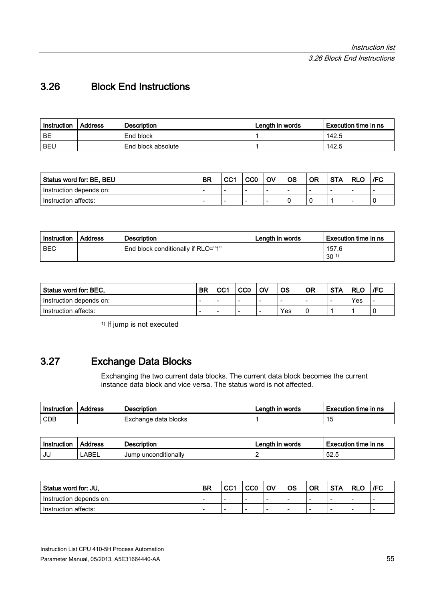## 3.26 Block End Instructions

| Instruction | <b>Address</b> | <b>Description</b> | Length in words | Execution time in ns |
|-------------|----------------|--------------------|-----------------|----------------------|
| BE          |                | End block          |                 | 142.5                |
| <b>BEU</b>  |                | End block absolute |                 | 142.5                |

| Status word for: BE, BEU | <b>BR</b> | CC <sub>1</sub> | CC <sub>0</sub> | OV                       | OS                       | OR | <b>STA</b> | <b>RLC</b>               | /FC                      |
|--------------------------|-----------|-----------------|-----------------|--------------------------|--------------------------|----|------------|--------------------------|--------------------------|
| Instruction depends on:  | -         |                 | -               | $\overline{\phantom{0}}$ | $\overline{\phantom{0}}$ |    |            | $\overline{\phantom{a}}$ | $\overline{\phantom{a}}$ |
| Instruction affects:     |           |                 |                 |                          |                          |    |            | $\overline{\phantom{0}}$ |                          |

| Instruction | <b>Address</b> | <b>Description</b>                 | Length in words | Execution time in ns     |
|-------------|----------------|------------------------------------|-----------------|--------------------------|
| <b>BEC</b>  |                | End block conditionally if RLO="1" |                 | 157.6<br>30 <sup>1</sup> |

| Status word for: BEC,   | <b>BR</b> | CC <sub>1</sub> | cco<br>uu                | OV                       | OS  | <b>OR</b> | <b>STA</b> | <b>RLC</b> | l /FC                    |
|-------------------------|-----------|-----------------|--------------------------|--------------------------|-----|-----------|------------|------------|--------------------------|
| Instruction depends on: | -         | -               | $\overline{\phantom{0}}$ | $\overline{\phantom{a}}$ | -   | -         |            | Yes        | $\overline{\phantom{a}}$ |
| Instruction affects:    | -         | -               |                          | $\overline{\phantom{a}}$ | Yes |           |            |            | ۱٥                       |

1) If jump is not executed

### 3.27 Exchange Data Blocks

Exchanging the two current data blocks. The current data block becomes the current instance data block and vice versa. The status word is not affected.

| l Instruction | <b>Address</b> | <b>Description</b>   | Length in words | Execution time in ns |
|---------------|----------------|----------------------|-----------------|----------------------|
| l CDB         |                | Exchange data blocks |                 | ں ا                  |

| Instruction | <b>Address</b> | <b>Description</b>   | Length in words | Execution time in ns |
|-------------|----------------|----------------------|-----------------|----------------------|
| JL          | LABEL          | Jump unconditionally |                 | 52.5                 |

| Status word for: JU.    | BR                       | CC <sub>1</sub> | CC <sub>0</sub>          | OV | OS                       | <b>OR</b>                | <b>STA</b> | <b>RLC</b> | /FC |
|-------------------------|--------------------------|-----------------|--------------------------|----|--------------------------|--------------------------|------------|------------|-----|
| Instruction depends on: | $\overline{\phantom{0}}$ | -               | $\overline{\phantom{0}}$ | -  | $\overline{\phantom{a}}$ | $\overline{\phantom{0}}$ | -          | -          | -   |
| Instruction affects:    | -                        | -               | -                        | -  | $\overline{\phantom{0}}$ | -                        | -          | -          | -   |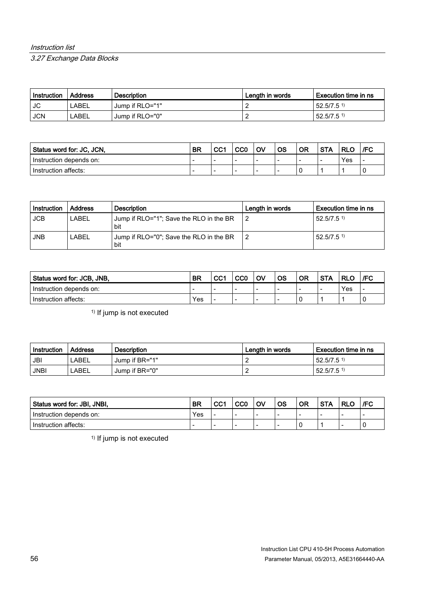3.27 Exchange Data Blocks

| l Instruction | <b>Address</b> | <b>Description</b> | Length in words | Execution time in ns     |
|---------------|----------------|--------------------|-----------------|--------------------------|
| I JC          | _ABEL          | Jump if RLO="1"    |                 | $52.5/7.5$ <sup>1)</sup> |
| <b>JCN</b>    | ABEL           | Jump if RLO="0"    |                 | $52.5/7.5$ <sup>1)</sup> |

| Status word for: JC, JCN, | <b>BR</b> | CC <sub>1</sub> | CC <sub>0</sub> | <b>OV</b> | <b>OS</b>                | ' OR | <b>STA</b> | <b>RLO</b> | /FC |
|---------------------------|-----------|-----------------|-----------------|-----------|--------------------------|------|------------|------------|-----|
| Instruction depends on:   |           | -               | -               | -         | $\overline{\phantom{a}}$ |      | -          | Yes        |     |
| I Instruction affects:    |           | --              | -               |           | $\overline{\phantom{a}}$ |      |            |            |     |

| Instruction | <b>Address</b> | <b>Description</b>                             | Length in words | Execution time in ns     |
|-------------|----------------|------------------------------------------------|-----------------|--------------------------|
| <b>JCB</b>  | _ABEL          | Jump if RLO="1"; Save the RLO in the BR<br>bit | -2              | $52.5/7.5$ <sup>1)</sup> |
| <b>JNB</b>  | LABEL          | Jump if RLO="0": Save the RLO in the BR<br>bit | . 2             | $52.5/7.5$ <sup>1)</sup> |

| ' Status word for: JCB, JNB, | <b>BR</b>                | CC <sub>1</sub>          | CC <sub>0</sub>          | <b>OV</b>                | <b>OS</b>                | <b>OR</b> | <b>STA</b> | <b>RLO</b> | /FC                      |
|------------------------------|--------------------------|--------------------------|--------------------------|--------------------------|--------------------------|-----------|------------|------------|--------------------------|
| Instruction depends on:      | $\overline{\phantom{0}}$ | $\overline{\phantom{0}}$ | $\overline{\phantom{0}}$ | $\overline{\phantom{0}}$ | $\overline{\phantom{a}}$ | -         |            | Yes        | $\overline{\phantom{0}}$ |
| Instruction affects:         | <b>Yes</b>               | $\overline{\phantom{0}}$ | $\overline{\phantom{0}}$ | -                        | $\overline{\phantom{a}}$ |           |            |            |                          |

<sup>1)</sup> If jump is not executed

| Instruction | Address | Description    | Length in words | Execution time in ns     |
|-------------|---------|----------------|-----------------|--------------------------|
| JBI         | _ABEL   | Jump if BR="1" |                 | $52.5/7.5$ <sup>1)</sup> |
| <b>JNBI</b> | _ABEL   | Jump if BR="0" |                 | $52.5/7.5$ <sup>1)</sup> |

| Status word for: JBI, JNBI, | BR  | CC1                      | CC <sub>0</sub> | ov                       | ΟS | OR | <b>STA</b> | `RL. | /FC |
|-----------------------------|-----|--------------------------|-----------------|--------------------------|----|----|------------|------|-----|
| The fruction depends on:    | Yes | $\overline{\phantom{a}}$ | -               | $\overline{\phantom{a}}$ | -  |    | -          | -    | -   |
| Instruction affects:        |     | $\overline{\phantom{0}}$ | -               | $\overline{\phantom{a}}$ | -  |    |            |      |     |

<sup>1)</sup> If jump is not executed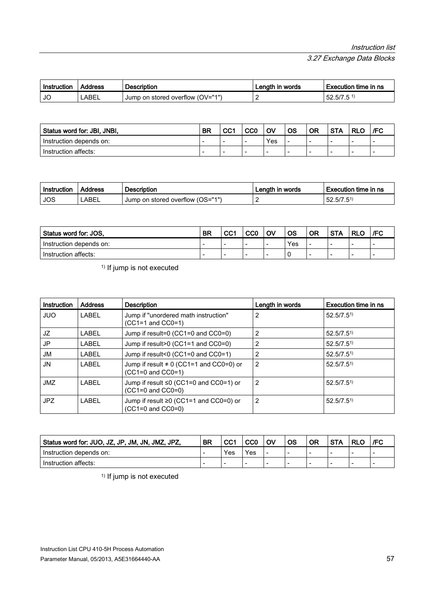3.27 Exchange Data Blocks

| Instruction | Address | <b>Description</b>                 | Length in words | Execution time in ns |
|-------------|---------|------------------------------------|-----------------|----------------------|
| JC          | LABEL   | I Jump on stored overflow (OV="1") |                 | 52.5/7.5             |

| Status word for: JBI, JNBI, | <b>BR</b> | CC <sub>1</sub>          | CC <sub>0</sub>          | <b>OV</b>                | OS                       | <b>OR</b> | <b>STA</b>               | <b>RLC</b> | /FC                      |
|-----------------------------|-----------|--------------------------|--------------------------|--------------------------|--------------------------|-----------|--------------------------|------------|--------------------------|
| Instruction depends on:     |           | $\overline{\phantom{0}}$ | -                        | Yes                      | -                        |           | $\overline{\phantom{0}}$ | -          | -                        |
| Instruction affects:        |           | $\overline{\phantom{0}}$ | $\overline{\phantom{0}}$ | $\overline{\phantom{0}}$ | $\overline{\phantom{0}}$ |           | $\overline{\phantom{0}}$ | -          | $\overline{\phantom{0}}$ |

| Instruction | <b>Address</b> | <b>Description</b>                 | ∟ength in words | i Execution time in ns |
|-------------|----------------|------------------------------------|-----------------|------------------------|
| JOS         | LABEL          | I Jump on stored overflow (OS="1") |                 | 52.5/7.51              |

| Status word for: JOS,   | <b>BR</b> | $\sim$<br>◡◡ | CC <sub>0</sub> | OV | <b>OS</b> | <b>OR</b> | <b>STA</b>               | D.                       | /FC                      |
|-------------------------|-----------|--------------|-----------------|----|-----------|-----------|--------------------------|--------------------------|--------------------------|
| Instruction depends on: | -         |              | -               | -  | Yes       |           | $\overline{\phantom{0}}$ | $\overline{\phantom{a}}$ | $\overline{\phantom{0}}$ |
| Instruction affects:    |           |              | -               | -  |           |           | $\overline{\phantom{0}}$ |                          |                          |

<sup>1)</sup> If jump is not executed

| Instruction | <b>Address</b> | <b>Description</b>                                                    | Length in words | Execution time in ns. |
|-------------|----------------|-----------------------------------------------------------------------|-----------------|-----------------------|
| <b>JUO</b>  | LABEL          | Jump if "unordered math instruction"<br>$(CC1=1$ and $CC0=1$ )        | $\overline{2}$  | $52.5/7.5^{1}$        |
| JZ          | LABEL          | Jump if result=0 (CC1=0 and CC0=0)                                    | $\overline{2}$  | $52.5/7.5^{1}$        |
| <b>JP</b>   | LABEL          | Jump if result>0 (CC1=1 and CC0=0)                                    | $\overline{2}$  | 52.5/7.51             |
| <b>JM</b>   | LABEL          | Jump if result<0 (CC1=0 and CC0=1)                                    | $\overline{2}$  | $52.5/7.5^{1}$        |
| <b>JN</b>   | LABEL          | Jump if result $\neq$ 0 (CC1=1 and CC0=0) or<br>$(CC1=0$ and $CC0=1)$ | $\overline{2}$  | $52.5/7.5^{1}$        |
| <b>JMZ</b>  | LABEL          | Jump if result ≤0 (CC1=0 and CC0=1) or<br>$(CC1=0$ and $CC0=0$ )      | $\overline{2}$  | $52.5/7.5^{1}$        |
| JPZ         | I ABFI         | Jump if result ≥0 (CC1=1 and CC0=0) or<br>$(CC1=0$ and $CC0=0$ )      | $\overline{2}$  | $52.5/7.5^{1}$        |

| Status word for: JUO, JZ, JP, JM, JN, JMZ, JPZ, | <b>BR</b>                | CC <sub>1</sub> | CC <sub>0</sub> | ov | OS                       | OR                       | <b>STA</b>               | <b>RLC</b>               | /FC                      |
|-------------------------------------------------|--------------------------|-----------------|-----------------|----|--------------------------|--------------------------|--------------------------|--------------------------|--------------------------|
| Instruction depends on:                         | $\overline{\phantom{0}}$ | Yes             | Yes             |    | $\overline{\phantom{a}}$ |                          | $\overline{\phantom{0}}$ | $\overline{\phantom{a}}$ | $\overline{\phantom{0}}$ |
| Instruction affects:                            | $\overline{\phantom{a}}$ |                 | -               | -  | $\overline{\phantom{0}}$ | $\overline{\phantom{0}}$ | $\overline{\phantom{a}}$ | $\overline{\phantom{0}}$ | $\overline{\phantom{0}}$ |

<sup>1)</sup> If jump is not executed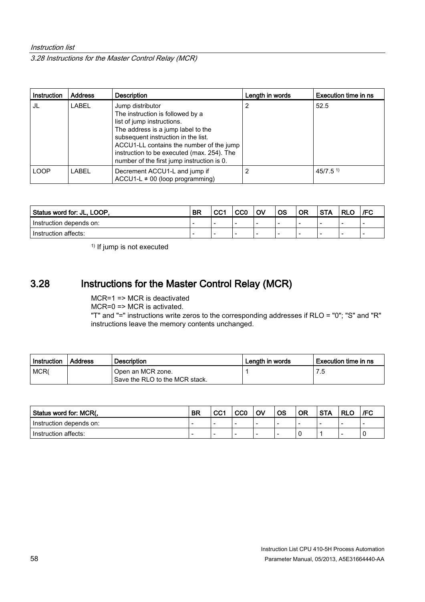3.28 Instructions for the Master Control Relay (MCR)

| Instruction | <b>Address</b> | <b>Description</b>                                                                                                                                                                                                                                                                                      | Length in words | <b>Execution time in ns</b> |
|-------------|----------------|---------------------------------------------------------------------------------------------------------------------------------------------------------------------------------------------------------------------------------------------------------------------------------------------------------|-----------------|-----------------------------|
| JL          | LABEL          | Jump distributor<br>The instruction is followed by a<br>list of jump instructions.<br>The address is a jump label to the<br>subsequent instruction in the list.<br>ACCU1-LL contains the number of the jump<br>instruction to be executed (max. 254). The<br>number of the first jump instruction is 0. | 2               | 52.5                        |
| <b>LOOP</b> | LABEL          | Decrement ACCU1-L and jump if<br>$ACCU1-L \neq 00$ (loop programming)                                                                                                                                                                                                                                   | 2               | $45/7.5$ <sup>1)</sup>      |

| Status word for: JL. LOOP. | <b>BR</b> | CC <sub>1</sub> | C <sub>C</sub> <sub>0</sub> | OV | OS                       | <b>OR</b> | <b>STA</b>               | <b>RLO</b> |  |
|----------------------------|-----------|-----------------|-----------------------------|----|--------------------------|-----------|--------------------------|------------|--|
| l Instruction depends on:  | -         | -               | -                           |    | $\overline{\phantom{0}}$ | -         | $\overline{\phantom{0}}$ | -          |  |
| I Instruction affects:     |           | -               | -                           |    | -                        |           | $\overline{\phantom{0}}$ |            |  |

1) If jump is not executed

### 3.28 Instructions for the Master Control Relay (MCR)

MCR=1 => MCR is deactivated

MCR=0 => MCR is activated.

"T" and "=" instructions write zeros to the corresponding addresses if RLO = "0"; "S" and "R" instructions leave the memory contents unchanged.

| l Instruction    | Address | <b>Description</b>                                  | Length in words | Execution time in ns |
|------------------|---------|-----------------------------------------------------|-----------------|----------------------|
| MCR <sub>(</sub> |         | Open an MCR zone.<br>Save the RLO to the MCR stack. |                 | ″.5                  |

| Status word for: MCR(,    | <b>BR</b> | CC <sub>1</sub> | CC <sub>0</sub> | <b>OV</b> | OS | OR | <b>STA</b> | <b>RLO</b> | /FC |
|---------------------------|-----------|-----------------|-----------------|-----------|----|----|------------|------------|-----|
| l Instruction depends on: |           |                 | -               |           | -  | -  | -          |            | -   |
| I Instruction affects:    |           |                 | -               |           | -  |    |            |            |     |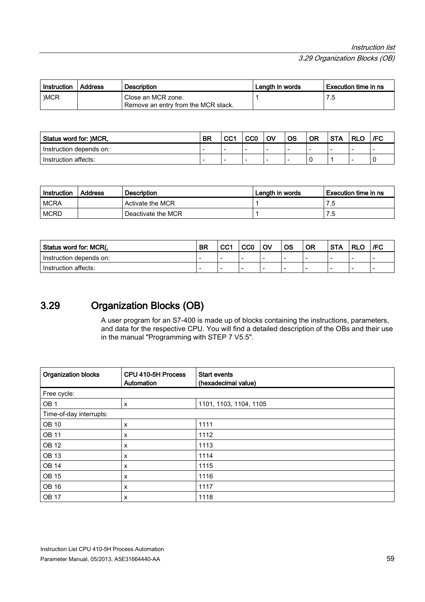3.29 Organization Blocks (OB)

| Instruction | <b>Address</b> | <b>Description</b>                  | Length in words | Execution time in ns |
|-------------|----------------|-------------------------------------|-----------------|----------------------|
| )MCR        |                | Close an MCR zone.                  |                 |                      |
|             |                | Remove an entry from the MCR stack. |                 |                      |

| Status word for: )MCR,  | <b>BR</b> | $\sim$<br>vv.            | CC <sub>0</sub>          | ov | OS | OR | <b>STA</b> | <b>RLC</b> | /FC |
|-------------------------|-----------|--------------------------|--------------------------|----|----|----|------------|------------|-----|
| Instruction depends on: | -         | -                        | $\overline{\phantom{0}}$ |    | -  |    |            | -          | -   |
| Instruction affects:    | -         | $\overline{\phantom{a}}$ | $\overline{\phantom{0}}$ |    | -  |    |            |            |     |

| Instruction  | <b>Address</b> | Description        | Length in words | Execution time in ns |
|--------------|----------------|--------------------|-----------------|----------------------|
| <b>IMCRA</b> |                | Activate the MCR   |                 | 7.5                  |
| l MCRD       |                | Deactivate the MCR |                 | ن.                   |

| Status word for: MCR(,  | <b>BR</b> | $\sim$<br>vu | cco | OV | <b>OS</b> | OR | STA | DI.                      | /FC                      |
|-------------------------|-----------|--------------|-----|----|-----------|----|-----|--------------------------|--------------------------|
| Instruction depends on: |           |              |     |    | -         |    |     | -                        | -                        |
| Instruction affects:    | -         | -            | -   |    | -         |    |     | $\overline{\phantom{0}}$ | $\overline{\phantom{a}}$ |

# 3.29 Organization Blocks (OB)

A user program for an S7-400 is made up of blocks containing the instructions, parameters, and data for the respective CPU. You will find a detailed description of the OBs and their use in the manual "Programming with STEP 7 V5.5".

| <b>Organization blocks</b> | CPU 410-5H Process<br>Automation | <b>Start events</b><br>(hexadecimal value) |  |  |  |  |
|----------------------------|----------------------------------|--------------------------------------------|--|--|--|--|
| Free cycle:                |                                  |                                            |  |  |  |  |
| OB <sub>1</sub>            | x                                | 1101, 1103, 1104, 1105                     |  |  |  |  |
| Time-of-day interrupts:    |                                  |                                            |  |  |  |  |
| <b>OB 10</b>               | x                                | 1111                                       |  |  |  |  |
| <b>OB 11</b>               | x                                | 1112                                       |  |  |  |  |
| <b>OB 12</b>               | X                                | 1113                                       |  |  |  |  |
| <b>OB 13</b>               | x                                | 1114                                       |  |  |  |  |
| <b>OB 14</b>               | X                                | 1115                                       |  |  |  |  |
| <b>OB 15</b>               | X                                | 1116                                       |  |  |  |  |
| OB 16                      | x                                | 1117                                       |  |  |  |  |
| <b>OB 17</b>               | x                                | 1118                                       |  |  |  |  |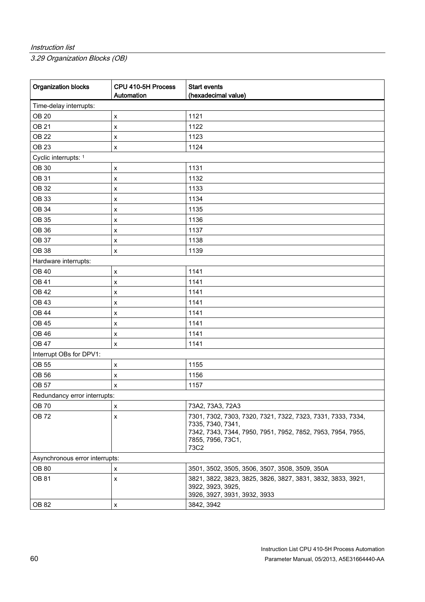3.29 Organization Blocks (OB)

| <b>Organization blocks</b>     | CPU 410-5H Process<br>Automation | <b>Start events</b><br>(hexadecimal value)                                                                                                                                   |
|--------------------------------|----------------------------------|------------------------------------------------------------------------------------------------------------------------------------------------------------------------------|
| Time-delay interrupts:         |                                  |                                                                                                                                                                              |
| <b>OB 20</b>                   | $\pmb{\times}$                   | 1121                                                                                                                                                                         |
| <b>OB 21</b>                   | $\pmb{\mathsf{x}}$               | 1122                                                                                                                                                                         |
| <b>OB 22</b>                   | $\pmb{\times}$                   | 1123                                                                                                                                                                         |
| <b>OB 23</b>                   | $\pmb{\mathsf{x}}$               | 1124                                                                                                                                                                         |
| Cyclic interrupts: 1           |                                  |                                                                                                                                                                              |
| <b>OB 30</b>                   | $\pmb{\times}$                   | 1131                                                                                                                                                                         |
| <b>OB 31</b>                   | $\pmb{\mathsf{x}}$               | 1132                                                                                                                                                                         |
| OB 32                          | X                                | 1133                                                                                                                                                                         |
| <b>OB 33</b>                   | $\pmb{\times}$                   | 1134                                                                                                                                                                         |
| <b>OB 34</b>                   | $\pmb{\times}$                   | 1135                                                                                                                                                                         |
| <b>OB 35</b>                   | $\pmb{\mathsf{X}}$               | 1136                                                                                                                                                                         |
| <b>OB 36</b>                   | $\pmb{\times}$                   | 1137                                                                                                                                                                         |
| <b>OB 37</b>                   | $\pmb{\times}$                   | 1138                                                                                                                                                                         |
| <b>OB 38</b>                   | $\pmb{\mathsf{X}}$               | 1139                                                                                                                                                                         |
| Hardware interrupts:           |                                  |                                                                                                                                                                              |
| <b>OB 40</b>                   | $\pmb{\times}$                   | 1141                                                                                                                                                                         |
| <b>OB 41</b>                   | $\pmb{\mathsf{X}}$               | 1141                                                                                                                                                                         |
| <b>OB 42</b>                   | $\pmb{\times}$                   | 1141                                                                                                                                                                         |
| <b>OB 43</b>                   | $\pmb{\mathsf{x}}$               | 1141                                                                                                                                                                         |
| <b>OB 44</b>                   | $\pmb{\mathsf{x}}$               | 1141                                                                                                                                                                         |
| <b>OB 45</b>                   | $\pmb{\mathsf{x}}$               | 1141                                                                                                                                                                         |
| <b>OB 46</b>                   | $\pmb{\times}$                   | 1141                                                                                                                                                                         |
| <b>OB 47</b>                   | $\pmb{\mathsf{x}}$               | 1141                                                                                                                                                                         |
| Interrupt OBs for DPV1:        |                                  |                                                                                                                                                                              |
| <b>OB 55</b>                   | $\pmb{\mathsf{x}}$               | 1155                                                                                                                                                                         |
| <b>OB 56</b>                   | $\pmb{\times}$                   | 1156                                                                                                                                                                         |
| <b>OB 57</b>                   | $\pmb{\mathsf{x}}$               | 1157                                                                                                                                                                         |
| Redundancy error interrupts:   |                                  |                                                                                                                                                                              |
| <b>OB 70</b>                   | X                                | 73A2, 73A3, 72A3                                                                                                                                                             |
| <b>OB 72</b>                   | $\pmb{\times}$                   | 7301, 7302, 7303, 7320, 7321, 7322, 7323, 7331, 7333, 7334,<br>7335, 7340, 7341,<br>7342, 7343, 7344, 7950, 7951, 7952, 7852, 7953, 7954, 7955,<br>7855, 7956, 73C1,<br>73C2 |
| Asynchronous error interrupts: |                                  |                                                                                                                                                                              |
| <b>OB 80</b>                   | x                                | 3501, 3502, 3505, 3506, 3507, 3508, 3509, 350A                                                                                                                               |
| <b>OB 81</b>                   | x                                | 3821, 3822, 3823, 3825, 3826, 3827, 3831, 3832, 3833, 3921,<br>3922, 3923, 3925,<br>3926, 3927, 3931, 3932, 3933                                                             |
| OB 82                          | $\pmb{\times}$                   | 3842, 3942                                                                                                                                                                   |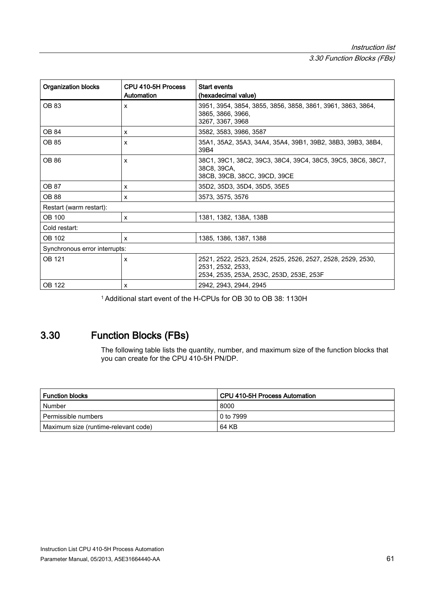3.30 Function Blocks (FBs)

| <b>Organization blocks</b>    | CPU 410-5H Process<br>Automation | <b>Start events</b><br>(hexadecimal value)                                                                                   |
|-------------------------------|----------------------------------|------------------------------------------------------------------------------------------------------------------------------|
| OB 83                         | x                                | 3951, 3954, 3854, 3855, 3856, 3858, 3861, 3961, 3863, 3864,<br>3865, 3866, 3966,<br>3267, 3367, 3968                         |
| <b>OB 84</b>                  | x                                | 3582, 3583, 3986, 3587                                                                                                       |
| <b>OB 85</b>                  | x                                | 35A1, 35A2, 35A3, 34A4, 35A4, 39B1, 39B2, 38B3, 39B3, 38B4,<br>39B4                                                          |
| <b>OB 86</b>                  | x                                | 38C1, 39C1, 38C2, 39C3, 38C4, 39C4, 38C5, 39C5, 38C6, 38C7,<br>38C8, 39CA.<br>38CB, 39CB, 38CC, 39CD, 39CE                   |
| <b>OB 87</b>                  | х                                | 35D2, 35D3, 35D4, 35D5, 35E5                                                                                                 |
| <b>OB 88</b>                  | X                                | 3573, 3575, 3576                                                                                                             |
| Restart (warm restart):       |                                  |                                                                                                                              |
| <b>OB 100</b>                 | X                                | 1381, 1382, 138A, 138B                                                                                                       |
| Cold restart:                 |                                  |                                                                                                                              |
| <b>OB 102</b>                 | $\mathsf{x}$                     | 1385, 1386, 1387, 1388                                                                                                       |
| Synchronous error interrupts: |                                  |                                                                                                                              |
| OB 121                        | x                                | 2521, 2522, 2523, 2524, 2525, 2526, 2527, 2528, 2529, 2530,<br>2531, 2532, 2533,<br>2534, 2535, 253A, 253C, 253D, 253E, 253F |
| <b>OB 122</b>                 | х                                | 2942, 2943, 2944, 2945                                                                                                       |

1 Additional start event of the H-CPUs for OB 30 to OB 38: 1130H

# 3.30 Function Blocks (FBs)

The following table lists the quantity, number, and maximum size of the function blocks that you can create for the CPU 410-5H PN/DP.

| <b>Function blocks</b>               | i CPU 410-5H Process Automation |
|--------------------------------------|---------------------------------|
| Number                               | 8000                            |
| Permissible numbers                  | 0 to 7999                       |
| Maximum size (runtime-relevant code) | 64 KB                           |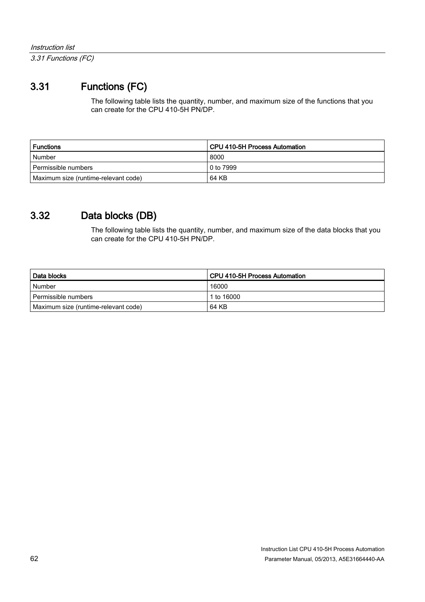# 3.31 Functions (FC)

The following table lists the quantity, number, and maximum size of the functions that you can create for the CPU 410-5H PN/DP.

| <b>Functions</b>                     | I CPU 410-5H Process Automation |
|--------------------------------------|---------------------------------|
| Number                               | 8000                            |
| l Permissible numbers                | 0 to 7999                       |
| Maximum size (runtime-relevant code) | 64 KB                           |

## 3.32 Data blocks (DB)

The following table lists the quantity, number, and maximum size of the data blocks that you can create for the CPU 410-5H PN/DP.

| Data blocks                          | CPU 410-5H Process Automation |
|--------------------------------------|-------------------------------|
| Number                               | 16000                         |
| l Permissible numbers                | 1 to 16000                    |
| Maximum size (runtime-relevant code) | 64 KB                         |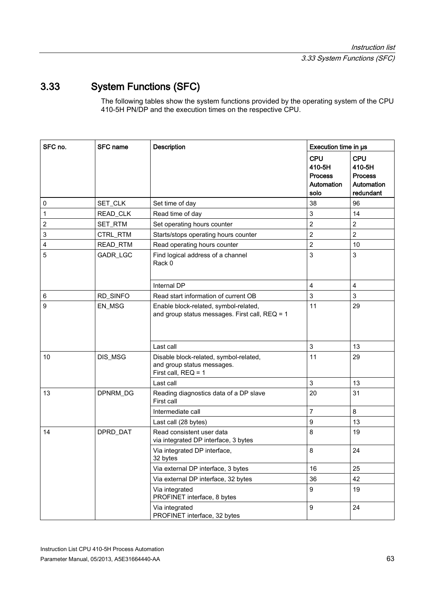3.33 System Functions (SFC)

# <span id="page-62-0"></span>3.33 System Functions (SFC)

The following tables show the system functions provided by the operating system of the CPU 410-5H PN/DP and the execution times on the respective CPU.

| SFC no.                 | <b>SFC name</b> | <b>Description</b>                                                                          | Execution time in us                                                |                                                                   |
|-------------------------|-----------------|---------------------------------------------------------------------------------------------|---------------------------------------------------------------------|-------------------------------------------------------------------|
|                         |                 |                                                                                             | <b>CPU</b><br>410-5H<br><b>Process</b><br><b>Automation</b><br>solo | <b>CPU</b><br>410-5H<br><b>Process</b><br>Automation<br>redundant |
| 0                       | SET_CLK         | Set time of day                                                                             | 38                                                                  | 96                                                                |
| 1                       | READ_CLK        | Read time of day                                                                            | 3                                                                   | 14                                                                |
| $\overline{\mathbf{c}}$ | SET_RTM         | Set operating hours counter                                                                 | $\overline{2}$                                                      | $\overline{2}$                                                    |
| 3                       | CTRL_RTM        | Starts/stops operating hours counter                                                        | $\overline{2}$                                                      | $\overline{2}$                                                    |
| $\overline{\mathbf{4}}$ | READ_RTM        | Read operating hours counter                                                                | $\overline{c}$                                                      | 10                                                                |
| 5                       | GADR_LGC        | Find logical address of a channel<br>Rack 0                                                 | 3                                                                   | 3                                                                 |
|                         |                 | Internal DP                                                                                 | 4                                                                   | $\overline{4}$                                                    |
| 6                       | RD_SINFO        | Read start information of current OB                                                        | 3                                                                   | $\mathbf{3}$                                                      |
| 9                       | EN_MSG          | Enable block-related, symbol-related,<br>and group status messages. First call, REQ = 1     | 11                                                                  | 29                                                                |
|                         |                 | Last call                                                                                   | 3                                                                   | 13                                                                |
| 10                      | DIS_MSG         | Disable block-related, symbol-related,<br>and group status messages.<br>First call, REQ = 1 | 11                                                                  | 29                                                                |
|                         |                 | Last call                                                                                   | 3                                                                   | 13                                                                |
| 13                      | DPNRM_DG        | Reading diagnostics data of a DP slave<br>First call                                        | 20                                                                  | 31                                                                |
|                         |                 | Intermediate call                                                                           | 7                                                                   | 8                                                                 |
|                         |                 | Last call (28 bytes)                                                                        | 9                                                                   | 13                                                                |
| 14                      | DPRD_DAT        | Read consistent user data<br>via integrated DP interface, 3 bytes                           | 8                                                                   | 19                                                                |
|                         |                 | Via integrated DP interface,<br>32 bytes                                                    | 8                                                                   | 24                                                                |
|                         |                 | Via external DP interface, 3 bytes                                                          | 16                                                                  | 25                                                                |
|                         |                 | Via external DP interface, 32 bytes                                                         | 36                                                                  | 42                                                                |
|                         |                 | Via integrated<br>PROFINET interface, 8 bytes                                               | 9                                                                   | 19                                                                |
|                         |                 | Via integrated<br>PROFINET interface, 32 bytes                                              | 9                                                                   | 24                                                                |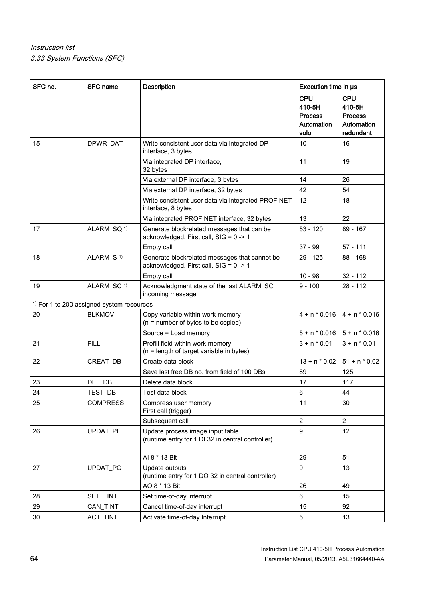| SFC no. | SFC name                                             | <b>Description</b>                                                                      | Execution time in us                                         |                                                                   |
|---------|------------------------------------------------------|-----------------------------------------------------------------------------------------|--------------------------------------------------------------|-------------------------------------------------------------------|
|         |                                                      |                                                                                         | <b>CPU</b><br>410-5H<br><b>Process</b><br>Automation<br>solo | <b>CPU</b><br>410-5H<br><b>Process</b><br>Automation<br>redundant |
| 15      | DPWR_DAT                                             | Write consistent user data via integrated DP<br>interface, 3 bytes                      | 10                                                           | 16                                                                |
|         |                                                      | Via integrated DP interface,<br>32 bytes                                                | 11                                                           | 19                                                                |
|         |                                                      | Via external DP interface, 3 bytes                                                      | 14                                                           | 26                                                                |
|         |                                                      | Via external DP interface, 32 bytes                                                     | 42                                                           | 54                                                                |
|         |                                                      | Write consistent user data via integrated PROFINET<br>interface, 8 bytes                | 12                                                           | 18                                                                |
|         |                                                      | Via integrated PROFINET interface, 32 bytes                                             | 13                                                           | 22                                                                |
| 17      | ALARM_SQ <sup>1)</sup>                               | Generate blockrelated messages that can be<br>acknowledged. First call, SIG = 0 -> 1    | $53 - 120$                                                   | $89 - 167$                                                        |
|         |                                                      | Empty call                                                                              | $37 - 99$                                                    | $57 - 111$                                                        |
| 18      | ALARM S <sup>1)</sup>                                | Generate blockrelated messages that cannot be<br>acknowledged. First call, SIG = 0 -> 1 | 29 - 125                                                     | $88 - 168$                                                        |
|         |                                                      | Empty call                                                                              | $10 - 98$                                                    | $32 - 112$                                                        |
| 19      | ALARM_SC <sup>1)</sup>                               | Acknowledgment state of the last ALARM_SC<br>incoming message                           | $9 - 100$                                                    | $28 - 112$                                                        |
|         | <sup>1)</sup> For 1 to 200 assigned system resources |                                                                                         |                                                              |                                                                   |
| 20      | <b>BLKMOV</b>                                        | Copy variable within work memory<br>(n = number of bytes to be copied)                  | $4 + n * 0.016$                                              | $4 + n * 0.016$                                                   |
|         |                                                      | Source = Load memory                                                                    | $5 + n * 0.016$                                              | $5 + n * 0.016$                                                   |
| 21      | <b>FILL</b>                                          | Prefill field within work memory<br>(n = length of target variable in bytes)            | $3 + n * 0.01$                                               | $3 + n * 0.01$                                                    |
| 22      | CREAT_DB                                             | Create data block                                                                       | $13 + n * 0.02$                                              | $51 + n * 0.02$                                                   |
|         |                                                      | Save last free DB no. from field of 100 DBs                                             | 89                                                           | 125                                                               |
| 23      | DEL_DB                                               | Delete data block                                                                       | 17                                                           | 117                                                               |
| 24      | TEST_DB                                              | Test data block                                                                         | 6                                                            | 44                                                                |
| 25      | <b>COMPRESS</b>                                      | Compress user memory<br>First call (trigger)                                            | 11                                                           | 30                                                                |
|         |                                                      | Subsequent call                                                                         | $\overline{2}$                                               | $\overline{2}$                                                    |
| 26      | UPDAT_PI                                             | Update process image input table<br>(runtime entry for 1 DI 32 in central controller)   | 9                                                            | 12                                                                |
|         |                                                      | AI 8 * 13 Bit                                                                           | 29                                                           | 51                                                                |
| 27      | UPDAT_PO                                             | Update outputs<br>(runtime entry for 1 DO 32 in central controller)                     | 9                                                            | 13                                                                |
|         |                                                      | AO 8 * 13 Bit                                                                           | 26                                                           | 49                                                                |
| 28      | SET_TINT                                             | Set time-of-day interrupt                                                               | 6                                                            | 15                                                                |
| 29      | CAN_TINT                                             | Cancel time-of-day interrupt                                                            | 15                                                           | 92                                                                |
| 30      | ACT_TINT                                             | Activate time-of-day Interrupt                                                          | 5                                                            | 13                                                                |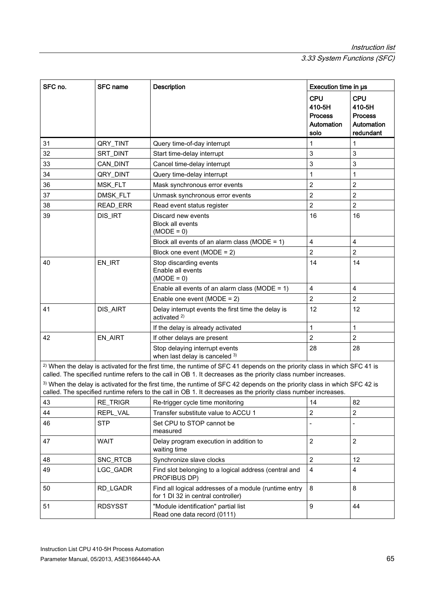| SFC no. | <b>SFC name</b> | <b>Description</b>                                                                                                                                                                                                                                                                                                                                                                                                                                                                           |                                                              | Execution time in us                                              |  |
|---------|-----------------|----------------------------------------------------------------------------------------------------------------------------------------------------------------------------------------------------------------------------------------------------------------------------------------------------------------------------------------------------------------------------------------------------------------------------------------------------------------------------------------------|--------------------------------------------------------------|-------------------------------------------------------------------|--|
|         |                 |                                                                                                                                                                                                                                                                                                                                                                                                                                                                                              | <b>CPU</b><br>410-5H<br><b>Process</b><br>Automation<br>solo | <b>CPU</b><br>410-5H<br><b>Process</b><br>Automation<br>redundant |  |
| 31      | QRY_TINT        | Query time-of-day interrupt                                                                                                                                                                                                                                                                                                                                                                                                                                                                  | 1                                                            | 1                                                                 |  |
| 32      | SRT_DINT        | Start time-delay interrupt                                                                                                                                                                                                                                                                                                                                                                                                                                                                   | 3                                                            | 3                                                                 |  |
| 33      | CAN_DINT        | Cancel time-delay interrupt                                                                                                                                                                                                                                                                                                                                                                                                                                                                  | 3                                                            | 3                                                                 |  |
| 34      | QRY_DINT        | Query time-delay interrupt                                                                                                                                                                                                                                                                                                                                                                                                                                                                   | 1                                                            | 1                                                                 |  |
| 36      | MSK_FLT         | Mask synchronous error events                                                                                                                                                                                                                                                                                                                                                                                                                                                                | $\overline{2}$                                               | $\overline{c}$                                                    |  |
| 37      | DMSK_FLT        | Unmask synchronous error events                                                                                                                                                                                                                                                                                                                                                                                                                                                              | $\overline{c}$                                               | $\overline{c}$                                                    |  |
| 38      | READ_ERR        | Read event status register                                                                                                                                                                                                                                                                                                                                                                                                                                                                   | $\overline{2}$                                               | $\overline{2}$                                                    |  |
| 39      | DIS_IRT         | Discard new events<br><b>Block all events</b><br>$(MODE = 0)$                                                                                                                                                                                                                                                                                                                                                                                                                                | 16                                                           | 16                                                                |  |
|         |                 | Block all events of an alarm class (MODE = $1$ )                                                                                                                                                                                                                                                                                                                                                                                                                                             | 4                                                            | $\overline{\mathbf{4}}$                                           |  |
|         |                 | Block one event (MODE = 2)                                                                                                                                                                                                                                                                                                                                                                                                                                                                   | $\overline{2}$                                               | $\overline{2}$                                                    |  |
| 40      | EN_IRT          | Stop discarding events<br>Enable all events<br>$(MODE = 0)$                                                                                                                                                                                                                                                                                                                                                                                                                                  | 14                                                           | 14                                                                |  |
|         |                 | Enable all events of an alarm class (MODE = $1$ )                                                                                                                                                                                                                                                                                                                                                                                                                                            | 4                                                            | $\overline{\mathbf{4}}$                                           |  |
|         |                 | Enable one event (MODE = 2)                                                                                                                                                                                                                                                                                                                                                                                                                                                                  | $\overline{2}$                                               | $\overline{2}$                                                    |  |
| 41      | DIS_AIRT        | Delay interrupt events the first time the delay is<br>activated $2$                                                                                                                                                                                                                                                                                                                                                                                                                          | 12                                                           | 12                                                                |  |
|         |                 | If the delay is already activated                                                                                                                                                                                                                                                                                                                                                                                                                                                            | 1                                                            | 1                                                                 |  |
| 42      | EN_AIRT         | If other delays are present                                                                                                                                                                                                                                                                                                                                                                                                                                                                  | $\overline{2}$                                               | $\overline{2}$                                                    |  |
|         |                 | Stop delaying interrupt events<br>when last delay is canceled 3)                                                                                                                                                                                                                                                                                                                                                                                                                             | 28                                                           | 28                                                                |  |
|         |                 | $2)$ When the delay is activated for the first time, the runtime of SFC 41 depends on the priority class in which SFC 41 is<br>called. The specified runtime refers to the call in OB 1. It decreases as the priority class number increases.<br>3) When the delay is activated for the first time, the runtime of SFC 42 depends on the priority class in which SFC 42 is<br>called. The specified runtime refers to the call in OB 1. It decreases as the priority class number increases. |                                                              |                                                                   |  |
| 43      | <b>RE_TRIGR</b> | Re-trigger cycle time monitoring                                                                                                                                                                                                                                                                                                                                                                                                                                                             | 14                                                           | 82                                                                |  |
| 44      | REPL_VAL        | Transfer substitute value to ACCU 1                                                                                                                                                                                                                                                                                                                                                                                                                                                          | $\overline{c}$                                               | $\overline{2}$                                                    |  |
| 46      | <b>STP</b>      | Set CPU to STOP cannot be<br>measured                                                                                                                                                                                                                                                                                                                                                                                                                                                        |                                                              | $\blacksquare$                                                    |  |
| 47      | <b>WAIT</b>     | Delay program execution in addition to<br>waiting time                                                                                                                                                                                                                                                                                                                                                                                                                                       | $\overline{2}$                                               | $\overline{c}$                                                    |  |
| 48      | SNC_RTCB        | Synchronize slave clocks                                                                                                                                                                                                                                                                                                                                                                                                                                                                     | $\overline{2}$                                               | 12                                                                |  |
| 49      | LGC_GADR        | Find slot belonging to a logical address (central and<br>PROFIBUS DP)                                                                                                                                                                                                                                                                                                                                                                                                                        | $\overline{4}$                                               | 4                                                                 |  |
| 50      | RD_LGADR        | Find all logical addresses of a module (runtime entry<br>for 1 DI 32 in central controller)                                                                                                                                                                                                                                                                                                                                                                                                  | 8                                                            | 8                                                                 |  |
| 51      | <b>RDSYSST</b>  | "Module identification" partial list<br>Read one data record (0111)                                                                                                                                                                                                                                                                                                                                                                                                                          | 9                                                            | 44                                                                |  |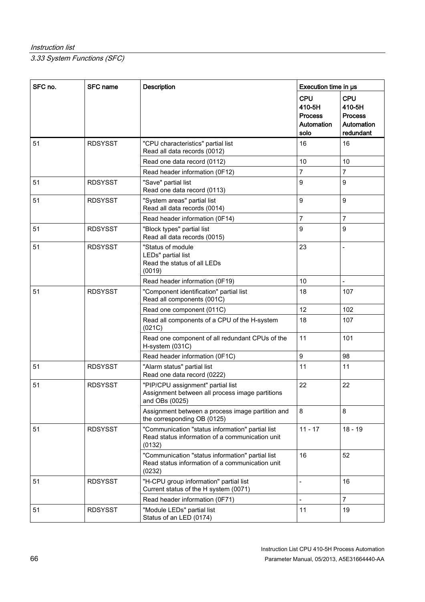| SFC no. | <b>SFC name</b> | <b>Description</b>                                                                                            | Execution time in us                                         |                                                                   |
|---------|-----------------|---------------------------------------------------------------------------------------------------------------|--------------------------------------------------------------|-------------------------------------------------------------------|
|         |                 |                                                                                                               | <b>CPU</b><br>410-5H<br><b>Process</b><br>Automation<br>solo | <b>CPU</b><br>410-5H<br><b>Process</b><br>Automation<br>redundant |
| 51      | <b>RDSYSST</b>  | "CPU characteristics" partial list<br>Read all data records (0012)                                            | 16                                                           | 16                                                                |
|         |                 | Read one data record (0112)                                                                                   | 10                                                           | 10                                                                |
|         |                 | Read header information (0F12)                                                                                | $\overline{7}$                                               | 7                                                                 |
| 51      | <b>RDSYSST</b>  | "Save" partial list<br>Read one data record (0113)                                                            | 9                                                            | 9                                                                 |
| 51      | <b>RDSYSST</b>  | "System areas" partial list<br>Read all data records (0014)                                                   | $\boldsymbol{9}$                                             | 9                                                                 |
|         |                 | Read header information (0F14)                                                                                | $\overline{7}$                                               | $\overline{7}$                                                    |
| 51      | <b>RDSYSST</b>  | "Block types" partial list<br>Read all data records (0015)                                                    | 9                                                            | 9                                                                 |
| 51      | <b>RDSYSST</b>  | "Status of module<br>LEDs" partial list<br>Read the status of all LEDs<br>(0019)                              | 23                                                           |                                                                   |
|         |                 | Read header information (0F19)                                                                                | 10                                                           |                                                                   |
| 51      | <b>RDSYSST</b>  | "Component identification" partial list<br>Read all components (001C)                                         | 18                                                           | 107                                                               |
|         |                 | Read one component (011C)                                                                                     | 12                                                           | 102                                                               |
|         |                 | Read all components of a CPU of the H-system<br>(021C)                                                        | 18                                                           | 107                                                               |
|         |                 | Read one component of all redundant CPUs of the<br>H-system (031C)                                            | 11                                                           | 101                                                               |
|         |                 | Read header information (0F1C)                                                                                | $\boldsymbol{9}$                                             | 98                                                                |
| 51      | <b>RDSYSST</b>  | "Alarm status" partial list<br>Read one data record (0222)                                                    | 11                                                           | 11                                                                |
| 51      | <b>RDSYSST</b>  | "PIP/CPU assignment" partial list<br>Assignment between all process image partitions<br>and OBs (0025)        | 22                                                           | 22                                                                |
|         |                 | Assignment between a process image partition and<br>the corresponding OB (0125)                               | 8                                                            | 8                                                                 |
| 51      | <b>RDSYSST</b>  | "Communication "status information" partial list<br>Read status information of a communication unit<br>(0132) | $11 - 17$                                                    | $18 - 19$                                                         |
|         |                 | "Communication "status information" partial list<br>Read status information of a communication unit<br>(0232) | 16                                                           | 52                                                                |
| 51      | <b>RDSYSST</b>  | "H-CPU group information" partial list<br>Current status of the H system (0071)                               |                                                              | 16                                                                |
|         |                 | Read header information (0F71)                                                                                |                                                              | $\overline{7}$                                                    |
| 51      | <b>RDSYSST</b>  | "Module LEDs" partial list<br>Status of an LED (0174)                                                         | 11                                                           | 19                                                                |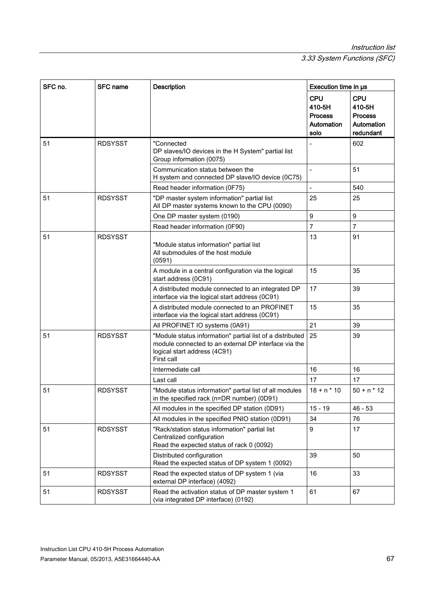| SFC no. | <b>SFC name</b> | Description                                                                                                                                                     | Execution time in us                                         |                                                                   |
|---------|-----------------|-----------------------------------------------------------------------------------------------------------------------------------------------------------------|--------------------------------------------------------------|-------------------------------------------------------------------|
|         |                 |                                                                                                                                                                 | <b>CPU</b><br>410-5H<br><b>Process</b><br>Automation<br>solo | <b>CPU</b><br>410-5H<br><b>Process</b><br>Automation<br>redundant |
| 51      | <b>RDSYSST</b>  | "Connected<br>DP slaves/IO devices in the H System" partial list<br>Group information (0075)                                                                    |                                                              | 602                                                               |
|         |                 | Communication status between the<br>H system and connected DP slave/IO device (0C75)                                                                            |                                                              | 51                                                                |
|         |                 | Read header information (0F75)                                                                                                                                  |                                                              | 540                                                               |
| 51      | <b>RDSYSST</b>  | "DP master system information" partial list<br>All DP master systems known to the CPU (0090)                                                                    | 25                                                           | 25                                                                |
|         |                 | One DP master system (0190)                                                                                                                                     | 9                                                            | 9                                                                 |
|         |                 | Read header information (0F90)                                                                                                                                  | $\overline{7}$                                               | $\overline{7}$                                                    |
| 51      | <b>RDSYSST</b>  | "Module status information" partial list<br>All submodules of the host module<br>(0591)                                                                         | 13                                                           | 91                                                                |
|         |                 | A module in a central configuration via the logical<br>start address (0C91)                                                                                     | 15                                                           | 35                                                                |
|         |                 | A distributed module connected to an integrated DP<br>interface via the logical start address (0C91)                                                            | 17                                                           | 39                                                                |
|         |                 | A distributed module connected to an PROFINET<br>interface via the logical start address (0C91)                                                                 | 15                                                           | 35                                                                |
|         |                 | All PROFINET IO systems (0A91)                                                                                                                                  | 21                                                           | 39                                                                |
| 51      | <b>RDSYSST</b>  | "Module status information" partial list of a distributed<br>module connected to an external DP interface via the<br>logical start address (4C91)<br>First call | 25                                                           | 39                                                                |
|         |                 | Intermediate call                                                                                                                                               | 16                                                           | 16                                                                |
|         |                 | Last call                                                                                                                                                       | 17                                                           | 17                                                                |
| 51      | <b>RDSYSST</b>  | "Module status information" partial list of all modules<br>in the specified rack (n=DR number) (0D91)                                                           | $18 + n * 10$                                                | $50 + n * 12$                                                     |
|         |                 | All modules in the specified DP station (0D91)                                                                                                                  | $15 - 19$                                                    | $46 - 53$                                                         |
|         |                 | All modules in the specified PNIO station (0D91)                                                                                                                | 34                                                           | 76                                                                |
| 51      | <b>RDSYSST</b>  | "Rack/station status information" partial list<br>Centralized configuration<br>Read the expected status of rack 0 (0092)                                        | 9                                                            | 17                                                                |
|         |                 | Distributed configuration<br>Read the expected status of DP system 1 (0092)                                                                                     | 39                                                           | 50                                                                |
| 51      | <b>RDSYSST</b>  | Read the expected status of DP system 1 (via<br>external DP interface) (4092)                                                                                   | 16                                                           | 33                                                                |
| 51      | <b>RDSYSST</b>  | Read the activation status of DP master system 1<br>(via integrated DP interface) (0192)                                                                        | 61                                                           | 67                                                                |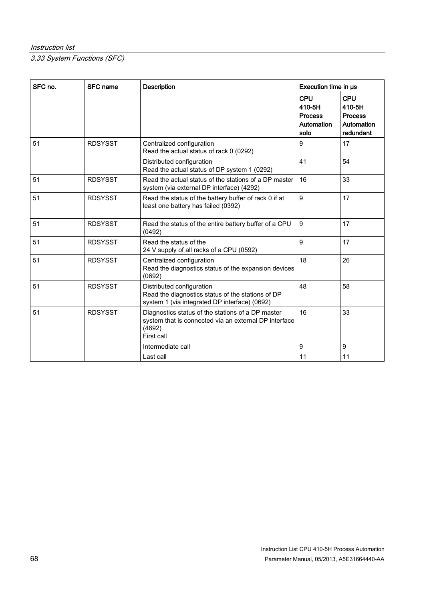| SFC no. | <b>SFC name</b> | <b>Description</b>                                                                                                                 | Execution time in us                                         |                                                                   |
|---------|-----------------|------------------------------------------------------------------------------------------------------------------------------------|--------------------------------------------------------------|-------------------------------------------------------------------|
|         |                 |                                                                                                                                    | <b>CPU</b><br>410-5H<br><b>Process</b><br>Automation<br>solo | <b>CPU</b><br>410-5H<br><b>Process</b><br>Automation<br>redundant |
| 51      | <b>RDSYSST</b>  | Centralized configuration<br>Read the actual status of rack 0 (0292)                                                               | 9                                                            | 17                                                                |
|         |                 | Distributed configuration<br>Read the actual status of DP system 1 (0292)                                                          | 41                                                           | 54                                                                |
| 51      | <b>RDSYSST</b>  | Read the actual status of the stations of a DP master<br>system (via external DP interface) (4292)                                 | 16                                                           | 33                                                                |
| 51      | <b>RDSYSST</b>  | Read the status of the battery buffer of rack 0 if at<br>least one battery has failed (0392)                                       | 9                                                            | 17                                                                |
| 51      | <b>RDSYSST</b>  | Read the status of the entire battery buffer of a CPU<br>(0492)                                                                    | 9                                                            | 17                                                                |
| 51      | <b>RDSYSST</b>  | Read the status of the<br>24 V supply of all racks of a CPU (0592)                                                                 | 9                                                            | 17                                                                |
| 51      | <b>RDSYSST</b>  | Centralized configuration<br>Read the diagnostics status of the expansion devices<br>(0692)                                        | 18                                                           | 26                                                                |
| 51      | <b>RDSYSST</b>  | Distributed configuration<br>Read the diagnostics status of the stations of DP<br>system 1 (via integrated DP interface) (0692)    | 48                                                           | 58                                                                |
| 51      | <b>RDSYSST</b>  | Diagnostics status of the stations of a DP master<br>system that is connected via an external DP interface<br>(4692)<br>First call | 16                                                           | 33                                                                |
|         |                 | Intermediate call                                                                                                                  | 9                                                            | 9                                                                 |
|         |                 | Last call                                                                                                                          | 11                                                           | 11                                                                |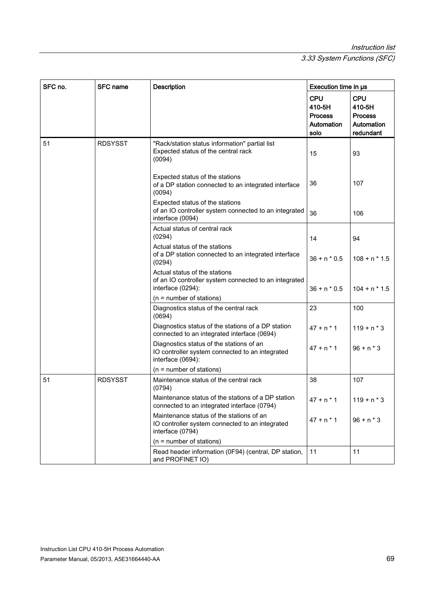| SFC no.<br><b>SFC</b> name |                | Description                                                                                                      | Execution time in us                                         |                                                            |
|----------------------------|----------------|------------------------------------------------------------------------------------------------------------------|--------------------------------------------------------------|------------------------------------------------------------|
|                            |                |                                                                                                                  | <b>CPU</b><br>410-5H<br><b>Process</b><br>Automation<br>solo | <b>CPU</b><br>410-5H<br>Process<br>Automation<br>redundant |
| 51                         | <b>RDSYSST</b> | "Rack/station status information" partial list<br>Expected status of the central rack<br>(0094)                  | 15                                                           | 93                                                         |
|                            |                | Expected status of the stations<br>of a DP station connected to an integrated interface<br>(0094)                | 36                                                           | 107                                                        |
|                            |                | Expected status of the stations<br>of an IO controller system connected to an integrated<br>interface (0094)     | 36                                                           | 106                                                        |
|                            |                | Actual status of central rack<br>(0294)                                                                          | 14                                                           | 94                                                         |
|                            |                | Actual status of the stations<br>of a DP station connected to an integrated interface<br>(0294)                  | $36 + n * 0.5$                                               | $108 + n * 1.5$                                            |
|                            |                | Actual status of the stations<br>of an IO controller system connected to an integrated<br>interface (0294):      | $36 + n * 0.5$                                               | $104 + n * 1.5$                                            |
|                            |                | $(n = number of stations)$                                                                                       |                                                              |                                                            |
|                            |                | Diagnostics status of the central rack<br>(0694)                                                                 | 23                                                           | 100                                                        |
|                            |                | Diagnostics status of the stations of a DP station<br>connected to an integrated interface (0694)                | $47 + n * 1$                                                 | $119 + n * 3$                                              |
|                            |                | Diagnostics status of the stations of an<br>IO controller system connected to an integrated<br>interface (0694): | $47 + n * 1$                                                 | $96 + n * 3$                                               |
|                            |                | $(n = number of stations)$                                                                                       |                                                              |                                                            |
| 51                         | <b>RDSYSST</b> | Maintenance status of the central rack<br>(0794)                                                                 | 38                                                           | 107                                                        |
|                            |                | Maintenance status of the stations of a DP station<br>connected to an integrated interface (0794)                | $47 + n * 1$                                                 | $119 + n * 3$                                              |
|                            |                | Maintenance status of the stations of an<br>IO controller system connected to an integrated<br>interface (0794)  | $47 + n * 1$                                                 | $96 + n * 3$                                               |
|                            |                | $(n = number of stations)$                                                                                       |                                                              |                                                            |
|                            |                | Read header information (0F94) (central, DP station,<br>and PROFINET IO)                                         | 11                                                           | 11                                                         |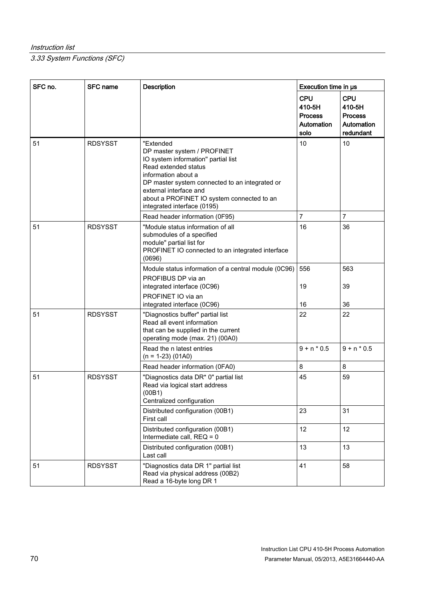| SFC no. | <b>SFC name</b> | <b>Description</b>                                                                                                                                                                                                                                                                      | Execution time in us                                         |                                                                   |
|---------|-----------------|-----------------------------------------------------------------------------------------------------------------------------------------------------------------------------------------------------------------------------------------------------------------------------------------|--------------------------------------------------------------|-------------------------------------------------------------------|
|         |                 |                                                                                                                                                                                                                                                                                         | <b>CPU</b><br>410-5H<br><b>Process</b><br>Automation<br>solo | <b>CPU</b><br>410-5H<br><b>Process</b><br>Automation<br>redundant |
| 51      | <b>RDSYSST</b>  | "Extended<br>DP master system / PROFINET<br>IO system information" partial list<br>Read extended status<br>information about a<br>DP master system connected to an integrated or<br>external interface and<br>about a PROFINET IO system connected to an<br>integrated interface (0195) | 10                                                           | 10                                                                |
|         |                 | Read header information (0F95)                                                                                                                                                                                                                                                          | $\overline{7}$                                               | $\overline{7}$                                                    |
| 51      | <b>RDSYSST</b>  | "Module status information of all<br>submodules of a specified<br>module" partial list for<br>PROFINET IO connected to an integrated interface<br>(0696)                                                                                                                                | 16                                                           | 36                                                                |
|         |                 | Module status information of a central module (0C96)                                                                                                                                                                                                                                    | 556                                                          | 563                                                               |
|         |                 | PROFIBUS DP via an<br>integrated interface (0C96)<br>PROFINET IO via an                                                                                                                                                                                                                 | 19                                                           | 39                                                                |
|         |                 | integrated interface (0C96)                                                                                                                                                                                                                                                             | 16                                                           | 36                                                                |
| 51      | <b>RDSYSST</b>  | "Diagnostics buffer" partial list<br>Read all event information<br>that can be supplied in the current<br>operating mode (max. 21) (00A0)                                                                                                                                               | 22                                                           | 22                                                                |
|         |                 | Read the n latest entries<br>$(n = 1-23) (01A0)$                                                                                                                                                                                                                                        | $9 + n * 0.5$                                                | $9 + n * 0.5$                                                     |
|         |                 | Read header information (0FA0)                                                                                                                                                                                                                                                          | 8                                                            | 8                                                                 |
| 51      | <b>RDSYSST</b>  | "Diagnostics data DR* 0" partial list<br>Read via logical start address<br>(00B1)<br>Centralized configuration                                                                                                                                                                          | 45                                                           | 59                                                                |
|         |                 | Distributed configuration (00B1)<br>First call                                                                                                                                                                                                                                          | 23                                                           | 31                                                                |
|         |                 | Distributed configuration (00B1)<br>Intermediate call, REQ = 0                                                                                                                                                                                                                          | 12                                                           | 12                                                                |
|         |                 | Distributed configuration (00B1)<br>Last call                                                                                                                                                                                                                                           | 13                                                           | 13                                                                |
| 51      | <b>RDSYSST</b>  | "Diagnostics data DR 1" partial list<br>Read via physical address (00B2)<br>Read a 16-byte long DR 1                                                                                                                                                                                    | 41                                                           | 58                                                                |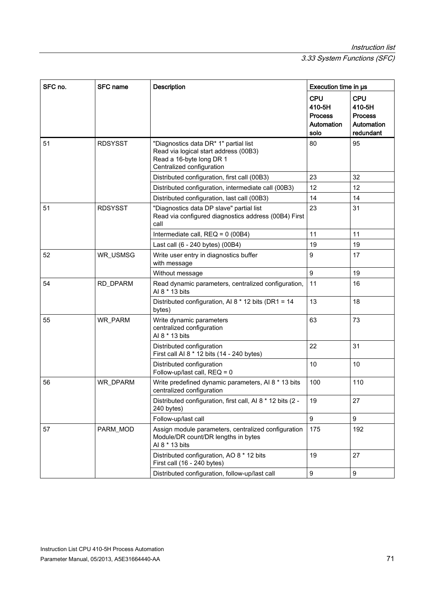| SFC no. | <b>SFC name</b> | <b>Description</b>                                                                                                                      | Execution time in us                                         |                                                                   |
|---------|-----------------|-----------------------------------------------------------------------------------------------------------------------------------------|--------------------------------------------------------------|-------------------------------------------------------------------|
|         |                 |                                                                                                                                         | <b>CPU</b><br>410-5H<br><b>Process</b><br>Automation<br>solo | <b>CPU</b><br>410-5H<br><b>Process</b><br>Automation<br>redundant |
| 51      | <b>RDSYSST</b>  | "Diagnostics data DR* 1" partial list<br>Read via logical start address (00B3)<br>Read a 16-byte long DR 1<br>Centralized configuration | 80                                                           | 95                                                                |
|         |                 | Distributed configuration, first call (00B3)                                                                                            | 23                                                           | 32                                                                |
|         |                 | Distributed configuration, intermediate call (00B3)                                                                                     | 12                                                           | 12                                                                |
|         |                 | Distributed configuration, last call (00B3)                                                                                             | 14                                                           | 14                                                                |
| 51      | <b>RDSYSST</b>  | "Diagnostics data DP slave" partial list<br>Read via configured diagnostics address (00B4) First<br>call                                | 23                                                           | 31                                                                |
|         |                 | Intermediate call, REQ = 0 (00B4)                                                                                                       | 11                                                           | 11                                                                |
|         |                 | Last call (6 - 240 bytes) (00B4)                                                                                                        | 19                                                           | 19                                                                |
| 52      | WR_USMSG        | Write user entry in diagnostics buffer<br>with message                                                                                  | 9                                                            | 17                                                                |
|         |                 | Without message                                                                                                                         | 9                                                            | 19                                                                |
| 54      | RD_DPARM        | Read dynamic parameters, centralized configuration,<br>Al 8 * 13 bits                                                                   | 11                                                           | 16                                                                |
|         |                 | Distributed configuration, AI 8 $*$ 12 bits (DR1 = 14<br>bytes)                                                                         | 13                                                           | 18                                                                |
| 55      | WR_PARM         | Write dynamic parameters<br>centralized configuration<br>Al 8 * 13 bits                                                                 | 63                                                           | 73                                                                |
|         |                 | Distributed configuration<br>First call Al 8 * 12 bits (14 - 240 bytes)                                                                 | 22                                                           | 31                                                                |
|         |                 | Distributed configuration<br>Follow-up/last call, REQ = 0                                                                               | 10                                                           | 10                                                                |
| 56      | <b>WR_DPARM</b> | Write predefined dynamic parameters, AI 8 * 13 bits<br>centralized configuration                                                        | 100                                                          | 110                                                               |
|         |                 | Distributed configuration, first call, Al 8 * 12 bits (2 -<br>240 bytes)                                                                | 19                                                           | 27                                                                |
|         |                 | Follow-up/last call                                                                                                                     | 9                                                            | 9                                                                 |
| 57      | PARM_MOD        | Assign module parameters, centralized configuration<br>Module/DR count/DR lengths in bytes<br>Al 8 * 13 bits                            | 175                                                          | 192                                                               |
|         |                 | Distributed configuration, AO 8 * 12 bits<br>First call (16 - 240 bytes)                                                                | 19                                                           | 27                                                                |
|         |                 | Distributed configuration, follow-up/last call                                                                                          | $\boldsymbol{9}$                                             | 9                                                                 |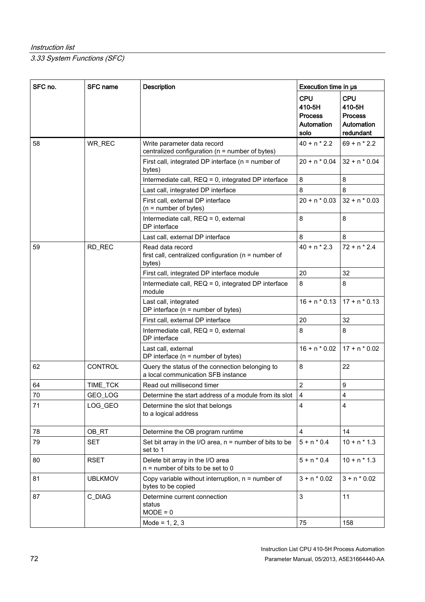| SFC no. | <b>SFC name</b> | <b>Description</b>                                                                    | Execution time in us                                         |                                                                   |
|---------|-----------------|---------------------------------------------------------------------------------------|--------------------------------------------------------------|-------------------------------------------------------------------|
|         |                 |                                                                                       | <b>CPU</b><br>410-5H<br><b>Process</b><br>Automation<br>solo | <b>CPU</b><br>410-5H<br><b>Process</b><br>Automation<br>redundant |
| 58      | WR_REC          | Write parameter data record<br>centralized configuration ( $n =$ number of bytes)     | $40 + n * 2.2$                                               | $69 + n * 2.2$                                                    |
|         |                 | First call, integrated DP interface ( $n =$ number of<br>bytes)                       | $20 + n * 0.04$                                              | $32 + n * 0.04$                                                   |
|         |                 | Intermediate call, REQ = 0, integrated DP interface                                   | 8                                                            | 8                                                                 |
|         |                 | Last call, integrated DP interface                                                    | 8                                                            | 8                                                                 |
|         |                 | First call, external DP interface<br>$(n = number of bytes)$                          | $20 + n * 0.03$                                              | $32 + n * 0.03$                                                   |
|         |                 | Intermediate call, REQ = 0, external<br>DP interface                                  | 8                                                            | 8                                                                 |
|         |                 | Last call, external DP interface                                                      | 8                                                            | 8                                                                 |
| 59      | RD_REC          | Read data record<br>first call, centralized configuration ( $n =$ number of<br>bytes) | $40 + n * 2.3$                                               | $72 + n * 2.4$                                                    |
|         |                 | First call, integrated DP interface module                                            | 20                                                           | 32                                                                |
|         |                 | Intermediate call, REQ = 0, integrated DP interface<br>module                         | 8                                                            | 8                                                                 |
|         |                 | Last call, integrated<br>DP interface ( $n = number of bytes$ )                       | $16 + n * 0.13$                                              | $17 + n * 0.13$                                                   |
|         |                 | First call, external DP interface                                                     | 20                                                           | 32                                                                |
|         |                 | Intermediate call, REQ = 0, external<br>DP interface                                  | 8                                                            | 8                                                                 |
|         |                 | Last call, external<br>DP interface ( $n = number of bytes$ )                         | $16 + n * 0.02$                                              | $17 + n * 0.02$                                                   |
| 62      | <b>CONTROL</b>  | Query the status of the connection belonging to<br>a local communication SFB instance | 8                                                            | 22                                                                |
| 64      | TIME_TCK        | Read out millisecond timer                                                            | $\overline{2}$                                               | 9                                                                 |
| 70      | GEO_LOG         | Determine the start address of a module from its slot                                 | $\overline{4}$                                               | 4                                                                 |
| 71      | LOG_GEO         | Determine the slot that belongs<br>to a logical address                               | 4                                                            | 4                                                                 |
| 78      | OB_RT           | Determine the OB program runtime                                                      | $\overline{4}$                                               | 14                                                                |
| 79      | <b>SET</b>      | Set bit array in the I/O area, $n =$ number of bits to be<br>set to 1                 | $5 + n * 0.4$                                                | $10 + n * 1.3$                                                    |
| 80      | <b>RSET</b>     | Delete bit array in the I/O area<br>$n =$ number of bits to be set to 0               | $5 + n * 0.4$                                                | $10 + n * 1.3$                                                    |
| 81      | <b>UBLKMOV</b>  | Copy variable without interruption, $n =$ number of<br>bytes to be copied             | $3 + n * 0.02$                                               | $3 + n * 0.02$                                                    |
| 87      | C_DIAG          | Determine current connection<br>status<br>$MODE = 0$                                  | $\sqrt{3}$                                                   | 11                                                                |
|         |                 | Mode = $1, 2, 3$                                                                      | 75                                                           | 158                                                               |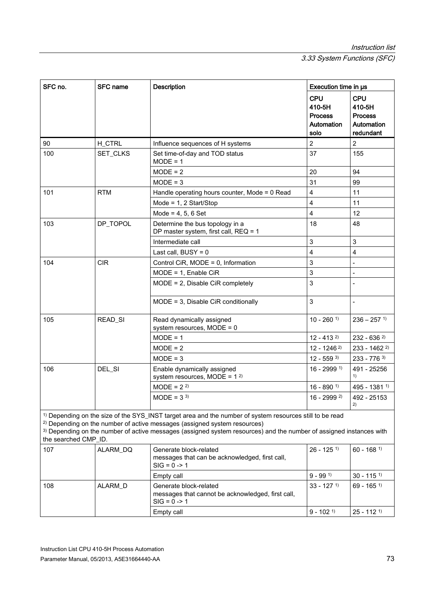3.33 System Functions (SFC)

| SFC no.                                                                                                                                                                                                                                                                                                                                                    | <b>SFC name</b> | <b>Description</b>                                                                             | Execution time in us                                         |                                                                   |
|------------------------------------------------------------------------------------------------------------------------------------------------------------------------------------------------------------------------------------------------------------------------------------------------------------------------------------------------------------|-----------------|------------------------------------------------------------------------------------------------|--------------------------------------------------------------|-------------------------------------------------------------------|
|                                                                                                                                                                                                                                                                                                                                                            |                 |                                                                                                | <b>CPU</b><br>410-5H<br><b>Process</b><br>Automation<br>solo | <b>CPU</b><br>410-5H<br><b>Process</b><br>Automation<br>redundant |
| 90                                                                                                                                                                                                                                                                                                                                                         | H_CTRL          | Influence sequences of H systems                                                               | $\overline{2}$                                               | $\overline{2}$                                                    |
| 100                                                                                                                                                                                                                                                                                                                                                        | SET_CLKS        | Set time-of-day and TOD status<br>$MODE = 1$                                                   | 37                                                           | 155                                                               |
|                                                                                                                                                                                                                                                                                                                                                            |                 | $MODE = 2$                                                                                     | 20                                                           | 94                                                                |
|                                                                                                                                                                                                                                                                                                                                                            |                 | $MODE = 3$                                                                                     | 31                                                           | 99                                                                |
| 101                                                                                                                                                                                                                                                                                                                                                        | <b>RTM</b>      | Handle operating hours counter, Mode = 0 Read                                                  | 4                                                            | 11                                                                |
|                                                                                                                                                                                                                                                                                                                                                            |                 | Mode = $1, 2$ Start/Stop                                                                       | 4                                                            | 11                                                                |
|                                                                                                                                                                                                                                                                                                                                                            |                 | Mode = $4, 5, 6$ Set                                                                           | $\overline{4}$                                               | 12                                                                |
| 103                                                                                                                                                                                                                                                                                                                                                        | DP_TOPOL        | Determine the bus topology in a<br>DP master system, first call, REQ = 1                       | 18                                                           | 48                                                                |
|                                                                                                                                                                                                                                                                                                                                                            |                 | Intermediate call                                                                              | 3                                                            | $\mathsf 3$                                                       |
|                                                                                                                                                                                                                                                                                                                                                            |                 | Last call, $BUSY = 0$                                                                          | 4                                                            | 4                                                                 |
| 104                                                                                                                                                                                                                                                                                                                                                        | <b>CIR</b>      | Control CiR, MODE = 0, Information                                                             | 3                                                            |                                                                   |
|                                                                                                                                                                                                                                                                                                                                                            |                 | $MODE = 1$ , Enable CiR                                                                        | 3                                                            | $\overline{a}$                                                    |
|                                                                                                                                                                                                                                                                                                                                                            |                 | $MODE = 2$ , Disable CiR completely                                                            | 3                                                            |                                                                   |
|                                                                                                                                                                                                                                                                                                                                                            |                 | MODE = 3, Disable CiR conditionally                                                            | 3                                                            | $\frac{1}{2}$                                                     |
| 105                                                                                                                                                                                                                                                                                                                                                        | READ_SI         | Read dynamically assigned<br>system resources, MODE = 0                                        | $10 - 260$ <sup>1)</sup>                                     | $236 - 257$ <sup>1)</sup>                                         |
|                                                                                                                                                                                                                                                                                                                                                            |                 | $MODE = 1$                                                                                     | $12 - 413$ <sup>2)</sup>                                     | $232 - 6362$                                                      |
|                                                                                                                                                                                                                                                                                                                                                            |                 | $MODE = 2$                                                                                     | $12 - 1246^{2}$                                              | $233 - 1462$ <sup>2)</sup>                                        |
|                                                                                                                                                                                                                                                                                                                                                            |                 | $MODE = 3$                                                                                     | $12 - 559$ <sup>3)</sup>                                     | $233 - 776$ 3)                                                    |
| 106                                                                                                                                                                                                                                                                                                                                                        | DEL_SI          | Enable dynamically assigned<br>system resources, MODE = $1^{2}$                                | 16 - 2999 1)                                                 | 491 - 25256<br>1)                                                 |
|                                                                                                                                                                                                                                                                                                                                                            |                 | $MODE = 22$                                                                                    | $16 - 890$ <sup>1)</sup>                                     | $495 - 1381$ <sup>1)</sup>                                        |
|                                                                                                                                                                                                                                                                                                                                                            |                 | $MODE = 3^{3}$                                                                                 | 16 - 2999 2)                                                 | 492 - 25153<br>2)                                                 |
| <sup>1)</sup> Depending on the size of the SYS_INST target area and the number of system resources still to be read<br><sup>2)</sup> Depending on the number of active messages (assigned system resources)<br>3) Depending on the number of active messages (assigned system resources) and the number of assigned instances with<br>the searched CMP_ID. |                 |                                                                                                |                                                              |                                                                   |
| 107                                                                                                                                                                                                                                                                                                                                                        | ALARM_DQ        | Generate block-related<br>messages that can be acknowledged, first call,<br>$SIG = 0 - > 1$    | $26 - 125$ <sup>1)</sup>                                     | $60 - 168$ <sup>1)</sup>                                          |
|                                                                                                                                                                                                                                                                                                                                                            |                 | Empty call                                                                                     | $9 - 99$ <sup>1)</sup>                                       | $30 - 115$ <sup>1)</sup>                                          |
| 108                                                                                                                                                                                                                                                                                                                                                        | ALARM_D         | Generate block-related<br>messages that cannot be acknowledged, first call,<br>$SIG = 0 - > 1$ | $33 - 127$ <sup>1)</sup>                                     | $69 - 165$ <sup>1)</sup>                                          |
|                                                                                                                                                                                                                                                                                                                                                            |                 | Empty call                                                                                     | $9 - 102$ <sup>1)</sup>                                      | $25 - 112$ <sup>1)</sup>                                          |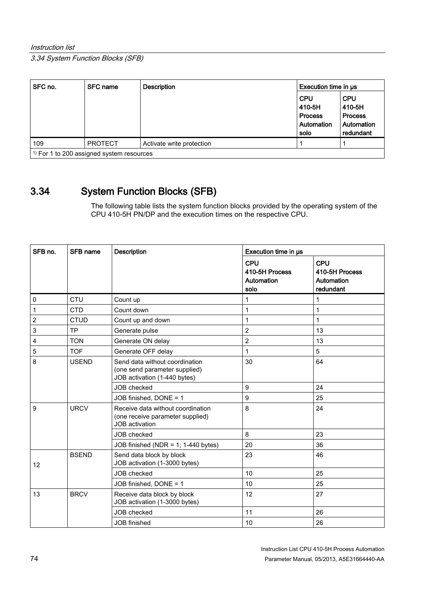3.34 System Function Blocks (SFB)

| SFC no.                                              | <b>SFC name</b> | <b>Description</b>        | Execution time in us                                         |                                                                   |
|------------------------------------------------------|-----------------|---------------------------|--------------------------------------------------------------|-------------------------------------------------------------------|
|                                                      |                 |                           | <b>CPU</b><br>410-5H<br><b>Process</b><br>Automation<br>solo | <b>CPU</b><br>410-5H<br><b>Process</b><br>Automation<br>redundant |
| 109                                                  | <b>PROTECT</b>  | Activate write protection |                                                              |                                                                   |
| <sup>1)</sup> For 1 to 200 assigned system resources |                 |                           |                                                              |                                                                   |

## 3.34 System Function Blocks (SFB)

<span id="page-73-0"></span>The following table lists the system function blocks provided by the operating system of the CPU 410-5H PN/DP and the execution times on the respective CPU.

| SFB no.<br>SFB name<br><b>Description</b> |              |                                                                                                 | Execution time in us                               |                                                         |
|-------------------------------------------|--------------|-------------------------------------------------------------------------------------------------|----------------------------------------------------|---------------------------------------------------------|
|                                           |              |                                                                                                 | <b>CPU</b><br>410-5H Process<br>Automation<br>solo | <b>CPU</b><br>410-5H Process<br>Automation<br>redundant |
| $\pmb{0}$                                 | CTU          | Count up                                                                                        | 1                                                  | 1                                                       |
| $\mathbf{1}$                              | <b>CTD</b>   | Count down                                                                                      | 1                                                  | 1                                                       |
| $\overline{2}$                            | <b>CTUD</b>  | Count up and down                                                                               | $\overline{1}$                                     | 1                                                       |
| $\mathbf{3}$                              | <b>TP</b>    | Generate pulse                                                                                  | $\overline{2}$                                     | 13                                                      |
| $\overline{\mathbf{4}}$                   | <b>TON</b>   | Generate ON delay                                                                               | $\overline{2}$                                     | 13                                                      |
| 5                                         | <b>TOF</b>   | Generate OFF delay                                                                              | $\mathbf{1}$                                       | 5                                                       |
| 8                                         | <b>USEND</b> | Send data without coordination<br>(one send parameter supplied)<br>JOB activation (1-440 bytes) | 30                                                 | 64                                                      |
|                                           |              | JOB checked                                                                                     | 9                                                  | 24                                                      |
|                                           |              | JOB finished, DONE = 1                                                                          | 9                                                  | 25                                                      |
| 9                                         | <b>URCV</b>  | Receive data without coordination<br>(one receive parameter supplied)<br>JOB activation         | 8                                                  | 24                                                      |
|                                           |              | JOB checked                                                                                     | 8                                                  | 23                                                      |
|                                           |              | JOB finished (NDR = 1; 1-440 bytes)                                                             | 20                                                 | 36                                                      |
| 12                                        | <b>BSEND</b> | Send data block by block<br>JOB activation (1-3000 bytes)                                       | 23                                                 | 46                                                      |
|                                           |              | JOB checked                                                                                     | 10                                                 | 25                                                      |
|                                           |              | JOB finished, DONE = 1                                                                          | 10                                                 | 25                                                      |
| 13                                        | <b>BRCV</b>  | Receive data block by block<br>JOB activation (1-3000 bytes)                                    | 12                                                 | 27                                                      |
|                                           |              | JOB checked                                                                                     | 11                                                 | 26                                                      |
|                                           |              | <b>JOB</b> finished                                                                             | 10                                                 | 26                                                      |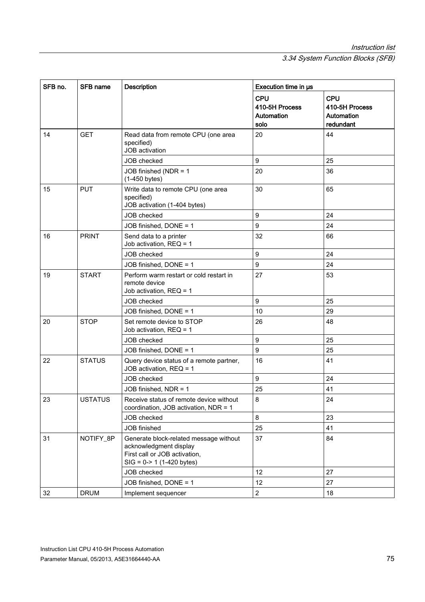3.34 System Function Blocks (SFB)

| SFB no.<br><b>SFB name</b> |                | Description                                                                                                                      | Execution time in us                                      |                                                         |
|----------------------------|----------------|----------------------------------------------------------------------------------------------------------------------------------|-----------------------------------------------------------|---------------------------------------------------------|
|                            |                |                                                                                                                                  | <b>CPU</b><br>410-5H Process<br><b>Automation</b><br>solo | <b>CPU</b><br>410-5H Process<br>Automation<br>redundant |
| 14                         | <b>GET</b>     | Read data from remote CPU (one area<br>specified)<br>JOB activation                                                              | 20                                                        | 44                                                      |
|                            |                | JOB checked                                                                                                                      | 9                                                         | 25                                                      |
|                            |                | JOB finished (NDR = 1<br>(1-450 bytes)                                                                                           | 20                                                        | 36                                                      |
| 15                         | <b>PUT</b>     | Write data to remote CPU (one area<br>specified)<br>JOB activation (1-404 bytes)                                                 | 30                                                        | 65                                                      |
|                            |                | JOB checked                                                                                                                      | 9                                                         | 24                                                      |
|                            |                | JOB finished, DONE = 1                                                                                                           | 9                                                         | 24                                                      |
| 16                         | <b>PRINT</b>   | Send data to a printer<br>Job activation, REQ = 1                                                                                | 32                                                        | 66                                                      |
|                            |                | JOB checked                                                                                                                      | 9                                                         | 24                                                      |
|                            |                | JOB finished, DONE = 1                                                                                                           | 9                                                         | 24                                                      |
| 19                         | <b>START</b>   | Perform warm restart or cold restart in<br>remote device<br>Job activation, REQ = 1                                              | 27                                                        | 53                                                      |
|                            |                | JOB checked                                                                                                                      | 9                                                         | 25                                                      |
|                            |                | JOB finished, DONE = 1                                                                                                           | 10                                                        | 29                                                      |
| 20                         | <b>STOP</b>    | Set remote device to STOP<br>Job activation, REQ = 1                                                                             | 26                                                        | 48                                                      |
|                            |                | JOB checked                                                                                                                      | 9                                                         | 25                                                      |
|                            |                | JOB finished, DONE = 1                                                                                                           | 9                                                         | 25                                                      |
| 22                         | <b>STATUS</b>  | Query device status of a remote partner,<br>JOB activation, REQ = 1                                                              | 16                                                        | 41                                                      |
|                            |                | JOB checked                                                                                                                      | 9                                                         | 24                                                      |
|                            |                | JOB finished, NDR = 1                                                                                                            | 25                                                        | 41                                                      |
| 23                         | <b>USTATUS</b> | Receive status of remote device without<br>coordination, JOB activation, NDR = 1                                                 | 8                                                         | 24                                                      |
|                            |                | JOB checked                                                                                                                      | 8                                                         | 23                                                      |
|                            |                | <b>JOB</b> finished                                                                                                              | 25                                                        | 41                                                      |
| 31                         | NOTIFY_8P      | Generate block-related message without<br>acknowledgment display<br>First call or JOB activation,<br>$SIG = 0-> 1 (1-420 bytes)$ | 37                                                        | 84                                                      |
|                            |                | JOB checked                                                                                                                      | 12                                                        | 27                                                      |
|                            |                | JOB finished, DONE = 1                                                                                                           | 12                                                        | 27                                                      |
| 32                         | <b>DRUM</b>    | Implement sequencer                                                                                                              | $\overline{2}$                                            | 18                                                      |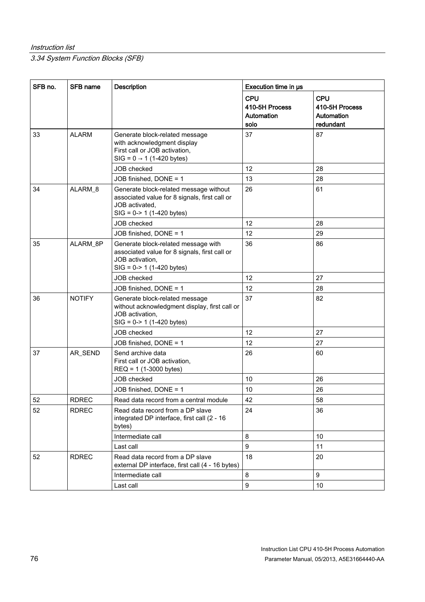3.34 System Function Blocks (SFB)

| SFB no. | SFB name      | <b>Description</b>                                                                                                                       | Execution time in us                               |                                                         |
|---------|---------------|------------------------------------------------------------------------------------------------------------------------------------------|----------------------------------------------------|---------------------------------------------------------|
|         |               |                                                                                                                                          | <b>CPU</b><br>410-5H Process<br>Automation<br>solo | <b>CPU</b><br>410-5H Process<br>Automation<br>redundant |
| 33      | <b>ALARM</b>  | Generate block-related message<br>with acknowledgment display<br>First call or JOB activation,<br>$SIG = 0 \rightarrow 1 (1-420 bytes)$  | 37                                                 | 87                                                      |
|         |               | JOB checked                                                                                                                              | 12                                                 | 28                                                      |
|         |               | JOB finished, DONE = 1                                                                                                                   | 13                                                 | 28                                                      |
| 34      | ALARM_8       | Generate block-related message without<br>associated value for 8 signals, first call or<br>JOB activated,<br>$SIG = 0-> 1 (1-420 bytes)$ | 26                                                 | 61                                                      |
|         |               | JOB checked                                                                                                                              | 12                                                 | 28                                                      |
|         |               | JOB finished, DONE = 1                                                                                                                   | 12                                                 | 29                                                      |
| 35      | ALARM_8P      | Generate block-related message with<br>associated value for 8 signals, first call or<br>JOB activation.<br>$SIG = 0-> 1 (1-420 bytes)$   | 36                                                 | 86                                                      |
|         |               | JOB checked                                                                                                                              | 12                                                 | 27                                                      |
|         |               | JOB finished, DONE = 1                                                                                                                   | 12                                                 | 28                                                      |
| 36      | <b>NOTIFY</b> | Generate block-related message<br>without acknowledgment display, first call or<br>JOB activation,<br>$SIG = 0-> 1 (1-420 bytes)$        | 37                                                 | 82                                                      |
|         |               | JOB checked                                                                                                                              | 12                                                 | 27                                                      |
|         |               | JOB finished, DONE = 1                                                                                                                   | 12                                                 | 27                                                      |
| 37      | AR_SEND       | Send archive data<br>First call or JOB activation,<br>$REQ = 1 (1-3000 bytes)$                                                           | 26                                                 | 60                                                      |
|         |               | JOB checked                                                                                                                              | 10                                                 | 26                                                      |
|         |               | JOB finished, DONE = 1                                                                                                                   | 10                                                 | 26                                                      |
| 52      | <b>RDREC</b>  | Read data record from a central module                                                                                                   | 42                                                 | 58                                                      |
| 52      | <b>RDREC</b>  | Read data record from a DP slave<br>integrated DP interface, first call (2 - 16<br>bytes)                                                | 24                                                 | 36                                                      |
|         |               | Intermediate call                                                                                                                        | 8                                                  | 10                                                      |
|         |               | Last call                                                                                                                                | 9                                                  | 11                                                      |
| 52      | <b>RDREC</b>  | Read data record from a DP slave<br>external DP interface, first call (4 - 16 bytes)                                                     | 18                                                 | 20                                                      |
|         |               | Intermediate call                                                                                                                        | 8                                                  | 9                                                       |
|         |               | Last call                                                                                                                                | $\boldsymbol{9}$                                   | 10                                                      |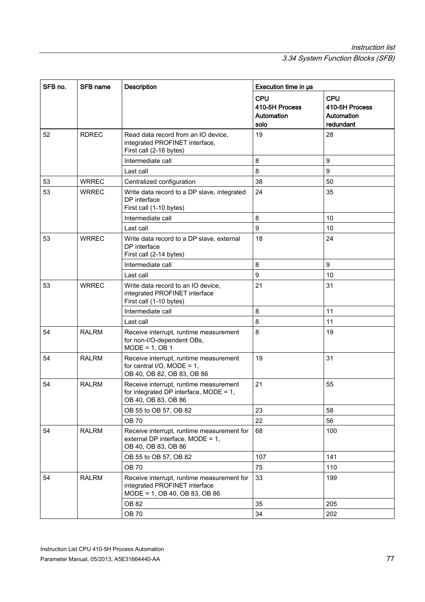3.34 System Function Blocks (SFB)

| SFB no.<br><b>SFB name</b> |              | <b>Description</b>                                                                                           | Execution time in us                                      |                                                         |
|----------------------------|--------------|--------------------------------------------------------------------------------------------------------------|-----------------------------------------------------------|---------------------------------------------------------|
|                            |              |                                                                                                              | <b>CPU</b><br>410-5H Process<br><b>Automation</b><br>solo | <b>CPU</b><br>410-5H Process<br>Automation<br>redundant |
| 52                         | <b>RDREC</b> | Read data record from an IO device,<br>integrated PROFINET interface,<br>First call (2-16 bytes)             | 19                                                        | 28                                                      |
|                            |              | Intermediate call                                                                                            | 8                                                         | 9                                                       |
|                            |              | Last call                                                                                                    | 8                                                         | 9                                                       |
| 53                         | <b>WRREC</b> | Centralized configuration                                                                                    | 38                                                        | 50                                                      |
| 53                         | <b>WRREC</b> | Write data record to a DP slave, integrated<br>DP interface<br>First call (1-10 bytes)                       | 24                                                        | 35                                                      |
|                            |              | Intermediate call                                                                                            | 8                                                         | 10                                                      |
|                            |              | Last call                                                                                                    | 9                                                         | 10                                                      |
| 53                         | <b>WRREC</b> | Write data record to a DP slave, external<br>DP interface<br>First call (2-14 bytes)                         | 18                                                        | 24                                                      |
|                            |              | Intermediate call                                                                                            | 8                                                         | 9                                                       |
|                            |              | Last call                                                                                                    | 9                                                         | 10                                                      |
| 53                         | <b>WRREC</b> | Write data record to an IO device,<br>integrated PROFINET interface<br>First call (1-10 bytes)               | 21                                                        | 31                                                      |
|                            |              | Intermediate call                                                                                            | 8                                                         | 11                                                      |
|                            |              | Last call                                                                                                    | 8                                                         | 11                                                      |
| 54                         | <b>RALRM</b> | Receive interrupt, runtime measurement<br>for non-I/O-dependent OBs,<br>$MODE = 1, OB1$                      | 8                                                         | 19                                                      |
| 54                         | <b>RALRM</b> | Receive interrupt, runtime measurement<br>for central I/O, MODE = $1$ ,<br>OB 40, OB 82, OB 83, OB 86        | 19                                                        | 31                                                      |
| 54                         | <b>RALRM</b> | Receive interrupt, runtime measurement<br>for integrated DP interface, $MODE = 1$ ,<br>OB 40, OB 83, OB 86   | 21                                                        | 55                                                      |
|                            |              | OB 55 to OB 57, OB 82                                                                                        | 23                                                        | 58                                                      |
|                            |              | <b>OB 70</b>                                                                                                 | 22                                                        | 56                                                      |
| 54                         | <b>RALRM</b> | Receive interrupt, runtime measurement for<br>external DP interface, MODE = 1,<br>OB 40, OB 83, OB 86        | 68                                                        | 100                                                     |
|                            |              | OB 55 to OB 57, OB 82                                                                                        | 107                                                       | 141                                                     |
|                            |              | <b>OB 70</b>                                                                                                 | 75                                                        | 110                                                     |
| 54                         | <b>RALRM</b> | Receive interrupt, runtime measurement for<br>integrated PROFINET interface<br>MODE = 1, OB 40, OB 83, OB 86 | 33                                                        | 199                                                     |
|                            |              | OB 82                                                                                                        | 35                                                        | 205                                                     |
|                            |              | <b>OB 70</b>                                                                                                 | 34                                                        | 202                                                     |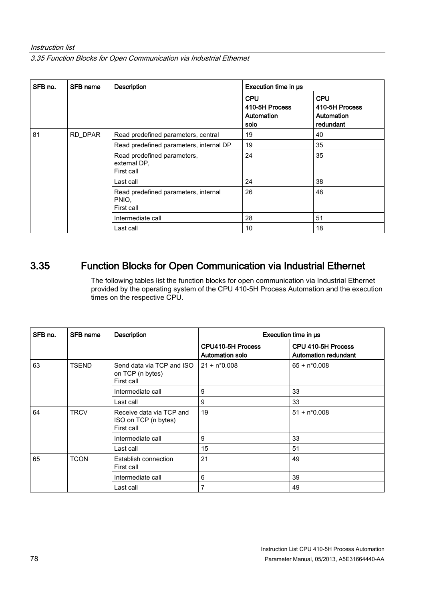3.35 Function Blocks for Open Communication via Industrial Ethernet

| SFB no. | SFB name | <b>Description</b>                                          | Execution time in us                               |                                                         |
|---------|----------|-------------------------------------------------------------|----------------------------------------------------|---------------------------------------------------------|
|         |          |                                                             | <b>CPU</b><br>410-5H Process<br>Automation<br>solo | <b>CPU</b><br>410-5H Process<br>Automation<br>redundant |
| 81      | RD_DPAR  | Read predefined parameters, central                         | 19                                                 | 40                                                      |
|         |          | Read predefined parameters, internal DP                     | 19                                                 | 35                                                      |
|         |          | Read predefined parameters,<br>external DP,<br>First call   | 24                                                 | 35                                                      |
|         |          | Last call                                                   | 24                                                 | 38                                                      |
|         |          | Read predefined parameters, internal<br>PNIO.<br>First call | 26                                                 | 48                                                      |
|         |          | Intermediate call                                           | 28                                                 | 51                                                      |
|         |          | Last call                                                   | 10                                                 | 18                                                      |

### 3.35 Function Blocks for Open Communication via Industrial Ethernet

The following tables list the function blocks for open communication via Industrial Ethernet provided by the operating system of the CPU 410-5H Process Automation and the execution times on the respective CPU.

| SFB no. | SFB name     | <b>Description</b>                                             | Execution time in us                        |                                                   |  |
|---------|--------------|----------------------------------------------------------------|---------------------------------------------|---------------------------------------------------|--|
|         |              |                                                                | CPU410-5H Process<br><b>Automation solo</b> | CPU 410-5H Process<br><b>Automation redundant</b> |  |
| 63      | <b>TSEND</b> | Send data via TCP and ISO<br>on TCP (n bytes)<br>First call    | $21 + n*0.008$                              | $65 + n*0.008$                                    |  |
|         |              | Intermediate call                                              | 9                                           | 33                                                |  |
|         |              | Last call                                                      | 9                                           | 33                                                |  |
| 64      | <b>TRCV</b>  | Receive data via TCP and<br>ISO on TCP (n bytes)<br>First call | 19                                          | $51 + n*0.008$                                    |  |
|         |              | Intermediate call                                              | 9                                           | 33                                                |  |
|         |              | Last call                                                      | 15                                          | 51                                                |  |
| 65      | <b>TCON</b>  | Establish connection<br>First call                             | 21                                          | 49                                                |  |
|         |              | Intermediate call                                              | 6                                           | 39                                                |  |
|         |              | Last call                                                      | 7                                           | 49                                                |  |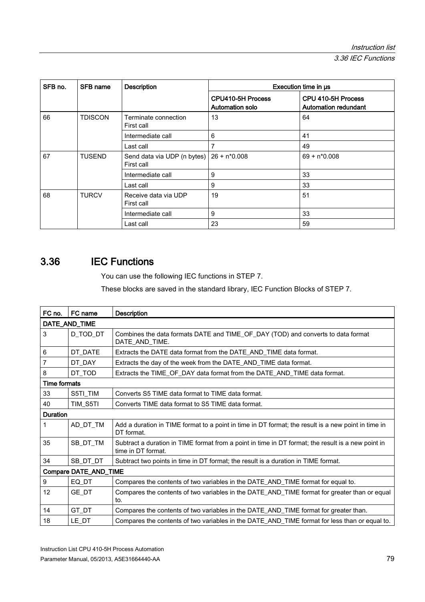3.36 IEC Functions

| SFB no. | SFB name       | <b>Description</b>                        | Execution time in us                        |                                                   |
|---------|----------------|-------------------------------------------|---------------------------------------------|---------------------------------------------------|
|         |                |                                           | CPU410-5H Process<br><b>Automation solo</b> | CPU 410-5H Process<br><b>Automation redundant</b> |
| 66      | <b>TDISCON</b> | Terminate connection<br>First call        | 13                                          | 64                                                |
|         |                | Intermediate call                         | 6                                           | 41                                                |
|         |                | Last call                                 | 7                                           | 49                                                |
| 67      | <b>TUSEND</b>  | Send data via UDP (n bytes)<br>First call | $26 + n*0.008$                              | $69 + n*0.008$                                    |
|         |                | Intermediate call                         | 9                                           | 33                                                |
|         |                | Last call                                 | 9                                           | 33                                                |
| 68      | <b>TURCV</b>   | Receive data via UDP<br>First call        | 19                                          | 51                                                |
|         |                | Intermediate call                         | 9                                           | 33                                                |
|         |                | Last call                                 | 23                                          | 59                                                |

## 3.36 IEC Functions

You can use the following IEC functions in STEP 7.

These blocks are saved in the standard library, IEC Function Blocks of STEP 7.

| FC no.              | FC name               | <b>Description</b>                                                                                                       |  |  |
|---------------------|-----------------------|--------------------------------------------------------------------------------------------------------------------------|--|--|
|                     | DATE_AND_TIME         |                                                                                                                          |  |  |
| 3                   | D_TOD_DT              | Combines the data formats DATE and TIME_OF_DAY (TOD) and converts to data format<br>DATE AND TIME.                       |  |  |
| $\,6\,$             | DT_DATE               | Extracts the DATE data format from the DATE_AND_TIME data format.                                                        |  |  |
| 7                   | DT_DAY                | Extracts the day of the week from the DATE_AND_TIME data format.                                                         |  |  |
| 8                   | DT_TOD                | Extracts the TIME_OF_DAY data format from the DATE_AND_TIME data format.                                                 |  |  |
| <b>Time formats</b> |                       |                                                                                                                          |  |  |
| 33                  | S5TI_TIM              | Converts S5 TIME data format to TIME data format.                                                                        |  |  |
| 40                  | TIM S5TI              | Converts TIME data format to S5 TIME data format.                                                                        |  |  |
| <b>Duration</b>     |                       |                                                                                                                          |  |  |
| 1                   | AD_DT_TM              | Add a duration in TIME format to a point in time in DT format; the result is a new point in time in<br>DT format.        |  |  |
| 35                  | SB_DT_TM              | Subtract a duration in TIME format from a point in time in DT format; the result is a new point in<br>time in DT format. |  |  |
| 34                  | SB_DT_DT              | Subtract two points in time in DT format; the result is a duration in TIME format.                                       |  |  |
|                     | Compare DATE_AND_TIME |                                                                                                                          |  |  |
| 9                   | EQ_DT                 | Compares the contents of two variables in the DATE_AND_TIME format for equal to.                                         |  |  |
| 12                  | GE_DT                 | Compares the contents of two variables in the DATE_AND_TIME format for greater than or equal<br>to.                      |  |  |
| 14                  | GT_DT                 | Compares the contents of two variables in the DATE_AND_TIME format for greater than.                                     |  |  |
| 18                  | LE_DT                 | Compares the contents of two variables in the DATE_AND_TIME format for less than or equal to.                            |  |  |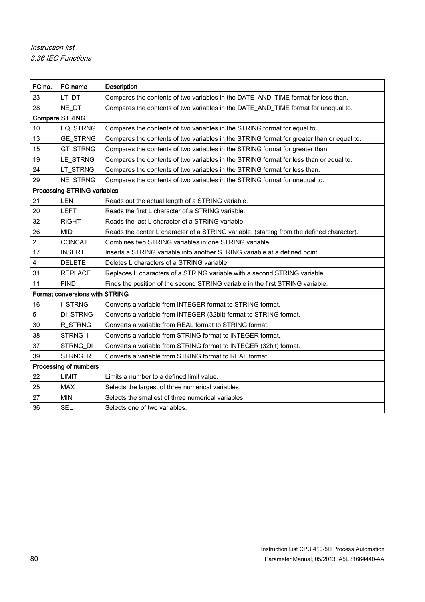3.36 IEC Functions

| FC no.                  | FC name                            | <b>Description</b>                                                                        |
|-------------------------|------------------------------------|-------------------------------------------------------------------------------------------|
| 23                      | LT_DT                              | Compares the contents of two variables in the DATE_AND_TIME format for less than.         |
| 28                      | NE_DT                              | Compares the contents of two variables in the DATE_AND_TIME format for unequal to.        |
|                         | <b>Compare STRING</b>              |                                                                                           |
| 10                      | EQ_STRNG                           | Compares the contents of two variables in the STRING format for equal to.                 |
| 13                      | <b>GE_STRNG</b>                    | Compares the contents of two variables in the STRING format for greater than or equal to. |
| 15                      | GT_STRNG                           | Compares the contents of two variables in the STRING format for greater than.             |
| 19                      | LE_STRNG                           | Compares the contents of two variables in the STRING format for less than or equal to.    |
| 24                      | LT_STRNG                           | Compares the contents of two variables in the STRING format for less than.                |
| 29                      | NE_STRNG                           | Compares the contents of two variables in the STRING format for unequal to.               |
|                         | <b>Processing STRING variables</b> |                                                                                           |
| 21                      | <b>LEN</b>                         | Reads out the actual length of a STRING variable.                                         |
| 20                      | <b>LEFT</b>                        | Reads the first L character of a STRING variable.                                         |
| 32                      | <b>RIGHT</b>                       | Reads the last L character of a STRING variable.                                          |
| 26                      | <b>MID</b>                         | Reads the center L character of a STRING variable. (starting from the defined character). |
| $\overline{c}$          | CONCAT                             | Combines two STRING variables in one STRING variable.                                     |
| 17                      | <b>INSERT</b>                      | Inserts a STRING variable into another STRING variable at a defined point.                |
| $\overline{\mathbf{4}}$ | <b>DELETE</b>                      | Deletes L characters of a STRING variable.                                                |
| 31                      | <b>REPLACE</b>                     | Replaces L characters of a STRING variable with a second STRING variable.                 |
| 11                      | <b>FIND</b>                        | Finds the position of the second STRING variable in the first STRING variable.            |
|                         | Format conversions with STRING     |                                                                                           |
| 16                      | <b>I_STRNG</b>                     | Converts a variable from INTEGER format to STRING format.                                 |
| 5                       | <b>DI_STRNG</b>                    | Converts a variable from INTEGER (32bit) format to STRING format.                         |
| 30                      | R_STRNG                            | Converts a variable from REAL format to STRING format.                                    |
| 38                      | STRNG I                            | Converts a variable from STRING format to INTEGER format.                                 |
| 37                      | STRNG_DI                           | Converts a variable from STRING format to INTEGER (32bit) format.                         |
| 39                      | STRNG_R                            | Converts a variable from STRING format to REAL format.                                    |
|                         | Processing of numbers              |                                                                                           |
| 22                      | <b>LIMIT</b>                       | Limits a number to a defined limit value.                                                 |
| 25                      | <b>MAX</b>                         | Selects the largest of three numerical variables.                                         |
| 27                      | <b>MIN</b>                         | Selects the smallest of three numerical variables.                                        |
| 36                      | <b>SEL</b>                         | Selects one of two variables.                                                             |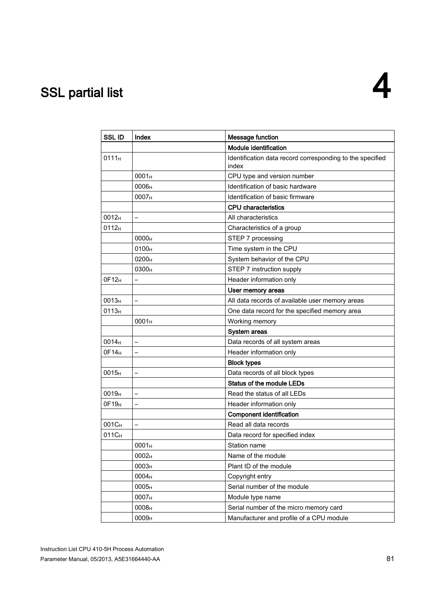# SSL partial list **4**

| <b>SSLID</b>      | Index                    | <b>Message function</b>                                            |
|-------------------|--------------------------|--------------------------------------------------------------------|
|                   |                          | <b>Module identification</b>                                       |
| 0111 <sub>H</sub> |                          | Identification data record corresponding to the specified<br>index |
|                   | 0001H                    | CPU type and version number                                        |
|                   | <b>0006н</b>             | Identification of basic hardware                                   |
|                   | 0007 <sub>H</sub>        | Identification of basic firmware                                   |
|                   |                          | <b>CPU</b> characteristics                                         |
| 0012 <sub>H</sub> | $\qquad \qquad -$        | All characteristics                                                |
| 0112 <sub>H</sub> |                          | Characteristics of a group                                         |
|                   | 0000 <sub>H</sub>        | STEP 7 processing                                                  |
|                   | 0100 <sub>H</sub>        | Time system in the CPU                                             |
|                   | 0200 <sub>H</sub>        | System behavior of the CPU                                         |
|                   | 0300 <sub>H</sub>        | STEP 7 instruction supply                                          |
| 0F12 <sub>H</sub> |                          | Header information only                                            |
|                   |                          | User memory areas                                                  |
| 0013 <sub>H</sub> | $\qquad \qquad -$        | All data records of available user memory areas                    |
| 0113 <sub>H</sub> |                          | One data record for the specified memory area                      |
|                   | 0001H                    | Working memory                                                     |
|                   |                          | <b>System areas</b>                                                |
| 0014 <sub>H</sub> |                          | Data records of all system areas                                   |
| 0F14 <sub>H</sub> | $\overline{\phantom{0}}$ | Header information only                                            |
|                   |                          | <b>Block types</b>                                                 |
| 0015 <sub>H</sub> | $\overline{\phantom{0}}$ | Data records of all block types                                    |
|                   |                          | <b>Status of the module LEDs</b>                                   |
| 0019 <sub>H</sub> |                          | Read the status of all LEDs                                        |
| 0F19 <sub>H</sub> |                          | Header information only                                            |
|                   |                          | <b>Component identification</b>                                    |
| 001C <sub>H</sub> | $\overline{\phantom{0}}$ | Read all data records                                              |
| 011C <sub>H</sub> |                          | Data record for specified index                                    |
|                   | 0001 <sub>H</sub>        | Station name                                                       |
|                   | 0002 <sub>H</sub>        | Name of the module                                                 |
|                   | 0003 <sub>H</sub>        | Plant ID of the module                                             |
|                   | 0004 <sub>H</sub>        | Copyright entry                                                    |
|                   | 0005 <sub>H</sub>        | Serial number of the module                                        |
|                   | 0007 <sub>H</sub>        | Module type name                                                   |
|                   | 0008 <sub>H</sub>        | Serial number of the micro memory card                             |
|                   | 0009 <sub>H</sub>        | Manufacturer and profile of a CPU module                           |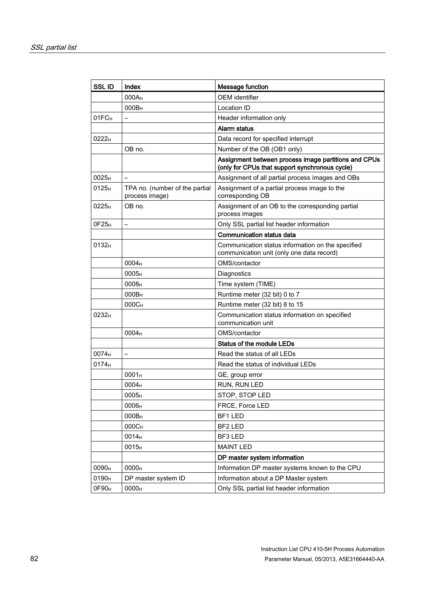| <b>SSLID</b>                                             | Index                                            | <b>Message function</b>                                                                                |  |
|----------------------------------------------------------|--------------------------------------------------|--------------------------------------------------------------------------------------------------------|--|
|                                                          | 000A <sub>H</sub>                                | OEM identifier                                                                                         |  |
|                                                          | 000B <sub>H</sub>                                | Location ID                                                                                            |  |
| 01FC <sub>H</sub>                                        |                                                  | Header information only                                                                                |  |
|                                                          |                                                  | Alarm status                                                                                           |  |
| 0222 <sub>H</sub><br>Data record for specified interrupt |                                                  |                                                                                                        |  |
|                                                          | OB no.                                           | Number of the OB (OB1 only)                                                                            |  |
|                                                          |                                                  | Assignment between process image partitions and CPUs<br>(only for CPUs that support synchronous cycle) |  |
| 0025H                                                    |                                                  | Assignment of all partial process images and OBs                                                       |  |
| 0125H                                                    | TPA no. (number of the partial<br>process image) | Assignment of a partial process image to the<br>corresponding OB                                       |  |
| 0225 <sub>H</sub>                                        | OB no.                                           | Assignment of an OB to the corresponding partial<br>process images                                     |  |
| 0F25 <sub>H</sub>                                        |                                                  | Only SSL partial list header information                                                               |  |
|                                                          |                                                  | <b>Communication status data</b>                                                                       |  |
| 0132 <sub>H</sub>                                        |                                                  | Communication status information on the specified<br>communication unit (only one data record)         |  |
|                                                          | 0004 <sub>H</sub>                                | OMS/contactor                                                                                          |  |
|                                                          | 0005H                                            | Diagnostics                                                                                            |  |
|                                                          | 0008 <sub>H</sub>                                | Time system (TIME)                                                                                     |  |
|                                                          | 000B <sub>H</sub>                                | Runtime meter (32 bit) 0 to 7                                                                          |  |
|                                                          | 000C <sub>H</sub>                                | Runtime meter (32 bit) 8 to 15                                                                         |  |
| 0232 <sub>H</sub>                                        |                                                  | Communication status information on specified<br>communication unit                                    |  |
|                                                          | 0004 <sub>H</sub>                                | OMS/contactor                                                                                          |  |
|                                                          |                                                  | <b>Status of the module LEDs</b>                                                                       |  |
| 0074 <sub>H</sub>                                        |                                                  | Read the status of all LEDs                                                                            |  |
| 0174 <sub>H</sub>                                        |                                                  | Read the status of individual LEDs                                                                     |  |
|                                                          | 0001 <sub>H</sub>                                | GE, group error                                                                                        |  |
|                                                          | 0004 <sub>H</sub>                                | RUN, RUN LED                                                                                           |  |
|                                                          | 0005 <sub>H</sub>                                | STOP, STOP LED                                                                                         |  |
|                                                          | 0006 <sub>H</sub>                                | FRCE, Force LED                                                                                        |  |
|                                                          | 000B <sub>H</sub>                                | BF1 LED                                                                                                |  |
|                                                          | 000C <sub>H</sub>                                | BF2 LED                                                                                                |  |
|                                                          | 0014 <sub>H</sub>                                | BF3 LED                                                                                                |  |
|                                                          | 0015 <sub>H</sub>                                | <b>MAINT LED</b>                                                                                       |  |
|                                                          |                                                  | DP master system information                                                                           |  |
| 0090 <sub>H</sub>                                        | 0000 <sub>H</sub>                                | Information DP master systems known to the CPU                                                         |  |
| 0190 <sub>H</sub>                                        | DP master system ID                              | Information about a DP Master system                                                                   |  |
| 0F90 <sub>H</sub>                                        | 0000 <sub>H</sub>                                | Only SSL partial list header information                                                               |  |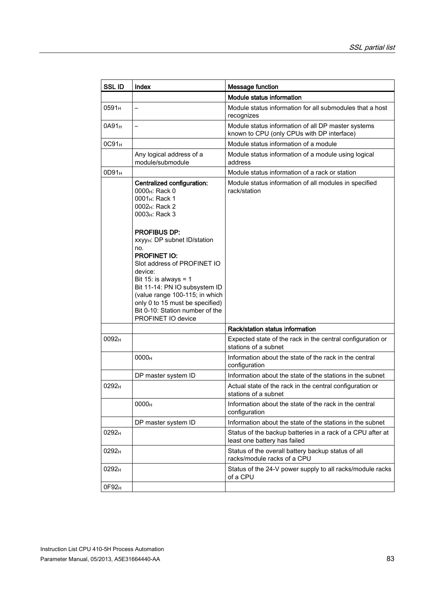| <b>SSLID</b>      | Index                                                                                                                                                                                                                                                                                                                                                                                                                                         | <b>Message function</b>                                                                          |  |
|-------------------|-----------------------------------------------------------------------------------------------------------------------------------------------------------------------------------------------------------------------------------------------------------------------------------------------------------------------------------------------------------------------------------------------------------------------------------------------|--------------------------------------------------------------------------------------------------|--|
|                   |                                                                                                                                                                                                                                                                                                                                                                                                                                               | Module status information                                                                        |  |
| 0591 <sub>H</sub> |                                                                                                                                                                                                                                                                                                                                                                                                                                               | Module status information for all submodules that a host<br>recognizes                           |  |
| 0A91 <sub>H</sub> |                                                                                                                                                                                                                                                                                                                                                                                                                                               | Module status information of all DP master systems<br>known to CPU (only CPUs with DP interface) |  |
| 0C91 <sub>H</sub> |                                                                                                                                                                                                                                                                                                                                                                                                                                               | Module status information of a module                                                            |  |
|                   | Any logical address of a<br>module/submodule                                                                                                                                                                                                                                                                                                                                                                                                  | Module status information of a module using logical<br>address                                   |  |
| 0D91H             |                                                                                                                                                                                                                                                                                                                                                                                                                                               | Module status information of a rack or station                                                   |  |
|                   | Centralized configuration:<br>0000 <sub>H</sub> : Rack 0<br>0001 <sub>H</sub> : Rack 1<br>0002 <sub>H</sub> : Rack 2<br>0003 <sub>H</sub> : Rack 3<br><b>PROFIBUS DP:</b><br>XXYYH: DP subnet ID/station<br>no.<br>PROFINET IO:<br>Slot address of PROFINET IO<br>device:<br>Bit 15: is always = $1$<br>Bit 11-14: PN IO subsystem ID<br>(value range 100-115; in which<br>only 0 to 15 must be specified)<br>Bit 0-10: Station number of the | Module status information of all modules in specified<br>rack/station                            |  |
|                   | PROFINET IO device                                                                                                                                                                                                                                                                                                                                                                                                                            |                                                                                                  |  |
|                   |                                                                                                                                                                                                                                                                                                                                                                                                                                               | Rack/station status information                                                                  |  |
| 0092 <sub>H</sub> |                                                                                                                                                                                                                                                                                                                                                                                                                                               | Expected state of the rack in the central configuration or<br>stations of a subnet               |  |
|                   | 0000 <sub>H</sub>                                                                                                                                                                                                                                                                                                                                                                                                                             | Information about the state of the rack in the central<br>configuration                          |  |
|                   | DP master system ID                                                                                                                                                                                                                                                                                                                                                                                                                           | Information about the state of the stations in the subnet                                        |  |
| 0292 <sub>H</sub> |                                                                                                                                                                                                                                                                                                                                                                                                                                               | Actual state of the rack in the central configuration or<br>stations of a subnet                 |  |
|                   | 0000 <sub>H</sub>                                                                                                                                                                                                                                                                                                                                                                                                                             | Information about the state of the rack in the central<br>configuration                          |  |
|                   | DP master system ID                                                                                                                                                                                                                                                                                                                                                                                                                           | Information about the state of the stations in the subnet                                        |  |
| 0292 <sub>H</sub> |                                                                                                                                                                                                                                                                                                                                                                                                                                               | Status of the backup batteries in a rack of a CPU after at<br>least one battery has failed       |  |
| 0292 <sub>H</sub> |                                                                                                                                                                                                                                                                                                                                                                                                                                               | Status of the overall battery backup status of all<br>racks/module racks of a CPU                |  |
| 0292 <sub>H</sub> |                                                                                                                                                                                                                                                                                                                                                                                                                                               | Status of the 24-V power supply to all racks/module racks<br>of a CPU                            |  |
| 0F92H             |                                                                                                                                                                                                                                                                                                                                                                                                                                               |                                                                                                  |  |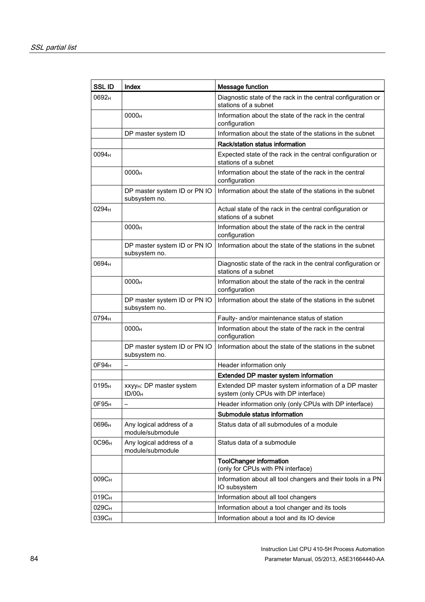| <b>SSL ID</b>     | Index                                         | <b>Message function</b>                                                                      |  |
|-------------------|-----------------------------------------------|----------------------------------------------------------------------------------------------|--|
| 0692 <sub>H</sub> |                                               | Diagnostic state of the rack in the central configuration or<br>stations of a subnet         |  |
|                   | 0000 <sub>H</sub>                             | Information about the state of the rack in the central<br>configuration                      |  |
|                   | DP master system ID                           | Information about the state of the stations in the subnet                                    |  |
|                   |                                               | Rack/station status information                                                              |  |
| 0094 <sub>H</sub> |                                               | Expected state of the rack in the central configuration or<br>stations of a subnet           |  |
|                   | 0000 <sub>H</sub>                             | Information about the state of the rack in the central<br>configuration                      |  |
|                   | DP master system ID or PN IO<br>subsystem no. | Information about the state of the stations in the subnet                                    |  |
| 0294 <sub>H</sub> |                                               | Actual state of the rack in the central configuration or<br>stations of a subnet             |  |
|                   | 0000 <sub>H</sub>                             | Information about the state of the rack in the central<br>configuration                      |  |
|                   | DP master system ID or PN IO<br>subsystem no. | Information about the state of the stations in the subnet                                    |  |
| 0694 <sub>H</sub> |                                               | Diagnostic state of the rack in the central configuration or<br>stations of a subnet         |  |
|                   | 0000 <sub>H</sub>                             | Information about the state of the rack in the central<br>configuration                      |  |
|                   | DP master system ID or PN IO<br>subsystem no. | Information about the state of the stations in the subnet                                    |  |
| 0794 <sub>H</sub> |                                               | Faulty- and/or maintenance status of station                                                 |  |
|                   | 0000 <sub>H</sub>                             | Information about the state of the rack in the central<br>configuration                      |  |
|                   | DP master system ID or PN IO<br>subsystem no. | Information about the state of the stations in the subnet                                    |  |
| 0F94 <sub>H</sub> |                                               | Header information only                                                                      |  |
|                   |                                               | Extended DP master system information                                                        |  |
| 0195 <sub>H</sub> | XXYYH: DP master system<br>ID/00 <sub>H</sub> | Extended DP master system information of a DP master<br>system (only CPUs with DP interface) |  |
| 0F95H             | $\overline{\phantom{0}}$                      | Header information only (only CPUs with DP interface)                                        |  |
|                   |                                               | Submodule status information                                                                 |  |
| 0696н             | Any logical address of a<br>module/submodule  | Status data of all submodules of a module                                                    |  |
| 0C96 <sub>H</sub> | Any logical address of a<br>module/submodule  | Status data of a submodule                                                                   |  |
|                   |                                               | <b>ToolChanger information</b><br>(only for CPUs with PN interface)                          |  |
| 009C <sub>H</sub> |                                               | Information about all tool changers and their tools in a PN<br>IO subsystem                  |  |
| 019C <sub>H</sub> |                                               | Information about all tool changers                                                          |  |
| 029C <sub>H</sub> |                                               | Information about a tool changer and its tools                                               |  |
| 039C <sub>H</sub> |                                               | Information about a tool and its IO device                                                   |  |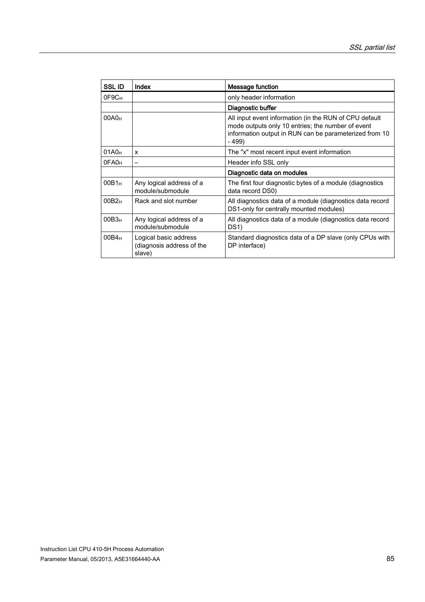| <b>SSLID</b>       | Index                                                        | <b>Message function</b>                                                                                                                                                         |  |
|--------------------|--------------------------------------------------------------|---------------------------------------------------------------------------------------------------------------------------------------------------------------------------------|--|
| 0F9C <sub>H</sub>  |                                                              | only header information                                                                                                                                                         |  |
|                    |                                                              | Diagnostic buffer                                                                                                                                                               |  |
| 00A0 <sub>H</sub>  |                                                              | All input event information (in the RUN of CPU default<br>mode outputs only 10 entries; the number of event<br>information output in RUN can be parameterized from 10<br>- 499) |  |
| 01A0 <sub>H</sub>  | x                                                            | The "x" most recent input event information                                                                                                                                     |  |
| 0FA <sub>0</sub> H |                                                              | Header info SSL only                                                                                                                                                            |  |
|                    |                                                              | Diagnostic data on modules                                                                                                                                                      |  |
| 00B1H              | Any logical address of a<br>module/submodule                 | The first four diagnostic bytes of a module (diagnostics<br>data record DS0)                                                                                                    |  |
| 00B2H              | Rack and slot number                                         | All diagnostics data of a module (diagnostics data record<br>DS1-only for centrally mounted modules)                                                                            |  |
| 00B3H              | Any logical address of a<br>module/submodule                 | All diagnostics data of a module (diagnostics data record<br>DS <sub>1</sub>                                                                                                    |  |
| 00B4H              | Logical basic address<br>(diagnosis address of the<br>slave) | Standard diagnostics data of a DP slave (only CPUs with<br>DP interface)                                                                                                        |  |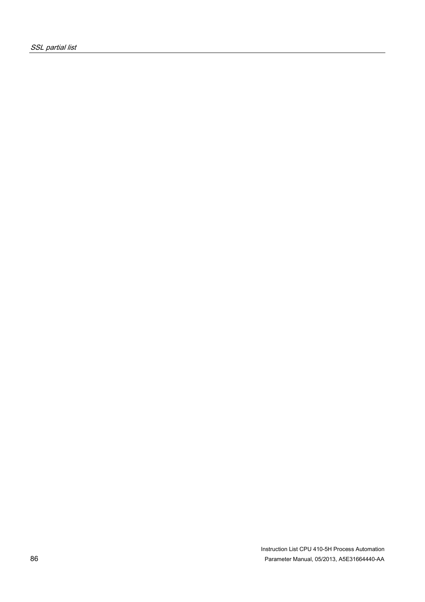SSL partial list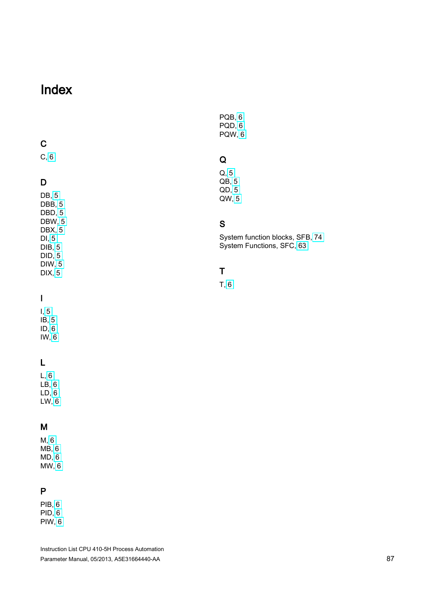## Index

C C, [6](#page-5-0) 

D

DB, [5](#page-4-0)  DBB, [5](#page-4-1)  DBD, [5](#page-4-2)  DBW, [5](#page-4-3)  DBX, [5](#page-4-4)  DI, [5](#page-4-5)  DIB, [5](#page-4-6)  DID, [5](#page-4-7)  DIW, [5](#page-4-8)  DIX, [5](#page-4-9) 

| PQB, 6<br>PQD, 6<br>PQW, 6                                   |
|--------------------------------------------------------------|
| Q                                                            |
| Q, 5<br>QB, 5<br>QD, 5<br>QW, 5                              |
| S                                                            |
| System function blocks, SFB, 74<br>System Functions, SFC, 63 |
| Τ                                                            |
| T, 6                                                         |
|                                                              |

I, [5](#page-4-10)  IB, [5](#page-4-11)  ID, [6](#page-5-1)  IW, [6](#page-5-2) 

I

### L

L, [6](#page-5-3)  LB, [6](#page-5-4)  LD, [6](#page-5-5)  LW, [6](#page-5-6) 

### M

M, [6](#page-5-7)  MB, [6](#page-5-8)  MD, [6](#page-5-9)  MW, [6](#page-5-10) 

### P

PIB, [6](#page-5-11)  PID, [6](#page-5-12)  PIW, [6](#page-5-13)